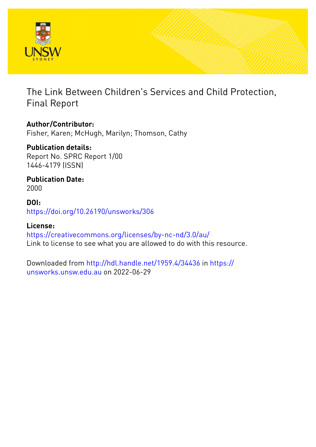

The Link Between Children's Services and Child Protection, Final Report

**Author/Contributor:** Fisher, Karen; McHugh, Marilyn; Thomson, Cathy

**Publication details:** Report No. SPRC Report 1/00 1446-4179 (ISSN)

**Publication Date:** 2000

**DOI:** [https://doi.org/10.26190/unsworks/306](http://dx.doi.org/https://doi.org/10.26190/unsworks/306)

**License:** <https://creativecommons.org/licenses/by-nc-nd/3.0/au/> Link to license to see what you are allowed to do with this resource.

Downloaded from <http://hdl.handle.net/1959.4/34436> in [https://](https://unsworks.unsw.edu.au) [unsworks.unsw.edu.au](https://unsworks.unsw.edu.au) on 2022-06-29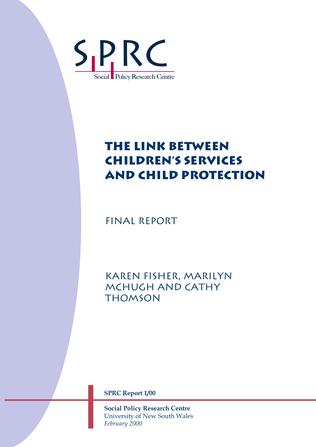

# **The Link between Children's Services and Child Protection**

Final Report

Karen Fisher, Marilyn McHugh and Cathy **THOMSON** 

**SPRC Report 1/00** 

**Social Policy Research Centre**  University of New South Wales *February 2000*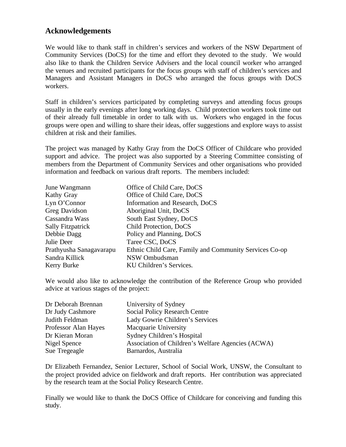# **Acknowledgements**

We would like to thank staff in children's services and workers of the NSW Department of Community Services (DoCS) for the time and effort they devoted to the study. We would also like to thank the Children Service Advisers and the local council worker who arranged the venues and recruited participants for the focus groups with staff of children's services and Managers and Assistant Managers in DoCS who arranged the focus groups with DoCS workers.

Staff in children's services participated by completing surveys and attending focus groups usually in the early evenings after long working days. Child protection workers took time out of their already full timetable in order to talk with us. Workers who engaged in the focus groups were open and willing to share their ideas, offer suggestions and explore ways to assist children at risk and their families.

The project was managed by Kathy Gray from the DoCS Officer of Childcare who provided support and advice. The project was also supported by a Steering Committee consisting of members from the Department of Community Services and other organisations who provided information and feedback on various draft reports. The members included:

| June Wangmann            | Office of Child Care, DoCS                             |
|--------------------------|--------------------------------------------------------|
| Kathy Gray               | Office of Child Care, DoCS                             |
| Lyn O'Connor             | Information and Research, DoCS                         |
| Greg Davidson            | Aboriginal Unit, DoCS                                  |
| Cassandra Wass           | South East Sydney, DoCS                                |
| <b>Sally Fitzpatrick</b> | Child Protection, DoCS                                 |
| Debbie Dagg              | Policy and Planning, DoCS                              |
| Julie Deer               | Taree CSC, DoCS                                        |
| Prathyusha Sanagavarapu  | Ethnic Child Care, Family and Community Services Co-op |
| Sandra Killick           | NSW Ombudsman                                          |
| Kerry Burke              | KU Children's Services.                                |

We would also like to acknowledge the contribution of the Reference Group who provided advice at various stages of the project:

| Dr Deborah Brennan   | University of Sydney                              |
|----------------------|---------------------------------------------------|
| Dr Judy Cashmore     | Social Policy Research Centre                     |
| Judith Feldman       | Lady Gowrie Children's Services                   |
| Professor Alan Hayes | Macquarie University                              |
| Dr Kieran Moran      | Sydney Children's Hospital                        |
| Nigel Spence         | Association of Children's Welfare Agencies (ACWA) |
| Sue Tregeagle        | Barnardos, Australia                              |

Dr Elizabeth Fernandez, Senior Lecturer, School of Social Work, UNSW, the Consultant to the project provided advice on fieldwork and draft reports. Her contribution was appreciated by the research team at the Social Policy Research Centre.

Finally we would like to thank the DoCS Office of Childcare for conceiving and funding this study.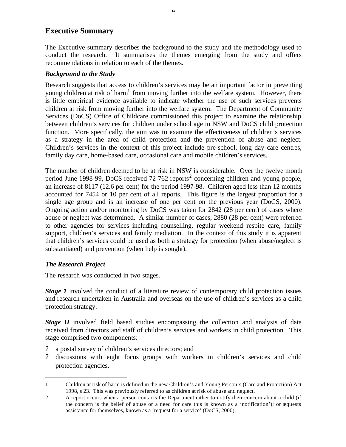# **Executive Summary**

The Executive summary describes the background to the study and the methodology used to conduct the research. It summarises the themes emerging from the study and offers recommendations in relation to each of the themes.

ii

#### *Background to the Study*

Research suggests that access to children's services may be an important factor in preventing young children at risk of harm<sup>1</sup> from moving further into the welfare system. However, there is little empirical evidence available to indicate whether the use of such services prevents children at risk from moving further into the welfare system. The Department of Community Services (DoCS) Office of Childcare commissioned this project to examine the relationship between children's services for children under school age in NSW and DoCS child protection function. More specifically, the aim was to examine the effectiveness of children's services as a strategy in the area of child protection and the prevention of abuse and neglect. Children's services in the context of this project include pre-school, long day care centres, family day care, home-based care, occasional care and mobile children's services.

The number of children deemed to be at risk in NSW is considerable. Over the twelve month period June 1998-99, DoCS received 72 762 reports<sup>2</sup> concerning children and young people, an increase of 8117 (12.6 per cent) for the period 1997-98. Children aged less than 12 months accounted for 7454 or 10 per cent of all reports. This figure is the largest proportion for a single age group and is an increase of one per cent on the previous year (DoCS, 2000). Ongoing action and/or monitoring by DoCS was taken for 2842 (28 per cent) of cases where abuse or neglect was determined. A similar number of cases, 2880 (28 per cent) were referred to other agencies for services including counselling, regular weekend respite care, family support, children's services and family mediation. In the context of this study it is apparent that children's services could be used as both a strategy for protection (when abuse/neglect is substantiated) and prevention (when help is sought).

# *The Research Project*

 $\overline{a}$ 

The research was conducted in two stages.

*Stage 1* involved the conduct of a literature review of contemporary child protection issues and research undertaken in Australia and overseas on the use of children's services as a child protection strategy.

*Stage II* involved field based studies encompassing the collection and analysis of data received from directors and staff of children's services and workers in child protection. This stage comprised two components:

- ? a postal survey of children's services directors; and
- ? discussions with eight focus groups with workers in children's services and child protection agencies.
- 1 Children at risk of harm is defined in the new Children's and Young Person's (Care and Protection) Act 1998, s 23. This was previously referred to as children at risk of abuse and neglect.

<sup>2</sup> A report occurs when a person contacts the Department either to notify their concern about a child (if the concern is the belief of abuse or a need for care this is known as a 'notification'); or requests assistance for themselves, known as a 'request for a service' (DoCS, 2000).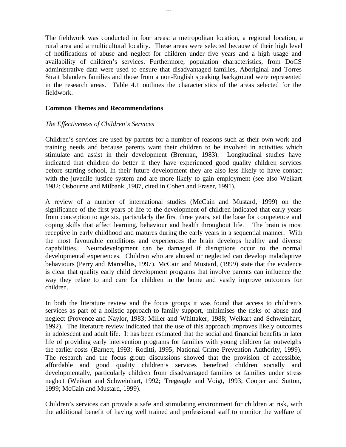The fieldwork was conducted in four areas: a metropolitan location, a regional location, a rural area and a multicultural locality. These areas were selected because of their high level of notifications of abuse and neglect for children under five years and a high usage and availability of children's services. Furthermore, population characteristics, from DoCS administrative data were used to ensure that disadvantaged families, Aboriginal and Torres Strait Islanders families and those from a non-English speaking background were represented in the research areas. Table 4.1 outlines the characteristics of the areas selected for the fieldwork.

#### **Common Themes and Recommendations**

#### *The Effectiveness of Children's Services*

Children's services are used by parents for a number of reasons such as their own work and training needs and because parents want their children to be involved in activities which stimulate and assist in their development (Brennan, 1983). Longitudinal studies have indicated that children do better if they have experienced good quality children services before starting school. In their future development they are also less likely to have contact with the juvenile justice system and are more likely to gain employment (see also Weikart 1982; Osbourne and Milbank ,1987, cited in Cohen and Fraser, 1991).

A review of a number of international studies (McCain and Mustard, 1999) on the significance of the first years of life to the development of children indicated that early years from conception to age six, particularly the first three years, set the base for competence and coping skills that affect learning, behaviour and health throughout life. The brain is most receptive in early childhood and matures during the early years in a sequential manner. With the most favourable conditions and experiences the brain develops healthy and diverse capabilities. Neurodevelopment can be damaged if disruptions occur to the normal developmental experiences. Children who are abused or neglected can develop maladaptive behaviours (Perry and Marcellus, 1997). McCain and Mustard, (1999) state that the evidence is clear that quality early child development programs that involve parents can influence the way they relate to and care for children in the home and vastly improve outcomes for children.

In both the literature review and the focus groups it was found that access to children's services as part of a holistic approach to family support, minimises the risks of abuse and neglect (Provence and Naylor, 1983; Miller and Whittaker, 1988; Weikart and Schweinhart, 1992). The literature review indicated that the use of this approach improves likely outcomes in adolescent and adult life. It has been estimated that the social and financial benefits in later life of providing early intervention programs for families with young children far outweighs the earlier costs (Barnett, 1993; Roditti, 1995; National Crime Prevention Authority, 1999). The research and the focus group discussions showed that the provision of accessible, affordable and good quality children's services benefited children socially and developmentally, particularly children from disadvantaged families or families under stress neglect (Weikart and Schweinhart, 1992; Tregeagle and Voigt, 1993; Cooper and Sutton, 1999; McCain and Mustard, 1999).

Children's services can provide a safe and stimulating environment for children at risk, with the additional benefit of having well trained and professional staff to monitor the welfare of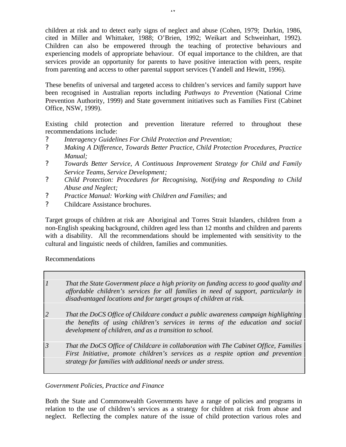children at risk and to detect early signs of neglect and abuse (Cohen, 1979; Durkin, 1986, cited in Miller and Whittaker, 1988; O'Brien, 1992; Weikart and Schweinhart, 1992). Children can also be empowered through the teaching of protective behaviours and experiencing models of appropriate behaviour. Of equal importance to the children, are that services provide an opportunity for parents to have positive interaction with peers, respite from parenting and access to other parental support services (Yandell and Hewitt, 1996).

These benefits of universal and targeted access to children's services and family support have been recognised in Australian reports including *Pathways to Prevention* (National Crime Prevention Authority, 1999) and State government initiatives such as Families First (Cabinet Office, NSW, 1999).

Existing child protection and prevention literature referred to throughout these recommendations include:

- ? *Interagency Guidelines For Child Protection and Prevention;*
- ? *Making A Difference, Towards Better Practice, Child Protection Procedures, Practice Manual;*
- ? *Towards Better Service, A Continuous Improvement Strategy for Child and Family Service Teams, Service Development;*
- ? *Child Protection: Procedures for Recognising, Notifying and Responding to Child Abuse and Neglect;*
- ? *Practice Manual: Working with Children and Families;* and
- ? Childcare Assistance brochures.

Target groups of children at risk are Aboriginal and Torres Strait Islanders, children from a non-English speaking background, children aged less than 12 months and children and parents with a disability. All the recommendations should be implemented with sensitivity to the cultural and linguistic needs of children, families and communities.

Recommendations

| 1 | That the State Government place a high priority on funding access to good quality and<br>affordable children's services for all families in need of support, particularly in<br>disadvantaged locations and for target groups of children at risk. |
|---|----------------------------------------------------------------------------------------------------------------------------------------------------------------------------------------------------------------------------------------------------|
|   |                                                                                                                                                                                                                                                    |
|   | That the DoCS Office of Childcare conduct a public awareness campaign highlighting                                                                                                                                                                 |
|   | the benefits of using children's services in terms of the education and social<br>development of children, and as a transition to school.                                                                                                          |
| 3 | That the DoCS Office of Childcare in collaboration with The Cabinet Office, Families<br>First Initiative, promote children's services as a respite option and prevention                                                                           |
|   | strategy for families with additional needs or under stress.                                                                                                                                                                                       |

#### *Government Policies, Practice and Finance*

Both the State and Commonwealth Governments have a range of policies and programs in relation to the use of children's services as a strategy for children at risk from abuse and neglect. Reflecting the complex nature of the issue of child protection various roles and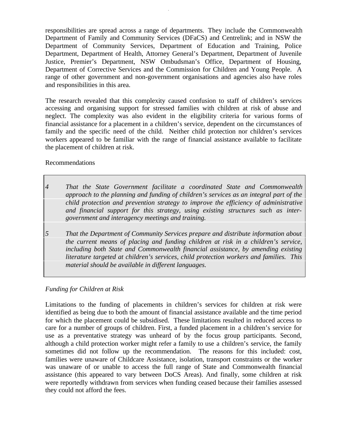responsibilities are spread across a range of departments. They include the Commonwealth Department of Family and Community Services (DFaCS) and Centrelink; and in NSW the Department of Community Services, Department of Education and Training, Police Department, Department of Health, Attorney General's Department, Department of Juvenile Justice, Premier's Department, NSW Ombudsman's Office, Department of Housing, Department of Corrective Services and the Commission for Children and Young People. A range of other government and non-government organisations and agencies also have roles and responsibilities in this area.

v

The research revealed that this complexity caused confusion to staff of children's services accessing and organising support for stressed families with children at risk of abuse and neglect. The complexity was also evident in the eligibility criteria for various forms of financial assistance for a placement in a children's service, dependent on the circumstances of family and the specific need of the child. Neither child protection nor children's services workers appeared to be familiar with the range of financial assistance available to facilitate the placement of children at risk.

Recommendations

- *4 That the State Government facilitate a coordinated State and Commonwealth approach to the planning and funding of children's services as an integral part of the child protection and prevention strategy to improve the efficiency of administrative and financial support for this strategy, using existing structures such as intergovernment and interagency meetings and training.*
- *5 That the Department of Community Services prepare and distribute information about the current means of placing and funding children at risk in a children's service, including both State and Commonwealth financial assistance, by amending existing literature targeted at children's services, child protection workers and families. This material should be available in different languages.*

# *Funding for Children at Risk*

Limitations to the funding of placements in children's services for children at risk were identified as being due to both the amount of financial assistance available and the time period for which the placement could be subsidised. These limitations resulted in reduced access to care for a number of groups of children. First, a funded placement in a children's service for use as a preventative strategy was unheard of by the focus group participants. Second, although a child protection worker might refer a family to use a children's service, the family sometimes did not follow up the recommendation. The reasons for this included: cost, families were unaware of Childcare Assistance, isolation, transport constraints or the worker was unaware of or unable to access the full range of State and Commonwealth financial assistance (this appeared to vary between DoCS Areas). And finally, some children at risk were reportedly withdrawn from services when funding ceased because their families assessed they could not afford the fees.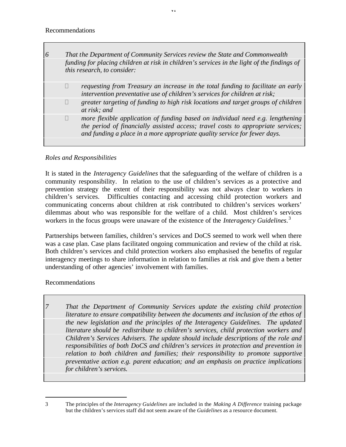|                | That the Department of Community Services review the State and Commonwealth                                                                                                                                                                     |
|----------------|-------------------------------------------------------------------------------------------------------------------------------------------------------------------------------------------------------------------------------------------------|
|                | funding for placing children at risk in children's services in the light of the findings of<br>this research, to consider:                                                                                                                      |
| $\overline{?}$ | requesting from Treasury an increase in the total funding to facilitate an early<br>intervention preventative use of children's services for children at risk;                                                                                  |
| $\cdot$        | greater targeting of funding to high risk locations and target groups of children<br>at risk; and                                                                                                                                               |
| ?              | more flexible application of funding based on individual need e.g. lengthening<br>the period of financially assisted access; travel costs to appropriate services;<br>and funding a place in a more appropriate quality service for fewer days. |
|                |                                                                                                                                                                                                                                                 |

vi

# *Roles and Responsibilities*

It is stated in the *Interagency Guidelines* that the safeguarding of the welfare of children is a community responsibility. In relation to the use of children's services as a protective and prevention strategy the extent of their responsibility was not always clear to workers in children's services. Difficulties contacting and accessing child protection workers and communicating concerns about children at risk contributed to children's services workers' dilemmas about who was responsible for the welfare of a child. Most children's services workers in the focus groups were unaware of the existence of the *Interagency Guidelines*. 3

Partnerships between families, children's services and DoCS seemed to work well when there was a case plan. Case plans facilitated ongoing communication and review of the child at risk. Both children's services and child protection workers also emphasised the benefits of regular interagency meetings to share information in relation to families at risk and give them a better understanding of other agencies' involvement with families.

Recommendations

*7 That the Department of Community Services update the existing child protection literature to ensure compatibility between the documents and inclusion of the ethos of the new legislation and the principles of the Interagency Guidelines. The updated literature should be redistribute to children's services, child protection workers and Children's Services Advisers. The update should include descriptions of the role and responsibilities of both DoCS and children's services in protection and prevention in relation to both children and families; their responsibility to promote supportive preventative action e.g. parent education; and an emphasis on practice implications for children's services.*

 $\overline{a}$ 

<sup>3</sup> The principles of the *Interagency Guidelines* are included in the *Making A Difference* training package but the children's services staff did not seem aware of the *Guidelines* as a resource document*.*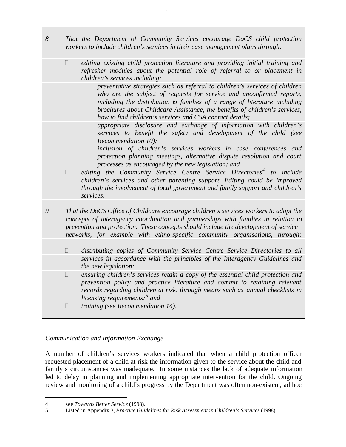- *8 That the Department of Community Services encourage DoCS child protection workers to include children's services in their case management plans through:*
	- ? *editing existing child protection literature and providing initial training and refresher modules about the potential role of referral to or placement in children's services including:*

*preventative strategies such as referral to children's services of children who are the subject of requests for service and unconfirmed reports, including the distribution to families of a range of literature including brochures about Childcare Assistance, the benefits of children's services, how to find children's services and CSA contact details;*

*appropriate disclosure and exchange of information with children's services to benefit the safety and development of the child (see Recommendation 10);*

*inclusion of children's services workers in case conferences and protection planning meetings, alternative dispute resolution and court processes as encouraged by the new legislation; and*

- ? *editing the Community Service Centre Service Directories<sup>4</sup> to include children's services and other parenting support. Editing could be improved through the involvement of local government and family support and children's services.*
- *9 That the DoCS Office of Childcare encourage children's services workers to adopt the concepts of interagency coordination and partnerships with families in relation to prevention and protection. These concepts should include the development of service networks, for example with ethno-specific community organisations, through:*
	- ? *distributing copies of Community Service Centre Service Directories to all services in accordance with the principles of the Interagency Guidelines and the new legislation;*
	- ? *ensuring children's services retain a copy of the essential child protection and prevention policy and practice literature and commit to retaining relevant records regarding children at risk, through means such as annual checklists in licensing requirements;<sup>5</sup> and*
	- ? *training (see Recommendation 14).*

# *Communication and Information Exchange*

A number of children's services workers indicated that when a child protection officer requested placement of a child at risk the information given to the service about the child and family's circumstances was inadequate. In some instances the lack of adequate information led to delay in planning and implementing appropriate intervention for the child. Ongoing review and monitoring of a child's progress by the Department was often non-existent, ad hoc

 $\overline{a}$ 

<sup>4</sup> see *Towards Better Service* (1998).

<sup>5</sup> Listed in Appendix 3, *Practice Guidelines for Risk Assessment in Children's Services* (1998).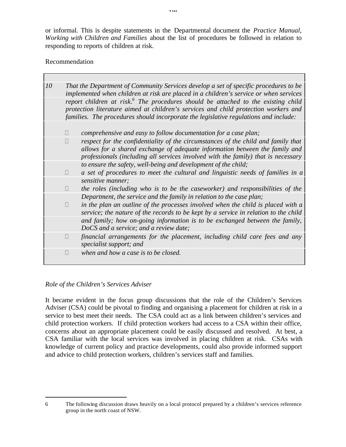or informal. This is despite statements in the Departmental document the *Practice Manual, Working with Children and Families* about the list of procedures be followed in relation to responding to reports of children at risk.

### Recommendation

| 10 | That the Department of Community Services develop a set of specific procedures to be<br>implemented when children at risk are placed in a children's service or when services                                                                                                |                                                                                                                                                                                                                                                       |  |
|----|------------------------------------------------------------------------------------------------------------------------------------------------------------------------------------------------------------------------------------------------------------------------------|-------------------------------------------------------------------------------------------------------------------------------------------------------------------------------------------------------------------------------------------------------|--|
|    | report children at risk. <sup>6</sup> The procedures should be attached to the existing child<br>protection literature aimed at children's services and child protection workers and<br>families. The procedures should incorporate the legislative regulations and include: |                                                                                                                                                                                                                                                       |  |
|    | $\ddot{?}$                                                                                                                                                                                                                                                                   | comprehensive and easy to follow documentation for a case plan;                                                                                                                                                                                       |  |
|    | $\overline{?}$                                                                                                                                                                                                                                                               | respect for the confidentiality of the circumstances of the child and family that<br>allows for a shared exchange of adequate information between the family and<br>professionals (including all services involved with the family) that is necessary |  |
|    |                                                                                                                                                                                                                                                                              | to ensure the safety, well-being and development of the child;                                                                                                                                                                                        |  |
|    | $\overline{?}$                                                                                                                                                                                                                                                               | a set of procedures to meet the cultural and linguistic needs of families in a                                                                                                                                                                        |  |
|    |                                                                                                                                                                                                                                                                              | sensitive manner;                                                                                                                                                                                                                                     |  |
|    | $\gamma$                                                                                                                                                                                                                                                                     | the roles (including who is to be the caseworker) and responsibilities of the                                                                                                                                                                         |  |
|    |                                                                                                                                                                                                                                                                              | Department, the service and the family in relation to the case plan;                                                                                                                                                                                  |  |
|    | $\overline{?}$                                                                                                                                                                                                                                                               | in the plan an outline of the processes involved when the child is placed with a<br>service; the nature of the records to be kept by a service in relation to the child                                                                               |  |
|    |                                                                                                                                                                                                                                                                              | and family; how on-going information is to be exchanged between the family,<br>DoCS and a service; and a review date;                                                                                                                                 |  |
|    | ?                                                                                                                                                                                                                                                                            | financial arrangements for the placement, including child care fees and any<br>specialist support; and                                                                                                                                                |  |
|    | $\overline{?}$                                                                                                                                                                                                                                                               | when and how a case is to be closed.                                                                                                                                                                                                                  |  |

# *Role of the Children's Services Adviser*

 $\overline{a}$ 

It became evident in the focus group discussions that the role of the Children's Services Adviser (CSA) could be pivotal to finding and organising a placement for children at risk in a service to best meet their needs. The CSA could act as a link between children's services and child protection workers. If child protection workers had access to a CSA within their office, concerns about an appropriate placement could be easily discussed and resolved. At best, a CSA familiar with the local services was involved in placing children at risk. CSAs with knowledge of current policy and practice developments, could also provide informed support and advice to child protection workers, children's services staff and families.

viii

<sup>6</sup> The following discussion draws heavily on a local protocol prepared by a children's services reference group in the north coast of NSW.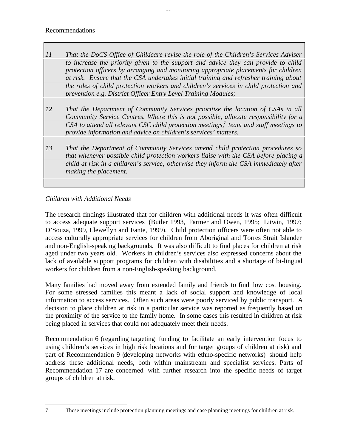Recommendations

*11 That the DoCS Office of Childcare revise the role of the Children's Services Adviser to increase the priority given to the support and advice they can provide to child protection officers by arranging and monitoring appropriate placements for children at risk. Ensure that the CSA undertakes initial training and refresher training about the roles of child protection workers and children's services in child protection and prevention e.g. District Officer Entry Level Training Modules;*

i<br>...

- *12 That the Department of Community Services prioritise the location of CSAs in all Community Service Centres. Where this is not possible, allocate responsibility for a CSA to attend all relevant CSC child protection meetings,<sup>7</sup> team and staff meetings to provide information and advice on children's services' matters.*
- *13 That the Department of Community Services amend child protection procedures so that whenever possible child protection workers liaise with the CSA before placing a child at risk in a children's service; otherwise they inform the CSA immediately after making the placement.*

# *Children with Additional Needs*

The research findings illustrated that for children with additional needs it was often difficult to access adequate support services (Butler 1993, Farmer and Owen, 1995; Litwin, 1997; D'Souza, 1999, Llewellyn and Fante, 1999). Child protection officers were often not able to access culturally appropriate services for children from Aboriginal and Torres Strait Islander and non-English-speaking backgrounds. It was also difficult to find places for children at risk aged under two years old. Workers in children's services also expressed concerns about the lack of available support programs for children with disabilities and a shortage of bi-lingual workers for children from a non-English-speaking background.

Many families had moved away from extended family and friends to find low cost housing. For some stressed families this meant a lack of social support and knowledge of local information to access services. Often such areas were poorly serviced by public transport. A decision to place children at risk in a particular service was reported as frequently based on the proximity of the service to the family home. In some cases this resulted in children at risk being placed in services that could not adequately meet their needs.

Recommendation 6 (regarding targeting funding to facilitate an early intervention focus to using children's services in high risk locations and for target groups of children at risk) and part of Recommendation 9 (developing networks with ethno-specific networks) should help address these additional needs, both within mainstream and specialist services. Parts of Recommendation 17 are concerned with further research into the specific needs of target groups of children at risk.

<sup>7</sup> These meetings include protection planning meetings and case planning meetings for children at risk.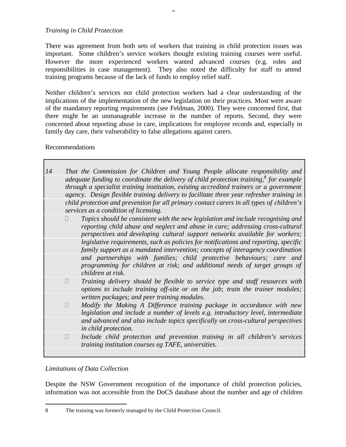#### *Training in Child Protection*

There was agreement from both sets of workers that training in child protection issues was important. Some children's service workers thought existing training courses were useful. However the more experienced workers wanted advanced courses (e.g. roles and responsibilities in case management). They also noted the difficulty for staff to attend training programs because of the lack of funds to employ relief staff.

Neither children's services nor child protection workers had a clear understanding of the implications of the implementation of the new legislation on their practices. Most were aware of the mandatory reporting requirements (see Feldman, 2000). They were concerned first, that there might be an unmanageable increase in the number of reports. Second, they were concerned about reporting abuse in care, implications for employee records and, especially in family day care, their vulnerability to false allegations against carers.

#### Recommendations

| 14 |                | That the Commission for Children and Young People allocate responsibility and                                                                                                                                                                                                         |
|----|----------------|---------------------------------------------------------------------------------------------------------------------------------------------------------------------------------------------------------------------------------------------------------------------------------------|
|    |                | adequate funding to coordinate the delivery of child protection training, $\delta$ for example<br>through a specialist training institution, existing accredited trainers or a government<br>agency. Design flexible training delivery to facilitate three year refresher training in |
|    |                | child protection and prevention for all primary contact carers in all types of children's<br>services as a condition of licensing.                                                                                                                                                    |
|    | ?              | Topics should be consistent with the new legislation and include recognising and<br>reporting child abuse and neglect and abuse in care; addressing cross-cultural<br>perspectives and developing cultural support networks available for workers;                                    |
|    |                | legislative requirements, such as policies for notifications and reporting, specific<br>family support as a mandated intervention; concepts of interagency coordination                                                                                                               |
|    |                | and partnerships with families; child protective behaviours; care and<br>programming for children at risk; and additional needs of target groups of<br>children at risk.                                                                                                              |
|    | $\overline{?}$ | Training delivery should be flexible to service type and staff resources with<br>options to include training off-site or on the job; train the trainer modules;                                                                                                                       |
|    |                | written packages; and peer training modules.                                                                                                                                                                                                                                          |
|    | $\overline{?}$ | Modify the Making A Difference training package in accordance with new<br>legislation and include a number of levels e.g. introductory level, intermediate                                                                                                                            |
|    |                | and advanced and also include topics specifically on cross-cultural perspectives<br>in child protection.                                                                                                                                                                              |
|    | $\tilde{?}$    | Include child protection and prevention training in all children's services<br>training institution courses eg TAFE, universities.                                                                                                                                                    |
|    |                |                                                                                                                                                                                                                                                                                       |

#### *Limitations of Data Collection*

 $\overline{a}$ 

Despite the NSW Government recognition of the importance of child protection policies, information was not accessible from the DoCS database about the number and age of children

<sup>8</sup> The training was formerly managed by the Child Protection Council.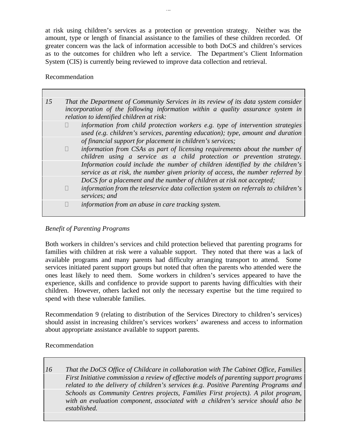at risk using children's services as a protection or prevention strategy. Neither was the amount, type or length of financial assistance to the families of these children recorded. Of greater concern was the lack of information accessible to both DoCS and children's services as to the outcomes for children who left a service. The Department's Client Information System (CIS) is currently being reviewed to improve data collection and retrieval.

.<br>...

#### Recommendation

| 15 |                | That the Department of Community Services in its review of its data system consider<br>incorporation of the following information within a quality assurance system in<br>relation to identified children at risk: |
|----|----------------|--------------------------------------------------------------------------------------------------------------------------------------------------------------------------------------------------------------------|
|    | ?              | information from child protection workers e.g. type of intervention strategies<br>used (e.g. children's services, parenting education); type, amount and duration                                                  |
|    |                | of financial support for placement in children's services;                                                                                                                                                         |
|    | $\overline{?}$ | information from CSAs as part of licensing requirements about the number of<br>children using a service as a child protection or prevention strategy.                                                              |
|    |                | Information could include the number of children identified by the children's<br>service as at risk, the number given priority of access, the number referred by                                                   |
|    |                | DoCS for a placement and the number of children at risk not accepted;                                                                                                                                              |
|    | ?              | information from the teleservice data collection system on referrals to children's<br>services; and                                                                                                                |
|    | ?              | information from an abuse in care tracking system.                                                                                                                                                                 |

#### *Benefit of Parenting Programs*

Both workers in children's services and child protection believed that parenting programs for families with children at risk were a valuable support. They noted that there was a lack of available programs and many parents had difficulty arranging transport to attend. Some services initiated parent support groups but noted that often the parents who attended were the ones least likely to need them. Some workers in children's services appeared to have the experience, skills and confidence to provide support to parents having difficulties with their children. However, others lacked not only the necessary expertise but the time required to spend with these vulnerable families.

Recommendation 9 (relating to distribution of the Services Directory to children's services) should assist in increasing children's services workers' awareness and access to information about appropriate assistance available to support parents.

#### Recommendation

*16 That the DoCS Office of Childcare in collaboration with The Cabinet Office, Families First Initiative commission a review of effective models of parenting support programs related to the delivery of children's services (e.g. Positive Parenting Programs and Schools as Community Centres projects, Families First projects). A pilot program, with an evaluation component, associated with a children's service should also be established.*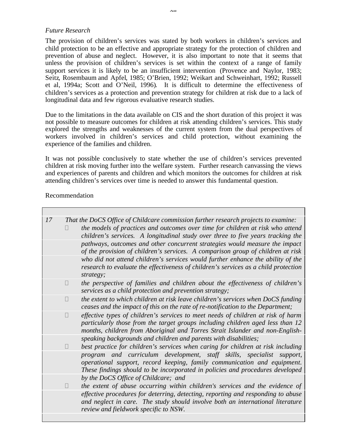#### *Future Research*

The provision of children's services was stated by both workers in children's services and child protection to be an effective and appropriate strategy for the protection of children and prevention of abuse and neglect. However, it is also important to note that it seems that unless the provision of children's services is set within the context of a range of family support services it is likely to be an insufficient intervention (Provence and Naylor, 1983; Seitz, Rosembaum and Apfel, 1985; O'Brien, 1992; Weikart and Schweinhart, 1992; Russell et al, 1994a; Scott and O'Neil, 1996). It is difficult to determine the effectiveness of children's services as a protection and prevention strategy for children at risk due to a lack of longitudinal data and few rigorous evaluative research studies.

Due to the limitations in the data available on CIS and the short duration of this project it was not possible to measure outcomes for children at risk attending children's services. This study explored the strengths and weaknesses of the current system from the dual perspectives of workers involved in children's services and child protection, without examining the experience of the families and children.

It was not possible conclusively to state whether the use of children's services prevented children at risk moving further into the welfare system. Further research canvassing the views and experiences of parents and children and which monitors the outcomes for children at risk attending children's services over time is needed to answer this fundamental question.

#### Recommendation

| 17 |                | That the DoCS Office of Childcare commission further research projects to examine:<br>the models of practices and outcomes over time for children at risk who attend<br>children's services. A longitudinal study over three to five years tracking the |
|----|----------------|---------------------------------------------------------------------------------------------------------------------------------------------------------------------------------------------------------------------------------------------------------|
|    |                | pathways, outcomes and other concurrent strategies would measure the impact<br>of the provision of children's services. A comparison group of children at risk                                                                                          |
|    |                | who did not attend children's services would further enhance the ability of the<br>research to evaluate the effectiveness of children's services as a child protection<br>strategy;                                                                     |
|    | $\overline{?}$ | the perspective of families and children about the effectiveness of children's<br>services as a child protection and prevention strategy;                                                                                                               |
|    | $\mathcal{P}$  | the extent to which children at risk leave children's services when $DoCS$ funding<br>ceases and the impact of this on the rate of re-notification to the Department;                                                                                   |
|    | $\overline{?}$ | effective types of children's services to meet needs of children at risk of harm<br>particularly those from the target groups including children aged less than 12<br>months, children from Aboriginal and Torres Strait Islander and non-English-      |
|    | ?              | speaking backgrounds and children and parents with disabilities;<br>best practice for children's services when caring for children at risk including                                                                                                    |
|    |                | program and curriculum development, staff skills, specialist<br>support,<br>operational support, record keeping, family communication and equipment.<br>These findings should to be incorporated in policies and procedures developed                   |
|    | $\overline{?}$ | by the DoCS Office of Childcare; and<br>the extent of abuse occurring within children's services and the evidence of                                                                                                                                    |
|    |                | effective procedures for deterring, detecting, reporting and responding to abuse<br>and neglect in care. The study should involve both an international literature<br>review and fieldwork specific to NSW.                                             |
|    |                |                                                                                                                                                                                                                                                         |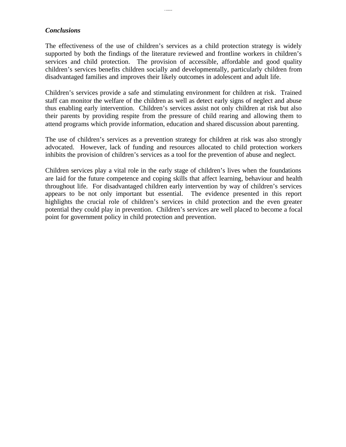#### *Conclusions*

The effectiveness of the use of children's services as a child protection strategy is widely supported by both the findings of the literature reviewed and frontline workers in children's services and child protection. The provision of accessible, affordable and good quality children's services benefits children socially and developmentally, particularly children from disadvantaged families and improves their likely outcomes in adolescent and adult life.

.....

Children's services provide a safe and stimulating environment for children at risk. Trained staff can monitor the welfare of the children as well as detect early signs of neglect and abuse thus enabling early intervention. Children's services assist not only children at risk but also their parents by providing respite from the pressure of child rearing and allowing them to attend programs which provide information, education and shared discussion about parenting.

The use of children's services as a prevention strategy for children at risk was also strongly advocated. However, lack of funding and resources allocated to child protection workers inhibits the provision of children's services as a tool for the prevention of abuse and neglect.

Children services play a vital role in the early stage of children's lives when the foundations are laid for the future competence and coping skills that affect learning, behaviour and health throughout life. For disadvantaged children early intervention by way of children's services appears to be not only important but essential. The evidence presented in this report highlights the crucial role of children's services in child protection and the even greater potential they could play in prevention. Children's services are well placed to become a focal point for government policy in child protection and prevention.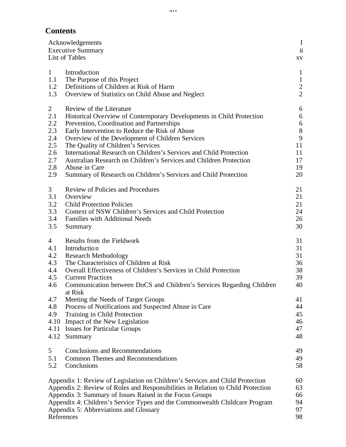# **Contents**

|                                                                                                       | Acknowledgements<br><b>Executive Summary</b><br>List of Tables                                                                                                                                                                                                                                                                                                                                                                                                                                                            | $\bf{I}$<br>$\ddot{\textbf{i}}$<br>XV                                              |
|-------------------------------------------------------------------------------------------------------|---------------------------------------------------------------------------------------------------------------------------------------------------------------------------------------------------------------------------------------------------------------------------------------------------------------------------------------------------------------------------------------------------------------------------------------------------------------------------------------------------------------------------|------------------------------------------------------------------------------------|
| $\mathbf{1}$<br>1.1<br>1.2<br>1.3                                                                     | Introduction<br>The Purpose of this Project<br>Definitions of Children at Risk of Harm<br>Overview of Statistics on Child Abuse and Neglect                                                                                                                                                                                                                                                                                                                                                                               | $\mathbf{1}$<br>$\,1\,$<br>$\frac{2}{2}$                                           |
| $\overline{2}$<br>2.1<br>2.2<br>2.3<br>2.4<br>2.5<br>2.6<br>2.7<br>2.8<br>2.9                         | Review of the Literature<br>Historical Overview of Contemporary Developments in Child Protection<br>Prevention, Coordination and Partnerships<br>Early Intervention to Reduce the Risk of Abuse<br>Overview of the Development of Children Services<br>The Quality of Children's Services<br>International Research on Children's Services and Child Protection<br>Australian Research on Children's Services and Children Protection<br>Abuse in Care<br>Summary of Research on Children's Services and Child Protection | 6<br>6<br>$\begin{array}{c} 6 \\ 8 \end{array}$<br>9<br>11<br>11<br>17<br>19<br>20 |
| 3<br>3.1<br>3.2<br>3.3<br>3.4<br>3.5                                                                  | <b>Review of Policies and Procedures</b><br>Overview<br><b>Child Protection Policies</b><br>Context of NSW Children's Services and Child Protection<br><b>Families with Additional Needs</b><br>Summary                                                                                                                                                                                                                                                                                                                   | 21<br>21<br>21<br>24<br>26<br>30                                                   |
| $\overline{4}$<br>4.1<br>4.2<br>4.3<br>4.4<br>4.5<br>4.6<br>4.7<br>4.8<br>4.9<br>4.10<br>4.11<br>4.12 | Results from the Fieldwork<br>Introduction<br><b>Research Methodology</b><br>The Characteristics of Children at Risk<br>Overall Effectiveness of Children's Services in Child Protection<br><b>Current Practices</b><br>Communication between DoCS and Children's Services Regarding Children<br>at Risk<br>Meeting the Needs of Target Groups<br>Process of Notifications and Suspected Abuse in Care<br>Training in Child Protection<br>Impact of the New Legislation<br><b>Issues for Particular Groups</b><br>Summary | 31<br>31<br>31<br>36<br>38<br>39<br>40<br>41<br>44<br>45<br>46<br>47<br>48         |
| 5<br>5.1<br>5.2                                                                                       | <b>Conclusions and Recommendations</b><br><b>Common Themes and Recommendations</b><br>Conclusions                                                                                                                                                                                                                                                                                                                                                                                                                         | 49<br>49<br>58                                                                     |
|                                                                                                       | Appendix 1: Review of Legislation on Children's Services and Child Protection<br>Appendix 2: Review of Roles and Responsibilities in Relation to Child Protection<br>Appendix 3: Summary of Issues Raised in the Focus Groups<br>Appendix 4: Children's Service Types and the Commonwealth Childcare Program<br>Appendix 5: Abbreviations and Glossary<br>References                                                                                                                                                      | 60<br>63<br>66<br>94<br>97<br>98                                                   |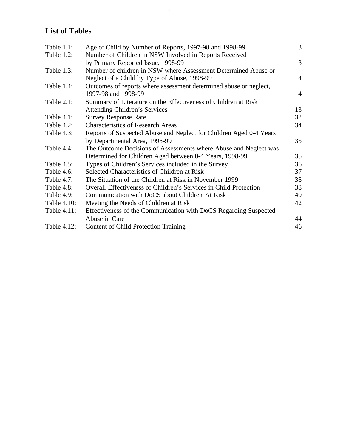# **List of Tables**

| Age of Child by Number of Reports, 1997-98 and 1998-99             | 3              |
|--------------------------------------------------------------------|----------------|
| Number of Children in NSW Involved in Reports Received             |                |
| by Primary Reported Issue, 1998-99                                 | 3              |
| Number of children in NSW where Assessment Determined Abuse or     |                |
| Neglect of a Child by Type of Abuse, 1998-99                       | $\overline{4}$ |
| Outcomes of reports where assessment determined abuse or neglect,  |                |
| 1997-98 and 1998-99                                                | $\overline{4}$ |
| Summary of Literature on the Effectiveness of Children at Risk     |                |
| <b>Attending Children's Services</b>                               | 13             |
| <b>Survey Response Rate</b>                                        | 32             |
| <b>Characteristics of Research Areas</b>                           | 34             |
| Reports of Suspected Abuse and Neglect for Children Aged 0-4 Years |                |
| by Departmental Area, 1998-99                                      | 35             |
| The Outcome Decisions of Assessments where Abuse and Neglect was   |                |
| Determined for Children Aged between 0-4 Years, 1998-99            | 35             |
| Types of Children's Services included in the Survey                | 36             |
| Selected Characteristics of Children at Risk                       | 37             |
| The Situation of the Children at Risk in November 1999             | 38             |
| Overall Effectiveness of Children's Services in Child Protection   | 38             |
| Communication with DoCS about Children At Risk                     | 40             |
| Meeting the Needs of Children at Risk                              | 42             |
| Effectiveness of the Communication with DoCS Regarding Suspected   |                |
| Abuse in Care                                                      | 44             |
| <b>Content of Child Protection Training</b>                        | 46             |
|                                                                    |                |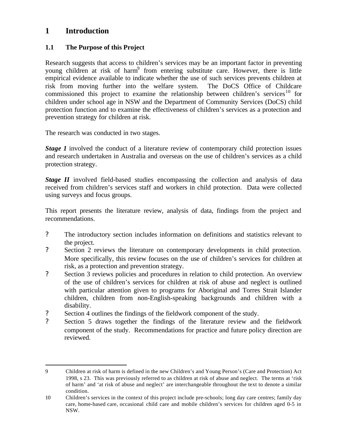# **1 Introduction**

 $\overline{a}$ 

# **1.1 The Purpose of this Project**

Research suggests that access to children's services may be an important factor in preventing young children at risk of harm<sup>9</sup> from entering substitute care. However, there is little empirical evidence available to indicate whether the use of such services prevents children at risk from moving further into the welfare system. The DoCS Office of Childcare commissioned this project to examine the relationship between children's services<sup>10</sup> for children under school age in NSW and the Department of Community Services (DoCS) child protection function and to examine the effectiveness of children's services as a protection and prevention strategy for children at risk.

The research was conducted in two stages.

*Stage 1* involved the conduct of a literature review of contemporary child protection issues and research undertaken in Australia and overseas on the use of children's services as a child protection strategy.

*Stage II* involved field-based studies encompassing the collection and analysis of data received from children's services staff and workers in child protection. Data were collected using surveys and focus groups.

This report presents the literature review, analysis of data, findings from the project and recommendations.

- ? The introductory section includes information on definitions and statistics relevant to the project.
- ? Section 2 reviews the literature on contemporary developments in child protection. More specifically, this review focuses on the use of children's services for children at risk, as a protection and prevention strategy.
- ? Section 3 reviews policies and procedures in relation to child protection. An overview of the use of children's services for children at risk of abuse and neglect is outlined with particular attention given to programs for Aboriginal and Torres Strait Islander children, children from non-English-speaking backgrounds and children with a disability.
- ? Section 4 outlines the findings of the fieldwork component of the study.
- ? Section 5 draws together the findings of the literature review and the fieldwork component of the study. Recommendations for practice and future policy direction are reviewed.

<sup>9</sup> Children at risk of harm is defined in the new Children's and Young Person's (Care and Protection) Act 1998, s 23. This was previously referred to as children at risk of abuse and neglect. The terms at 'risk of harm' and 'at risk of abuse and neglect' are interchangeable throughout the text to denote a similar condition.

<sup>10</sup> Children's services in the context of this project include pre-schools; long day care centres; family day care, home-based care, occasional child care and mobile children's services for children aged 0-5 in NSW.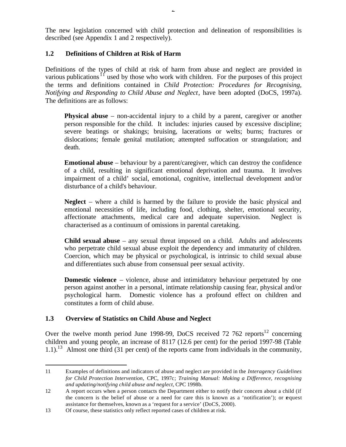The new legislation concerned with child protection and delineation of responsibilities is described (see Appendix 1 and 2 respectively).

### **1.2 Definitions of Children at Risk of Harm**

Definitions of the types of child at risk of harm from abuse and neglect are provided in various publications<sup>11</sup> used by those who work with children. For the purposes of this project the terms and definitions contained in *Child Protection: Procedures for Recognising, Notifying and Responding to Child Abuse and Neglect*, have been adopted (DoCS, 1997a). The definitions are as follows:

**Physical abuse** – non-accidental injury to a child by a parent, caregiver or another person responsible for the child. It includes: injuries caused by excessive discipline; severe beatings or shakings; bruising, lacerations or welts; burns; fractures or dislocations; female genital mutilation; attempted suffocation or strangulation; and death.

**Emotional abuse** – behaviour by a parent/caregiver, which can destroy the confidence of a child, resulting in significant emotional deprivation and trauma. It involves impairment of a child' social, emotional, cognitive, intellectual development and/or disturbance of a child's behaviour.

**Neglect** – where a child is harmed by the failure to provide the basic physical and emotional necessities of life, including food, clothing, shelter, emotional security, affectionate attachments, medical care and adequate supervision. Neglect is characterised as a continuum of omissions in parental caretaking.

**Child sexual abuse** – any sexual threat imposed on a child. Adults and adolescents who perpetrate child sexual abuse exploit the dependency and immaturity of children. Coercion, which may be physical or psychological, is intrinsic to child sexual abuse and differentiates such abuse from consensual peer sexual activity.

**Domestic violence** – violence, abuse and intimidatory behaviour perpetrated by one person against another in a personal, intimate relationship causing fear, physical and/or psychological harm. Domestic violence has a profound effect on children and constitutes a form of child abuse.

#### **1.3 Overview of Statistics on Child Abuse and Neglect**

 $\overline{a}$ 

Over the twelve month period June 1998-99, DoCS received  $72,762$  reports<sup>12</sup> concerning children and young people, an increase of 8117 (12.6 per cent) for the period 1997-98 (Table 1.1).<sup>13</sup> Almost one third (31 per cent) of the reports came from individuals in the community,

<sup>11</sup> Examples of definitions and indicators of abuse and neglect are provided in the *Interagency Guidelines for Child Protection Intervention,* CPC, 1997c; *Training Manual: Making a Difference, recognising and updating/notifying child abuse and neglect*, CPC 1998b.

<sup>12</sup> A report occurs when a person contacts the Department either to notify their concern about a child (if the concern is the belief of abuse or a need for care this is known as a 'notification'); or request assistance for themselves, known as a 'request for a service' (DoCS, 2000).

<sup>13</sup> Of course, these statistics only reflect reported cases of children at risk.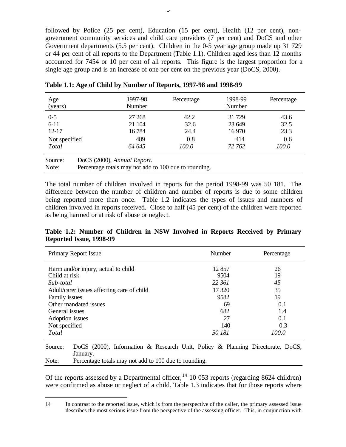followed by Police (25 per cent), Education (15 per cent), Health (12 per cent), nongovernment community services and child care providers (7 per cent) and DoCS and other Government departments (5.5 per cent). Children in the 0-5 year age group made up 31 729 or 44 per cent of all reports to the Department (Table 1.1). Children aged less than 12 months accounted for 7454 or 10 per cent of all reports. This figure is the largest proportion for a single age group and is an increase of one per cent on the previous year (DoCS, 2000).

| Age<br>(years)             |                                                       | 1997-98<br>Number           | Percentage  | 1998-99<br>Number | Percentage  |
|----------------------------|-------------------------------------------------------|-----------------------------|-------------|-------------------|-------------|
| $0 - 5$                    |                                                       | 27 268                      | 42.2        | 31 729            | 43.6        |
| $6 - 11$                   |                                                       | 21 104                      | 32.6        | 23 649            | 32.5        |
| $12 - 17$<br>Not specified |                                                       | 16784<br>489                | 24.4<br>0.8 | 16 970<br>414     | 23.3<br>0.6 |
| Total                      |                                                       | 64 645                      | 100.0       | 72 762            | 100.0       |
| Source:                    |                                                       | DoCS (2000), Annual Report. |             |                   |             |
| Note:                      | Percentage totals may not add to 100 due to rounding. |                             |             |                   |             |

**Table 1.1: Age of Child by Number of Reports, 1997-98 and 1998-99**

The total number of children involved in reports for the period 1998-99 was 50 181. The difference between the number of children and number of reports is due to some children being reported more than once. Table 1.2 indicates the types of issues and numbers of children involved in reports received. Close to half (45 per cent) of the children were reported as being harmed or at risk of abuse or neglect.

#### **Table 1.2: Number of Children in NSW Involved in Reports Received by Primary Reported Issue, 1998-99**

| Primary Report Issue                       | Number | Percentage |
|--------------------------------------------|--------|------------|
| Harm and/or injury, actual to child        | 12 857 | 26         |
| Child at risk                              | 9504   | 19         |
| Sub-total                                  | 22 361 | 45         |
| Adult/carer issues affecting care of child | 17 320 | 35         |
| Family issues                              | 9582   | 19         |
| Other mandated issues                      | 69     | 0.1        |
| General issues                             | 682    | 1.4        |
| Adoption issues                            | 27     | 0.1        |
| Not specified                              | 140    | 0.3        |
| Total                                      | 50 181 | 100.0      |
|                                            |        |            |

Source: DoCS (2000), Information & Research Unit, Policy & Planning Directorate, DoCS, January. Note: Percentage totals may not add to 100 due to rounding.

Of the reports assessed by a Departmental officer,  $^{14}$  10 053 reports (regarding 8624 children) were confirmed as abuse or neglect of a child. Table 1.3 indicates that for those reports where

 $\overline{a}$ 

<sup>14</sup> In contrast to the reported issue, which is from the perspective of the caller, the primary assessed issue describes the most serious issue from the perspective of the assessing officer. This, in conjunction with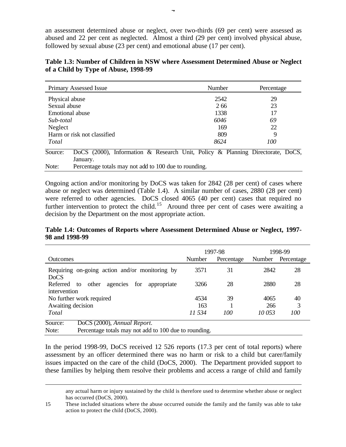an assessment determined abuse or neglect, over two-thirds (69 per cent) were assessed as abused and 22 per cent as neglected. Almost a third (29 per cent) involved physical abuse, followed by sexual abuse (23 per cent) and emotional abuse (17 per cent).

| Table 1.3: Number of Children in NSW where Assessment Determined Abuse or Neglect |  |  |
|-----------------------------------------------------------------------------------|--|--|
| of a Child by Type of Abuse, 1998-99                                              |  |  |

| Primary Assessed Issue                                                                    | Number                                                | Percentage |  |  |
|-------------------------------------------------------------------------------------------|-------------------------------------------------------|------------|--|--|
| Physical abuse                                                                            | 2542                                                  | 29         |  |  |
| Sexual abuse                                                                              | 2.66                                                  | 23         |  |  |
| Emotional abuse                                                                           | 1338                                                  | 17         |  |  |
| Sub-total                                                                                 | 6046                                                  | 69         |  |  |
| Neglect                                                                                   | 169                                                   | 22         |  |  |
| Harm or risk not classified                                                               | 809                                                   | 9          |  |  |
| Total                                                                                     | 8624                                                  | 100        |  |  |
| Source:<br>DoCS (2000), Information & Research Unit, Policy & Planning Directorate, DoCS, |                                                       |            |  |  |
| January.                                                                                  |                                                       |            |  |  |
| Note:                                                                                     | Percentage totals may not add to 100 due to rounding. |            |  |  |

Ongoing action and/or monitoring by DoCS was taken for 2842 (28 per cent) of cases where abuse or neglect was determined (Table 1.4). A similar number of cases, 2880 (28 per cent) were referred to other agencies. DoCS closed 4065 (40 per cent) cases that required no further intervention to protect the child.<sup>15</sup> Around three per cent of cases were awaiting a decision by the Department on the most appropriate action.

#### **Table 1.4: Outcomes of Reports where Assessment Determined Abuse or Neglect, 1997- 98 and 1998-99**

|                                                                                       | 1997-98 |            | 1998-99 |            |
|---------------------------------------------------------------------------------------|---------|------------|---------|------------|
| <b>Outcomes</b>                                                                       | Number  | Percentage | Number  | Percentage |
| Requiring on-going action and/or monitoring by                                        | 3571    | 31         | 2842    | 28         |
| D <sub>o</sub> CS<br>agencies<br>for<br>Referred to<br>other<br>appropriate           | 3266    | 28         | 2880    | 28         |
| intervention                                                                          |         |            |         |            |
| No further work required                                                              | 4534    | 39         | 4065    | 40         |
| Awaiting decision                                                                     | 163     |            | 266     | 3          |
| Total                                                                                 | 11.534  | 100        | 10 053  | 100        |
| Source:<br>DoCS (2000), Annual Report.                                                |         |            |         |            |
| Dependence totals more not add to $100$ due to nous ding<br>$N_{\alpha\lambda\alpha}$ |         |            |         |            |

Note: Percentage totals may not add to 100 due to rounding.

 $\overline{a}$ 

In the period 1998-99, DoCS received 12 526 reports (17.3 per cent of total reports) where assessment by an officer determined there was no harm or risk to a child but carer/family issues impacted on the care of the child (DoCS, 2000). The Department provided support to these families by helping them resolve their problems and access a range of child and family

any actual harm or injury sustained by the child is therefore used to determine whether abuse or neglect has occurred (DoCS, 2000).

<sup>15</sup> These included situations where the abuse occurred outside the family and the family was able to take action to protect the child (DoCS, 2000).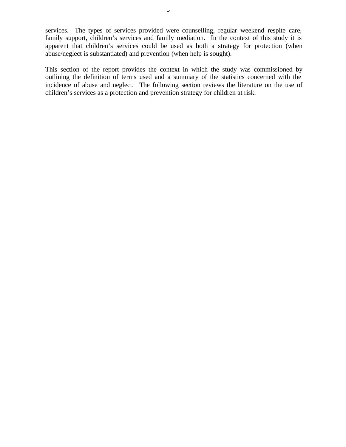services. The types of services provided were counselling, regular weekend respite care, family support, children's services and family mediation. In the context of this study it is apparent that children's services could be used as both a strategy for protection (when abuse/neglect is substantiated) and prevention (when help is sought).

This section of the report provides the context in which the study was commissioned by outlining the definition of terms used and a summary of the statistics concerned with the incidence of abuse and neglect. The following section reviews the literature on the use of children's services as a protection and prevention strategy for children at risk.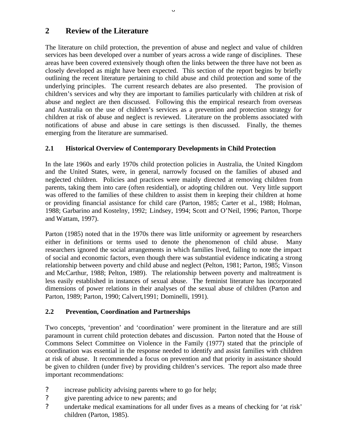# **2 Review of the Literature**

The literature on child protection, the prevention of abuse and neglect and value of children services has been developed over a number of years across a wide range of disciplines. These areas have been covered extensively though often the links between the three have not been as closely developed as might have been expected. This section of the report begins by briefly outlining the recent literature pertaining to child abuse and child protection and some of the underlying principles. The current research debates are also presented. The provision of children's services and why they are important to families particularly with children at risk of abuse and neglect are then discussed. Following this the empirical research from overseas and Australia on the use of children's services as a prevention and protection strategy for children at risk of abuse and neglect is reviewed. Literature on the problems associated with notifications of abuse and abuse in care settings is then discussed. Finally, the themes emerging from the literature are summarised.

 $\cup$ 

# **2.1 Historical Overview of Contemporary Developments in Child Protection**

In the late 1960s and early 1970s child protection policies in Australia, the United Kingdom and the United States, were, in general, narrowly focused on the families of abused and neglected children. Policies and practices were mainly directed at removing children from parents, taking them into care (often residential), or adopting children out. Very little support was offered to the families of these children to assist them in keeping their children at home or providing financial assistance for child care (Parton, 1985; Carter et al., 1988; Holman, 1988; Garbarino and Kostelny, 1992; Lindsey, 1994; Scott and O'Neil, 1996; Parton, Thorpe and Wattam, 1997).

Parton (1985) noted that in the 1970s there was little uniformity or agreement by researchers either in definitions or terms used to denote the phenomenon of child abuse. Many researchers ignored the social arrangements in which families lived, failing to note the impact of social and economic factors, even though there was substantial evidence indicating a strong relationship between poverty and child abuse and neglect (Pelton, 1981; Parton, 1985; Vinson and McCarthur, 1988; Pelton, 1989). The relationship between poverty and maltreatment is less easily established in instances of sexual abuse. The feminist literature has incorporated dimensions of power relations in their analyses of the sexual abuse of children (Parton and Parton, 1989; Parton, 1990; Calvert,1991; Dominelli, 1991).

# **2.2 Prevention, Coordination and Partnerships**

Two concepts, 'prevention' and 'coordination' were prominent in the literature and are still paramount in current child protection debates and discussion. Parton noted that the House of Commons Select Committee on Violence in the Family (1977) stated that the principle of coordination was essential in the response needed to identify and assist families with children at risk of abuse. It recommended a focus on prevention and that priority in assistance should be given to children (under five) by providing children's services. The report also made three important recommendations:

- ? increase publicity advising parents where to go for help;
- ? give parenting advice to new parents; and
- ? undertake medical examinations for all under fives as a means of checking for 'at risk' children (Parton, 1985).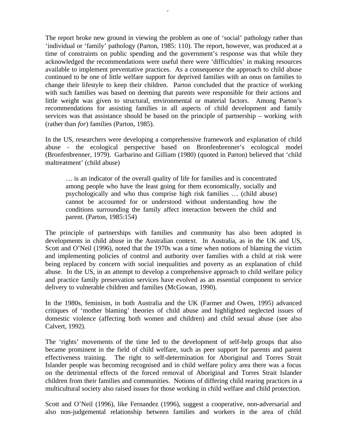The report broke new ground in viewing the problem as one of 'social' pathology rather than 'individual or 'family' pathology (Parton, 1985: 110). The report, however, was produced at a time of constraints on public spending and the government's response was that while they acknowledged the recommendations were useful there were 'difficulties' in making resources available to implement preventative practices. As a consequence the approach to child abuse continued to be one of little welfare support for deprived families with an onus on families to change their lifestyle to keep their children. Parton concluded that the practice of working with such families was based on deeming that parents were responsible for their actions and little weight was given to structural, environmental or material factors. Among Parton's recommendations for assisting families in all aspects of child development and family services was that assistance should be based on the principle of partnership – working *with* (rather than *for*) families (Parton, 1985).

7

In the US, researchers were developing a comprehensive framework and explanation of child abuse - the ecological perspective based on Bronfenbrenner's ecological model (Bronfenbrenner, 1979). Garbarino and Gilliam (1980) (quoted in Parton) believed that 'child maltreatment' (child abuse)

… is an indicator of the overall quality of life for families and is concentrated among people who have the least going for them economically, socially and psychologically and who thus comprise high risk families … (child abuse) cannot be accounted for or understood without understanding how the conditions surrounding the family affect interaction between the child and parent. (Parton, 1985:154)

The principle of partnerships with families and community has also been adopted in developments in child abuse in the Australian context. In Australia, as in the UK and US, Scott and O'Neil (1996), noted that the 1970s was a time when notions of blaming the victim and implementing policies of control and authority over families with a child at risk were being replaced by concern with social inequalities and poverty as an explanation of child abuse. In the US, in an attempt to develop a comprehensive approach to child welfare policy and practice family preservation services have evolved as an essential component to service delivery to vulnerable children and families (McGowan, 1990).

In the 1980s, feminism, in both Australia and the UK (Farmer and Owen, 1995) advanced critiques of 'mother blaming' theories of child abuse and highlighted neglected issues of domestic violence (affecting both women and children) and child sexual abuse (see also Calvert, 1992).

The 'rights' movements of the time led to the development of self-help groups that also became prominent in the field of child welfare, such as peer support for parents and parent effectiveness training. The right to self-determination for Aboriginal and Torres Strait Islander people was becoming recognised and in child welfare policy area there was a focus on the detrimental effects of the forced removal of Aboriginal and Torres Strait Islander children from their families and communities. Notions of differing child rearing practices in a multicultural society also raised issues for those working in child welfare and child protection.

Scott and O'Neil (1996), like Fernandez (1996), suggest a cooperative, non-adversarial and also non-judgemental relationship between families and workers in the area of child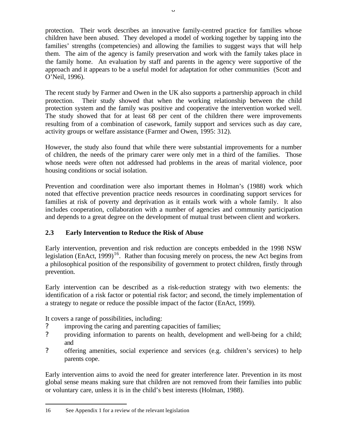protection. Their work describes an innovative family-centred practice for families whose children have been abused. They developed a model of working together by tapping into the families' strengths (competencies) and allowing the families to suggest ways that will help them. The aim of the agency is family preservation and work with the family takes place in the family home. An evaluation by staff and parents in the agency were supportive of the approach and it appears to be a useful model for adaptation for other communities (Scott and O'Neil, 1996).

The recent study by Farmer and Owen in the UK also supports a partnership approach in child protection. Their study showed that when the working relationship between the child protection system and the family was positive and cooperative the intervention worked well. The study showed that for at least 68 per cent of the children there were improvements resulting from of a combination of casework, family support and services such as day care, activity groups or welfare assistance (Farmer and Owen, 1995: 312).

However, the study also found that while there were substantial improvements for a number of children, the needs of the primary carer were only met in a third of the families. Those whose needs were often not addressed had problems in the areas of marital violence, poor housing conditions or social isolation.

Prevention and coordination were also important themes in Holman's (1988) work which noted that effective prevention practice needs resources in coordinating support services for families at risk of poverty and deprivation as it entails work with a whole family. It also includes cooperation, collaboration with a number of agencies and community participation and depends to a great degree on the development of mutual trust between client and workers.

# **2.3 Early Intervention to Reduce the Risk of Abuse**

Early intervention, prevention and risk reduction are concepts embedded in the 1998 NSW legislation (EnAct,  $1999$ )<sup>16</sup>. Rather than focusing merely on process, the new Act begins from a philosophical position of the responsibility of government to protect children, firstly through prevention.

Early intervention can be described as a risk-reduction strategy with two elements: the identification of a risk factor or potential risk factor; and second, the timely implementation of a strategy to negate or reduce the possible impact of the factor (EnAct, 1999).

It covers a range of possibilities, including:

- ? improving the caring and parenting capacities of families;
- ? providing information to parents on health, development and well-being for a child; and
- ? offering amenities, social experience and services (e.g. children's services) to help parents cope.

Early intervention aims to avoid the need for greater interference later. Prevention in its most global sense means making sure that children are not removed from their families into public or voluntary care, unless it is in the child's best interests (Holman, 1988).

 $\overline{a}$ 

<sup>16</sup> See Appendix 1 for a review of the relevant legislation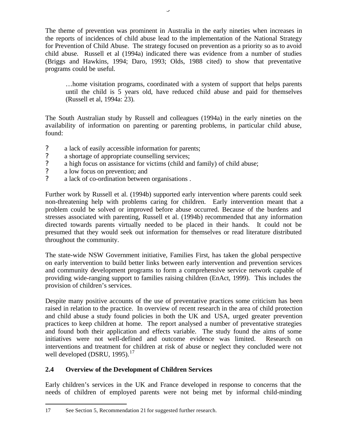The theme of prevention was prominent in Australia in the early nineties when increases in the reports of incidences of child abuse lead to the implementation of the National Strategy for Prevention of Child Abuse. The strategy focused on prevention as a priority so as to avoid child abuse. Russell et al (1994a) indicated there was evidence from a number of studies (Briggs and Hawkins, 1994; Daro, 1993; Olds, 1988 cited) to show that preventative programs could be useful.

…home visitation programs, coordinated with a system of support that helps parents until the child is 5 years old, have reduced child abuse and paid for themselves (Russell et al, 1994a: 23).

The South Australian study by Russell and colleagues (1994a) in the early nineties on the availability of information on parenting or parenting problems, in particular child abuse, found:

- ? a lack of easily accessible information for parents;<br>? a shortage of appropriate counselling services:
- a shortage of appropriate counselling services;
- ? a high focus on assistance for victims (child and family) of child abuse;<br>? a low focus on prevention: and
- a low focus on prevention; and
- ? a lack of co-ordination between organisations .

Further work by Russell et al. (1994b) supported early intervention where parents could seek non-threatening help with problems caring for children. Early intervention meant that a problem could be solved or improved before abuse occurred. Because of the burdens and stresses associated with parenting, Russell et al. (1994b) recommended that any information directed towards parents virtually needed to be placed in their hands. It could not be presumed that they would seek out information for themselves or read literature distributed throughout the community.

The state-wide NSW Government initiative, Families First, has taken the global perspective on early intervention to build better links between early intervention and prevention services and community development programs to form a comprehensive service network capable of providing wide-ranging support to families raising children (EnAct, 1999). This includes the provision of children's services.

Despite many positive accounts of the use of preventative practices some criticism has been raised in relation to the practice. In overview of recent research in the area of child protection and child abuse a study found policies in both the UK and USA, urged greater prevention practices to keep children at home. The report analysed a number of preventative strategies and found both their application and effects variable. The study found the aims of some initiatives were not well-defined and outcome evidence was limited. Research on interventions and treatment for children at risk of abuse or neglect they concluded were not well developed (DSRU, 1995). $17$ 

# **2.4 Overview of the Development of Children Services**

Early children's services in the UK and France developed in response to concerns that the needs of children of employed parents were not being met by informal child-minding

 $\overline{a}$ 

<sup>17</sup> See Section 5, Recommendation 21 for suggested further research.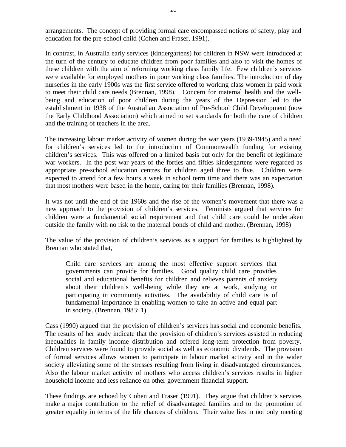arrangements. The concept of providing formal care encompassed notions of safety, play and education for the pre-school child (Cohen and Fraser, 1991).

In contrast, in Australia early services (kindergartens) for children in NSW were introduced at the turn of the century to educate children from poor families and also to visit the homes of these children with the aim of reforming working class family life. Few children's services were available for employed mothers in poor working class families. The introduction of day nurseries in the early 1900s was the first service offered to working class women in paid work to meet their child care needs (Brennan, 1998). Concern for maternal health and the wellbeing and education of poor children during the years of the Depression led to the establishment in 1938 of the Australian Association of Pre-School Child Development (now the Early Childhood Association) which aimed to set standards for both the care of children and the training of teachers in the area.

The increasing labour market activity of women during the war years (1939-1945) and a need for children's services led to the introduction of Commonwealth funding for existing children's services. This was offered on a limited basis but only for the benefit of legitimate war workers. In the post war years of the forties and fifties kindergartens were regarded as appropriate pre-school education centres for children aged three to five. Children were expected to attend for a few hours a week in school term time and there was an expectation that most mothers were based in the home, caring for their families (Brennan, 1998).

It was not until the end of the 1960s and the rise of the women's movement that there was a new approach to the provision of children's services. Feminists argued that services for children were a fundamental social requirement and that child care could be undertaken outside the family with no risk to the maternal bonds of child and mother. (Brennan, 1998)

The value of the provision of children's services as a support for families is highlighted by Brennan who stated that,

Child care services are among the most effective support services that governments can provide for families. Good quality child care provides social and educational benefits for children and relieves parents of anxiety about their children's well-being while they are at work, studying or participating in community activities. The availability of child care is of fundamental importance in enabling women to take an active and equal part in society. (Brennan, 1983: 1)

Cass (1990) argued that the provision of children's services has social and economic benefits. The results of her study indicate that the provision of children's services assisted in reducing inequalities in family income distribution and offered long-term protection from poverty. Children services were found to provide social as well as economic dividends. The provision of formal services allows women to participate in labour market activity and in the wider society alleviating some of the stresses resulting from living in disadvantaged circumstances. Also the labour market activity of mothers who access children's services results in higher household income and less reliance on other government financial support.

These findings are echoed by Cohen and Fraser (1991). They argue that children's services make a major contribution to the relief of disadvantaged families and to the promotion of greater equality in terms of the life chances of children. Their value lies in not only meeting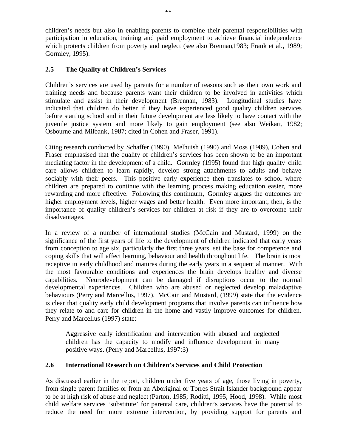children's needs but also in enabling parents to combine their parental responsibilities with participation in education, training and paid employment to achieve financial independence which protects children from poverty and neglect (see also Brennan,1983; Frank et al., 1989; Gormley, 1995).

### **2.5 The Quality of Children's Services**

Children's services are used by parents for a number of reasons such as their own work and training needs and because parents want their children to be involved in activities which stimulate and assist in their development (Brennan, 1983). Longitudinal studies have indicated that children do better if they have experienced good quality children services before starting school and in their future development are less likely to have contact with the juvenile justice system and more likely to gain employment (see also Weikart, 1982; Osbourne and Milbank, 1987; cited in Cohen and Fraser, 1991).

Citing research conducted by Schaffer (1990), Melhuish (1990) and Moss (1989), Cohen and Fraser emphasised that the quality of children's services has been shown to be an important mediating factor in the development of a child. Gormley (1995) found that high quality child care allows children to learn rapidly, develop strong attachments to adults and behave sociably with their peers. This positive early experience then translates to school where children are prepared to continue with the learning process making education easier, more rewarding and more effective. Following this continuum, Gormley argues the outcomes are higher employment levels, higher wages and better health. Even more important, then, is the importance of quality children's services for children at risk if they are to overcome their disadvantages.

In a review of a number of international studies (McCain and Mustard, 1999) on the significance of the first years of life to the development of children indicated that early years from conception to age six, particularly the first three years, set the base for competence and coping skills that will affect learning, behaviour and health throughout life. The brain is most receptive in early childhood and matures during the early years in a sequential manner. With the most favourable conditions and experiences the brain develops healthy and diverse capabilities. Neurodevelopment can be damaged if disruptions occur to the normal developmental experiences. Children who are abused or neglected develop maladaptive behaviours (Perry and Marcellus, 1997). McCain and Mustard, (1999) state that the evidence is clear that quality early child development programs that involve parents can influence how they relate to and care for children in the home and vastly improve outcomes for children. Perry and Marcellus (1997) state:

Aggressive early identification and intervention with abused and neglected children has the capacity to modify and influence development in many positive ways. (Perry and Marcellus, 1997:3)

#### **2.6 International Research on Children's Services and Child Protection**

As discussed earlier in the report, children under five years of age, those living in poverty, from single parent families or from an Aboriginal or Torres Strait Islander background appear to be at high risk of abuse and neglect (Parton, 1985; Roditti, 1995; Hood, 1998). While most child welfare services 'substitute' for parental care, children's services have the potential to reduce the need for more extreme intervention, by providing support for parents and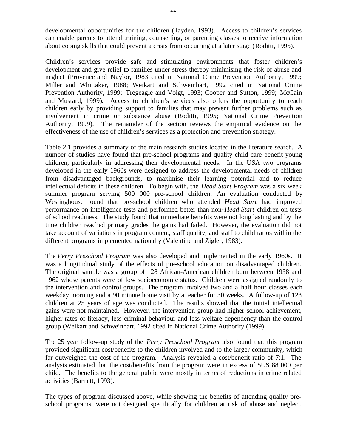developmental opportunities for the children (Hayden, 1993). Access to children's services can enable parents to attend training, counselling, or parenting classes to receive information about coping skills that could prevent a crisis from occurring at a later stage (Roditti, 1995).

Children's services provide safe and stimulating environments that foster children's development and give relief to families under stress thereby minimising the risk of abuse and neglect (Provence and Naylor, 1983 cited in National Crime Prevention Authority, 1999; Miller and Whittaker, 1988; Weikart and Schweinhart, 1992 cited in National Crime Prevention Authority, 1999; Tregeagle and Voigt, 1993; Cooper and Sutton, 1999; McCain and Mustard, 1999). Access to children's services also offers the opportunity to reach children early by providing support to families that may prevent further problems such as involvement in crime or substance abuse (Roditti, 1995; National Crime Prevention Authority, 1999). The remainder of the section reviews the empirical evidence on the effectiveness of the use of children's services as a protection and prevention strategy.

Table 2.1 provides a summary of the main research studies located in the literature search. A number of studies have found that pre-school programs and quality child care benefit young children, particularly in addressing their developmental needs. In the USA two programs developed in the early 1960s were designed to address the developmental needs of children from disadvantaged backgrounds, to maximise their learning potential and to reduce intellectual deficits in these children. To begin with, the *Head Start Program* was a six week summer program serving 500 000 pre-school children. An evaluation conducted by Westinghouse found that pre-school children who attended *Head Start* had improved performance on intelligence tests and performed better than non-*Head Start* children on tests of school readiness. The study found that immediate benefits were not long lasting and by the time children reached primary grades the gains had faded. However, the evaluation did not take account of variations in program content, staff quality, and staff to child ratios within the different programs implemented nationally (Valentine and Zigler, 1983).

The *Perry Preschool Program* was also developed and implemented in the early 1960s. It was a longitudinal study of the effects of pre-school education on disadvantaged children. The original sample was a group of 128 African-American children born between 1958 and 1962 whose parents were of low socioeconomic status. Children were assigned randomly to the intervention and control groups. The program involved two and a half hour classes each weekday morning and a 90 minute home visit by a teacher for 30 weeks. A follow-up of 123 children at 25 years of age was conducted. The results showed that the initial intellectual gains were not maintained. However, the intervention group had higher school achievement, higher rates of literacy, less criminal behaviour and less welfare dependency than the control group (Weikart and Schweinhart, 1992 cited in National Crime Authority (1999).

The 25 year follow-up study of the *Perry Preschool Program* also found that this program provided significant cost/benefits to the children involved and to the larger community, which far outweighed the cost of the program. Analysis revealed a cost/benefit ratio of 7:1. The analysis estimated that the cost/benefits from the program were in excess of \$US 88 000 per child. The benefits to the general public were mostly in terms of reductions in crime related activities (Barnett, 1993).

The types of program discussed above, while showing the benefits of attending quality preschool programs, were not designed specifically for children at risk of abuse and neglect.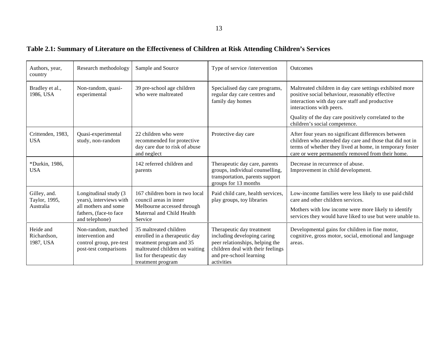# **Table 2.1: Summary of Literature on the Effectiveness of Children at Risk Attending Children's Services**

| Authors, year,<br>country                  | Research methodology                                                                                                 | Sample and Source                                                                                                                                                      | Type of service /intervention                                                                                                                                             | Outcomes                                                                                                                                                                                                                                                          |
|--------------------------------------------|----------------------------------------------------------------------------------------------------------------------|------------------------------------------------------------------------------------------------------------------------------------------------------------------------|---------------------------------------------------------------------------------------------------------------------------------------------------------------------------|-------------------------------------------------------------------------------------------------------------------------------------------------------------------------------------------------------------------------------------------------------------------|
| Bradley et al.,<br>1986, USA               | Non-random, quasi-<br>experimental                                                                                   | 39 pre-school age children<br>who were maltreated                                                                                                                      | Specialised day care programs,<br>regular day care centres and<br>family day homes                                                                                        | Maltreated children in day care settings exhibited more<br>positive social behaviour, reasonably effective<br>interaction with day care staff and productive<br>interactions with peers.<br>Quality of the day care positively correlated to the                  |
| Crittenden, 1983,<br><b>USA</b>            | Quasi-experimental<br>study, non-random                                                                              | 22 children who were<br>recommended for protective<br>day care due to risk of abuse<br>and neglect                                                                     | Protective day care                                                                                                                                                       | children's social competence.<br>After four years no significant differences between<br>children who attended day care and those that did not in<br>terms of whether they lived at home, in temporary foster<br>care or were permanently removed from their home. |
| *Durkin, 1986,<br><b>USA</b>               |                                                                                                                      | 142 referred children and<br>parents                                                                                                                                   | Therapeutic day care, parents<br>groups, individual counselling,<br>transportation, parents support<br>groups for 13 months                                               | Decrease in recurrence of abuse.<br>Improvement in child development.                                                                                                                                                                                             |
| Gilley, and.<br>Taylor, 1995,<br>Australia | Longitudinal study (3<br>years), interviews with<br>all mothers and some<br>fathers, (face-to face<br>and telephone) | 167 children born in two local<br>council areas in inner<br>Melbourne accessed through<br>Maternal and Child Health<br>Service                                         | Paid child care, health services,<br>play groups, toy libraries                                                                                                           | Low-income families were less likely to use paid child<br>care and other children services.<br>Mothers with low income were more likely to identify<br>services they would have liked to use but were unable to.                                                  |
| Heide and<br>Richardson,<br>1987, USA      | Non-random, matched<br>intervention and<br>control group, pre-test<br>post-test comparisons                          | 35 maltreated children<br>enrolled in a therapeutic day<br>treatment program and 35<br>maltreated children on waiting<br>list for therapeutic day<br>treatment program | Therapeutic day treatment<br>including developing caring<br>peer relationships, helping the<br>children deal with their feelings<br>and pre-school learning<br>activities | Developmental gains for children in fine motor,<br>cognitive, gross motor, social, emotional and language<br>areas.                                                                                                                                               |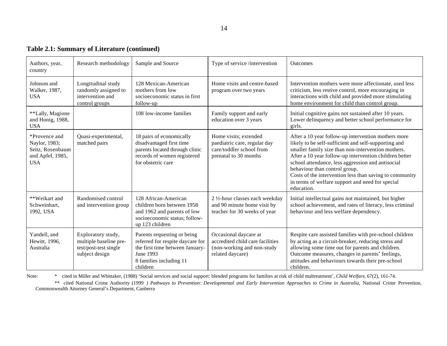|  | <b>Table 2.1: Summary of Literature (continued)</b> |
|--|-----------------------------------------------------|
|  |                                                     |

| Authors, year,<br>country                                                            | Research methodology                                                                    | Sample and Source                                                                                                                                      | Type of service /intervention                                                                               | <b>Outcomes</b>                                                                                                                                                                                                                                                                                                                                                                                                                                |
|--------------------------------------------------------------------------------------|-----------------------------------------------------------------------------------------|--------------------------------------------------------------------------------------------------------------------------------------------------------|-------------------------------------------------------------------------------------------------------------|------------------------------------------------------------------------------------------------------------------------------------------------------------------------------------------------------------------------------------------------------------------------------------------------------------------------------------------------------------------------------------------------------------------------------------------------|
| Johnson and<br>Walker, 1987,<br><b>USA</b>                                           | Longitudinal study<br>randomly assigned to<br>intervention and<br>control groups        | 128 Mexican-American<br>mothers from low<br>socioeconomic status in first<br>follow-up                                                                 | Home visits and centre-based<br>program over two years                                                      | Intervention mothers were more affectionate, used less<br>criticism, less restive control, more encouraging in<br>interactions with child and provided more stimulating<br>home environment for child than control group.                                                                                                                                                                                                                      |
| **Lally, Magione<br>and Honig, 1988,<br><b>USA</b>                                   |                                                                                         | 108 low-income families                                                                                                                                | Family support and early<br>education over 3 years                                                          | Initial cognitive gains not sustained after 10 years.<br>Lower delinquency and better school performance for<br>girls.                                                                                                                                                                                                                                                                                                                         |
| *Provence and<br>Naylor, 1983;<br>Seitz, Rosenbaum<br>and Apfel, 1985,<br><b>USA</b> | Quasi-experimental,<br>matched pairs                                                    | 18 pairs of economically<br>disadvantaged first time<br>parents located through clinic<br>records of women registered<br>for obstetric care            | Home visits; extended<br>paediatric care, regular day<br>care/toddler school from<br>prenatal to 30 months  | After a 10 year follow-up intervention mothers more<br>likely to be self-sufficient and self-supporting and<br>smaller family size than non-intervention mothers.<br>After a 10 year follow-up intervention children better<br>school attendance, less aggression and antisocial<br>behaviour than control group.<br>Costs of the intervention less than saving to community<br>in terms of welfare support and need for special<br>education. |
| **Weikart and<br>Schweinhart,<br>1992, USA                                           | Randomised control<br>and intervention group                                            | 128 African-American<br>children born between 1958<br>and 1962 and parents of low<br>socioeconomic status; follow-<br>up 123 children                  | 2 1/2-hour classes each weekday<br>and 90 minute home visit by<br>teacher for 30 weeks of year              | Initial intellectual gains not maintained, but higher<br>school achievement, and rates of literacy, less criminal<br>behaviour and less welfare dependency.                                                                                                                                                                                                                                                                                    |
| Yandell, and<br>Hewitt, 1996,<br>Australia                                           | Exploratory study,<br>multiple baseline pre-<br>test/post-test single<br>subject design | Parents requesting or being<br>referred for respite daycare for<br>the first time between January-<br>June 1993<br>8 families including 11<br>children | Occasional daycare at<br>accredited child care facilities<br>(non-working and non-study<br>related daycare) | Respite care assisted families with pre-school children<br>by acting as a circuit-breaker, reducing stress and<br>allowing some time out for parents and children.<br>Outcome measures, changes in parents' feelings,<br>attitudes and behaviours towards their pre-school<br>children.                                                                                                                                                        |

Note: \* cited in Miller and Whittaker, (1988) 'Social services and social support: blended programs for families at risk of child maltreatment', *Child Welfare*, 67(2), 161-74.

\*\* cited National Crime Authority (1999 *) Pathways to Prevention*: *Developmental and Early Intervention Approaches to Crime in Australia*, National Crime Prevention, Commonwealth Attorney General's Department, Canberra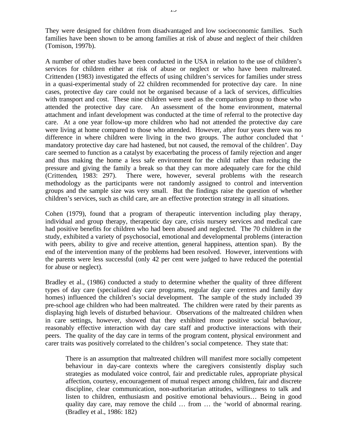They were designed for children from disadvantaged and low socioeconomic families. Such families have been shown to be among families at risk of abuse and neglect of their children (Tomison, 1997b).

A number of other studies have been conducted in the USA in relation to the use of children's services for children either at risk of abuse or neglect or who have been maltreated. Crittenden (1983) investigated the effects of using children's services for families under stress in a quasi-experimental study of 22 children recommended for protective day care. In nine cases, protective day care could not be organised because of a lack of services, difficulties with transport and cost. These nine children were used as the comparison group to those who attended the protective day care. An assessment of the home environment, maternal attachment and infant development was conducted at the time of referral to the protective day care. At a one year follow-up more children who had not attended the protective day care were living at home compared to those who attended. However, after four years there was no difference in where children were living in the two groups. The author concluded that ' mandatory protective day care had hastened, but not caused, the removal of the children'. Day care seemed to function as a catalyst by exacerbating the process of family rejection and anger and thus making the home a less safe environment for the child rather than reducing the pressure and giving the family a break so that they can more adequately care for the child (Crittenden, 1983: 297). There were, however, several problems with the research methodology as the participants were not randomly assigned to control and intervention groups and the sample size was very small. But the findings raise the question of whether children's services, such as child care, are an effective protection strategy in all situations.

Cohen (1979), found that a program of therapeutic intervention including play therapy, individual and group therapy, therapeutic day care, crisis nursery services and medical care had positive benefits for children who had been abused and neglected. The 70 children in the study, exhibited a variety of psychosocial, emotional and developmental problems (interaction with peers, ability to give and receive attention, general happiness, attention span). By the end of the intervention many of the problems had been resolved. However, interventions with the parents were less successful (only 42 per cent were judged to have reduced the potential for abuse or neglect).

Bradley et al., (1986) conducted a study to determine whether the quality of three different types of day care (specialised day care programs, regular day care centres and family day homes) influenced the children's social development. The sample of the study included 39 pre-school age children who had been maltreated. The children were rated by their parents as displaying high levels of disturbed behaviour. Observations of the maltreated children when in care settings, however, showed that they exhibited more positive social behaviour, reasonably effective interaction with day care staff and productive interactions with their peers. The quality of the day care in terms of the program content, physical environment and carer traits was positively correlated to the children's social competence. They state that:

There is an assumption that maltreated children will manifest more socially competent behaviour in day-care contexts where the caregivers consistently display such strategies as modulated voice control, fair and predictable rules, appropriate physical affection, courtesy, encouragement of mutual respect among children, fair and discrete discipline, clear communication, non-authoritarian attitudes, willingness to talk and listen to children, enthusiasm and positive emotional behaviours… Being in good quality day care, may remove the child … from … the 'world of abnormal rearing. (Bradley et al., 1986: 182)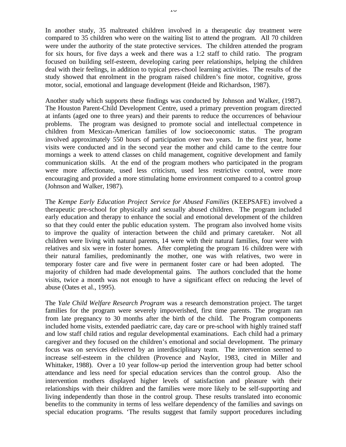In another study, 35 maltreated children involved in a therapeutic day treatment were compared to 35 children who were on the waiting list to attend the program. All 70 children were under the authority of the state protective services. The children attended the program for six hours, for five days a week and there was a 1:2 staff to child ratio. The program focused on building self-esteem, developing caring peer relationships, helping the children deal with their feelings, in addition to typical pres-chool learning activities. The results of the study showed that enrolment in the program raised children's fine motor, cognitive, gross motor, social, emotional and language development (Heide and Richardson, 1987).

Another study which supports these findings was conducted by Johnson and Walker, (1987). The Houston Parent-Child Development Centre, used a primary prevention program directed at infants (aged one to three years) and their parents to reduce the occurrences of behaviour problems. The program was designed to promote social and intellectual competence in children from Mexican-American families of low socioeconomic status. The program involved approximately 550 hours of participation over two years. In the first year, home visits were conducted and in the second year the mother and child came to the centre four mornings a week to attend classes on child management, cognitive development and family communication skills. At the end of the program mothers who participated in the program were more affectionate, used less criticism, used less restrictive control, were more encouraging and provided a more stimulating home environment compared to a control group (Johnson and Walker, 1987).

The *Kempe Early Education Project Service for Abused Families* (KEEPSAFE) involved a therapeutic pre-school for physically and sexually abused children. The program included early education and therapy to enhance the social and emotional development of the children so that they could enter the public education system. The program also involved home visits to improve the quality of interaction between the child and primary caretaker. Not all children were living with natural parents, 14 were with their natural families, four were with relatives and six were in foster homes. After completing the program 16 children were with their natural families, predominantly the mother, one was with relatives, two were in temporary foster care and five were in permanent foster care or had been adopted. The majority of children had made developmental gains. The authors concluded that the home visits, twice a month was not enough to have a significant effect on reducing the level of abuse (Oates et al., 1995).

The *Yale Child Welfare Research Program* was a research demonstration project. The target families for the program were severely impoverished, first time parents. The program ran from late pregnancy to 30 months after the birth of the child. The Program components included home visits, extended paediatric care, day care or pre-school with highly trained staff and low staff child ratios and regular developmental examinations. Each child had a primary caregiver and they focused on the children's emotional and social development. The primary focus was on services delivered by an interdisciplinary team. The intervention seemed to increase self-esteem in the children (Provence and Naylor, 1983, cited in Miller and Whittaker, 1988). Over a 10 year follow-up period the intervention group had better school attendance and less need for special education services than the control group. Also the intervention mothers displayed higher levels of satisfaction and pleasure with their relationships with their children and the families were more likely to be self-supporting and living independently than those in the control group. These results translated into economic benefits to the community in terms of less welfare dependency of the families and savings on special education programs. 'The results suggest that family support procedures including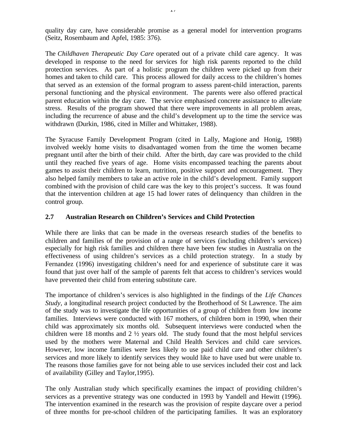quality day care, have considerable promise as a general model for intervention programs (Seitz, Rosembaum and Apfel, 1985: 376).

The *Childhaven Therapeutic Day Care* operated out of a private child care agency. It was developed in response to the need for services for high risk parents reported to the child protection services. As part of a holistic program the children were picked up from their homes and taken to child care. This process allowed for daily access to the children's homes that served as an extension of the formal program to assess parent-child interaction, parents personal functioning and the physical environment. The parents were also offered practical parent education within the day care. The service emphasised concrete assistance to alleviate stress. Results of the program showed that there were improvements in all problem areas, including the recurrence of abuse and the child's development up to the time the service was withdrawn (Durkin, 1986, cited in Miller and Whittaker, 1988).

The Syracuse Family Development Program (cited in Lally, Magione and Honig, 1988) involved weekly home visits to disadvantaged women from the time the women became pregnant until after the birth of their child. After the birth, day care was provided to the child until they reached five years of age. Home visits encompassed teaching the parents about games to assist their children to learn, nutrition, positive support and encouragement. They also helped family members to take an active role in the child's development. Family support combined with the provision of child care was the key to this project's success. It was found that the intervention children at age 15 had lower rates of delinquency than children in the control group.

### **2.7 Australian Research on Children's Services and Child Protection**

While there are links that can be made in the overseas research studies of the benefits to children and families of the provision of a range of services (including children's services) especially for high risk families and children there have been few studies in Australia on the effectiveness of using children's services as a child protection strategy. In a study by Fernandez (1996) investigating children's need for and experience of substitute care it was found that just over half of the sample of parents felt that access to children's services would have prevented their child from entering substitute care.

The importance of children's services is also highlighted in the findings of the *Life Chances Study,* a longitudinal research project conducted by the Brotherhood of St Lawrence. The aim of the study was to investigate the life opportunities of a group of children from low income families. Interviews were conducted with 167 mothers, of children born in 1990, when their child was approximately six months old. Subsequent interviews were conducted when the children were 18 months and 2  $\frac{1}{2}$  years old. The study found that the most helpful services used by the mothers were Maternal and Child Health Services and child care services. However, low income families were less likely to use paid child care and other children's services and more likely to identify services they would like to have used but were unable to. The reasons those families gave for not being able to use services included their cost and lack of availability (Gilley and Taylor,1995).

The only Australian study which specifically examines the impact of providing children's services as a preventive strategy was one conducted in 1993 by Yandell and Hewitt (1996). The intervention examined in the research was the provision of respite daycare over a period of three months for pre-school children of the participating families. It was an exploratory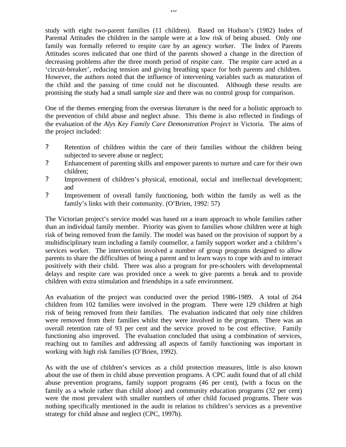study with eight two-parent families (11 children). Based on Hudson's (1982) Index of Parental Attitudes the children in the sample were at a low risk of being abused. Only one family was formally referred to respite care by an agency worker. The Index of Parents Attitudes scores indicated that one third of the parents showed a change in the direction of decreasing problems after the three month period of respite care. The respite care acted as a 'circuit-breaker', reducing tension and giving breathing space for both parents and children. However, the authors noted that the influence of intervening variables such as maturation of the child and the passing of time could not be discounted. Although these results are promising the study had a small sample size and there was no control group for comparison.

One of the themes emerging from the overseas literature is the need for a holistic approach to the prevention of child abuse and neglect abuse. This theme is also reflected in findings of the evaluation of the *Alys Key Family Care Demonstration Project* in Victoria. The aims of the project included:

- ? Retention of children within the care of their families without the children being subjected to severe abuse or neglect;
- ? Enhancement of parenting skills and empower parents to nurture and care for their own children;
- ? Improvement of children's physical, emotional, social and intellectual development; and
- ? Improvement of overall family functioning, both within the family as well as the family's links with their community. (O'Brien, 1992: 57)

The Victorian project's service model was based on a team approach to whole families rather than an individual family member. Priority was given to families whose children were at high risk of being removed from the family. The model was based on the provision of support by a multidisciplinary team including a family counsellor, a family support worker and a children's services worker. The intervention involved a number of group programs designed to allow parents to share the difficulties of being a parent and to learn ways to cope with and to interact positively with their child. There was also a program for pre-schoolers with developmental delays and respite care was provided once a week to give parents a break and to provide children with extra stimulation and friendships in a safe environment.

An evaluation of the project was conducted over the period 1986-1989. A total of 264 children from 102 families were involved in the program. There were 129 children at high risk of being removed from their families. The evaluation indicated that only nine children were removed from their families whilst they were involved in the program. There was an overall retention rate of 93 per cent and the service proved to be cost effective. Family functioning also improved. The evaluation concluded that using a combination of services, reaching out to families and addressing all aspects of family functioning was important in working with high risk families (O'Brien, 1992).

As with the use of children's services as a child protection measures, little is also known about the use of them in child abuse prevention programs. A CPC audit found that of all child abuse prevention programs, family support programs (46 per cent), (with a focus on the family as a whole rather than child alone) and community education programs (32 per cent) were the most prevalent with smaller numbers of other child focused programs. There was nothing specifically mentioned in the audit in relation to children's services as a preventive strategy for child abuse and neglect (CPC, 1997b).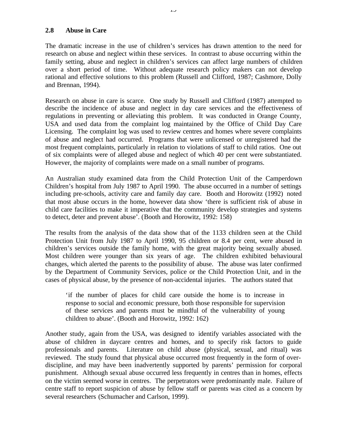The dramatic increase in the use of children's services has drawn attention to the need for research on abuse and neglect within these services. In contrast to abuse occurring within the family setting, abuse and neglect in children's services can affect large numbers of children over a short period of time. Without adequate research policy makers can not develop rational and effective solutions to this problem (Russell and Clifford, 1987; Cashmore, Dolly and Brennan, 1994).

Research on abuse in care is scarce. One study by Russell and Clifford (1987) attempted to describe the incidence of abuse and neglect in day care services and the effectiveness of regulations in preventing or alleviating this problem. It was conducted in Orange County, USA and used data from the complaint log maintained by the Office of Child Day Care Licensing. The complaint log was used to review centres and homes where severe complaints of abuse and neglect had occurred. Programs that were unlicensed or unregistered had the most frequent complaints, particularly in relation to violations of staff to child ratios. One out of six complaints were of alleged abuse and neglect of which 40 per cent were substantiated. However, the majority of complaints were made on a small number of programs.

An Australian study examined data from the Child Protection Unit of the Camperdown Children's hospital from July 1987 to April 1990. The abuse occurred in a number of settings including pre-schools, activity care and family day care. Booth and Horowitz (1992) noted that most abuse occurs in the home, however data show 'there is sufficient risk of abuse in child care facilities to make it imperative that the community develop strategies and systems to detect, deter and prevent abuse'. (Booth and Horowitz, 1992: 158)

The results from the analysis of the data show that of the 1133 children seen at the Child Protection Unit from July 1987 to April 1990, 95 children or 8.4 per cent, were abused in children's services outside the family home, with the great majority being sexually abused. Most children were younger than six years of age. The children exhibited behavioural changes, which alerted the parents to the possibility of abuse. The abuse was later confirmed by the Department of Community Services, police or the Child Protection Unit, and in the cases of physical abuse, by the presence of non-accidental injuries. The authors stated that

'if the number of places for child care outside the home is to increase in response to social and economic pressure, both those responsible for supervision of these services and parents must be mindful of the vulnerability of young children to abuse'. (Booth and Horowitz, 1992: 162)

Another study, again from the USA, was designed to identify variables associated with the abuse of children in daycare centres and homes, and to specify risk factors to guide professionals and parents. Literature on child abuse (physical, sexual, and ritual) was reviewed. The study found that physical abuse occurred most frequently in the form of overdiscipline, and may have been inadvertently supported by parents' permission for corporal punishment. Although sexual abuse occurred less frequently in centres than in homes, effects on the victim seemed worse in centres. The perpetrators were predominantly male. Failure of centre staff to report suspicion of abuse by fellow staff or parents was cited as a concern by several researchers (Schumacher and Carlson, 1999).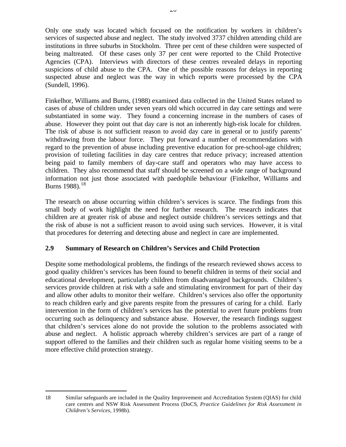Only one study was located which focused on the notification by workers in children's services of suspected abuse and neglect. The study involved 3737 children attending child are institutions in three suburbs in Stockholm. Three per cent of these children were suspected of being maltreated. Of these cases only 37 per cent were reported to the Child Protective Agencies (CPA). Interviews with directors of these centres revealed delays in reporting suspicions of child abuse to the CPA. One of the possible reasons for delays in reporting suspected abuse and neglect was the way in which reports were processed by the CPA (Sundell, 1996).

Finkelhor, Williams and Burns, (1988) examined data collected in the United States related to cases of abuse of children under seven years old which occurred in day care settings and were substantiated in some way. They found a concerning increase in the numbers of cases of abuse. However they point out that day care is not an inherently high-risk locale for children. The risk of abuse is not sufficient reason to avoid day care in general or to justify parents' withdrawing from the labour force. They put forward a number of recommendations with regard to the prevention of abuse including preventive education for pre-school-age children; provision of toileting facilities in day care centres that reduce privacy; increased attention being paid to family members of day-care staff and operators who may have access to children. They also recommend that staff should be screened on a wide range of background information not just those associated with paedophile behaviour (Finkelhor, Williams and Burns 1988).<sup>18</sup>

The research on abuse occurring within children's services is scarce. The findings from this small body of work highlight the need for further research. The research indicates that children are at greater risk of abuse and neglect outside children's services settings and that the risk of abuse is not a sufficient reason to avoid using such services. However, it is vital that procedures for deterring and detecting abuse and neglect in care are implemented.

### **2.9 Summary of Research on Children's Services and Child Protection**

Despite some methodological problems, the findings of the research reviewed shows access to good quality children's services has been found to benefit children in terms of their social and educational development, particularly children from disadvantaged backgrounds. Children's services provide children at risk with a safe and stimulating environment for part of their day and allow other adults to monitor their welfare. Children's services also offer the opportunity to reach children early and give parents respite from the pressures of caring for a child. Early intervention in the form of children's services has the potential to avert future problems from occurring such as delinquency and substance abuse. However, the research findings suggest that children's services alone do not provide the solution to the problems associated with abuse and neglect. A holistic approach whereby children's services are part of a range of support offered to the families and their children such as regular home visiting seems to be a more effective child protection strategy.

 $\overline{a}$ 

<sup>18</sup> Similar safeguards are included in the Quality Improvement and Accreditation System (QIAS) for child care centres and NSW Risk Assessment Process (DoCS*, Practice Guidelines for Risk Assessment in Children's Services*, 1998b).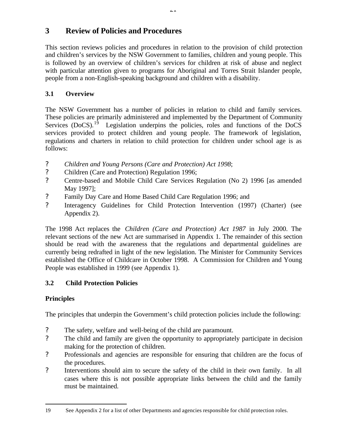# **3 Review of Policies and Procedures**

This section reviews policies and procedures in relation to the provision of child protection and children's services by the NSW Government to families, children and young people. This is followed by an overview of children's services for children at risk of abuse and neglect with particular attention given to programs for Aboriginal and Torres Strait Islander people, people from a non-English-speaking background and children with a disability.

# **3.1 Overview**

The NSW Government has a number of policies in relation to child and family services. These policies are primarily administered and implemented by the Department of Community Services  $(DoCS)$ .<sup>19</sup> Legislation underpins the policies, roles and functions of the DoCS services provided to protect children and young people. The framework of legislation, regulations and charters in relation to child protection for children under school age is as follows:

- ? *Children and Young Persons (Care and Protection) Act 1998*;
- ? Children (Care and Protection) Regulation 1996;
- ? Centre-based and Mobile Child Care Services Regulation (No 2) 1996 [as amended May 1997];
- ? Family Day Care and Home Based Child Care Regulation 1996; and
- ? Interagency Guidelines for Child Protection Intervention (1997) (Charter) (see Appendix 2).

The 1998 Act replaces the *Children (Care and Protection) Act 1987* in July 2000. The relevant sections of the new Act are summarised in Appendix 1. The remainder of this section should be read with the awareness that the regulations and departmental guidelines are currently being redrafted in light of the new legislation. The Minister for Community Services established the Office of Childcare in October 1998. A Commission for Children and Young People was established in 1999 (see Appendix 1).

# **3.2 Child Protection Policies**

# **Principles**

The principles that underpin the Government's child protection policies include the following:

- ? The safety, welfare and well-being of the child are paramount.
- ? The child and family are given the opportunity to appropriately participate in decision making for the protection of children.
- ? Professionals and agencies are responsible for ensuring that children are the focus of the procedures.
- ? Interventions should aim to secure the safety of the child in their own family. In all cases where this is not possible appropriate links between the child and the family must be maintained.

 $\overline{a}$ 19 See Appendix 2 for a list of other Departments and agencies responsible for child protection roles.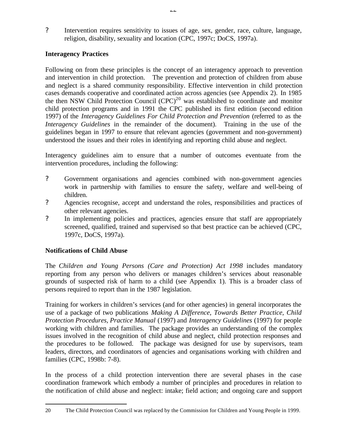? Intervention requires sensitivity to issues of age, sex, gender, race, culture, language, religion, disability, sexuality and location (CPC, 1997c; DoCS, 1997a).

## **Interagency Practices**

Following on from these principles is the concept of an interagency approach to prevention and intervention in child protection. The prevention and protection of children from abuse and neglect is a shared community responsibility. Effective intervention in child protection cases demands cooperative and coordinated action across agencies (see Appendix 2). In 1985 the then NSW Child Protection Council  $(CPC)^{20}$  was established to coordinate and monitor child protection programs and in 1991 the CPC published its first edition (second edition 1997) of the *Interagency Guidelines For Child Protection and Prevention* (referred to as the *Interagency Guidelines* in the remainder of the document). Training in the use of the guidelines began in 1997 to ensure that relevant agencies (government and non-government) understood the issues and their roles in identifying and reporting child abuse and neglect.

Interagency guidelines aim to ensure that a number of outcomes eventuate from the intervention procedures, including the following:

- ? Government organisations and agencies combined with non-government agencies work in partnership with families to ensure the safety, welfare and well-being of children.
- ? Agencies recognise, accept and understand the roles, responsibilities and practices of other relevant agencies.
- ? In implementing policies and practices, agencies ensure that staff are appropriately screened, qualified, trained and supervised so that best practice can be achieved (CPC, 1997c, DoCS, 1997a).

### **Notifications of Child Abuse**

The *Children and Young Persons (Care and Protection) Act 1998* includes mandatory reporting from any person who delivers or manages children's services about reasonable grounds of suspected risk of harm to a child (see Appendix 1). This is a broader class of persons required to report than in the 1987 legislation.

Training for workers in children's services (and for other agencies) in general incorporates the use of a package of two publications *Making A Difference, Towards Better Practice, Child Protection Procedures, Practice Manual* (1997) and *Interagency Guidelines* (1997) for people working with children and families. The package provides an understanding of the complex issues involved in the recognition of child abuse and neglect, child protection responses and the procedures to be followed. The package was designed for use by supervisors, team leaders, directors, and coordinators of agencies and organisations working with children and families (CPC, 1998b: 7-8).

In the process of a child protection intervention there are several phases in the case coordination framework which embody a number of principles and procedures in relation to the notification of child abuse and neglect: intake; field action; and ongoing care and support

 $\overline{a}$ 20 The Child Protection Council was replaced by the Commission for Children and Young People in 1999.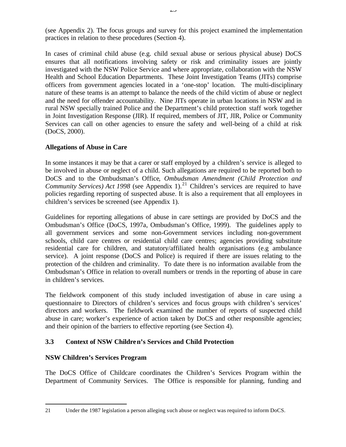(see Appendix 2). The focus groups and survey for this project examined the implementation practices in relation to these procedures (Section 4).

In cases of criminal child abuse (e.g. child sexual abuse or serious physical abuse) DoCS ensures that all notifications involving safety or risk and criminality issues are jointly investigated with the NSW Police Service and where appropriate, collaboration with the NSW Health and School Education Departments. These Joint Investigation Teams (JITs) comprise officers from government agencies located in a 'one-stop' location. The multi-disciplinary nature of these teams is an attempt to balance the needs of the child victim of abuse or neglect and the need for offender accountability. Nine JITs operate in urban locations in NSW and in rural NSW specially trained Police and the Department's child protection staff work together in Joint Investigation Response (JIR). If required, members of JIT, JIR, Police or Community Services can call on other agencies to ensure the safety and well-being of a child at risk (DoCS, 2000).

### **Allegations of Abuse in Care**

In some instances it may be that a carer or staff employed by a children's service is alleged to be involved in abuse or neglect of a child. Such allegations are required to be reported both to DoCS and to the Ombudsman's Office*, Ombudsman Amendment (Child Protection and Community Services) Act 1998* (see Appendix 1).<sup>21</sup> Children's services are required to have policies regarding reporting of suspected abuse. It is also a requirement that all employees in children's services be screened (see Appendix 1).

Guidelines for reporting allegations of abuse in care settings are provided by DoCS and the Ombudsman's Office (DoCS, 1997a, Ombudsman's Office, 1999). The guidelines apply to all government services and some non-Government services including non-government schools, child care centres or residential child care centres; agencies providing substitute residential care for children, and statutory/affiliated health organisations (e.g ambulance service). A joint response (DoCS and Police) is required if there are issues relating to the protection of the children and criminality. To date there is no information available from the Ombudsman's Office in relation to overall numbers or trends in the reporting of abuse in care in children's services.

The fieldwork component of this study included investigation of abuse in care using a questionnaire to Directors of children's services and focus groups with children's services' directors and workers. The fieldwork examined the number of reports of suspected child abuse in care; worker's experience of action taken by DoCS and other responsible agencies; and their opinion of the barriers to effective reporting (see Section 4).

## **3.3 Context of NSW Children's Services and Child Protection**

### **NSW Children's Services Program**

The DoCS Office of Childcare coordinates the Children's Services Program within the Department of Community Services. The Office is responsible for planning, funding and

 $\overline{a}$ 21 Under the 1987 legislation a person alleging such abuse or neglect was required to inform DoCS.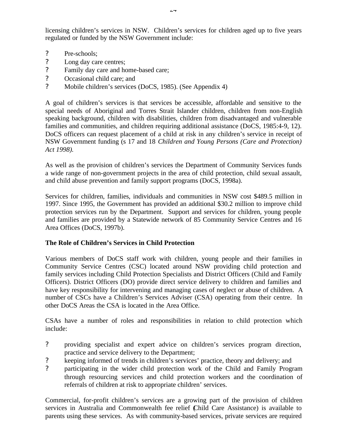licensing children's services in NSW. Children's services for children aged up to five years regulated or funded by the NSW Government include:

- ? Pre-schools;
- ? Long day care centres;
- ? Family day care and home-based care;
- ? Occasional child care; and
- ? Mobile children's services (DoCS, 1985). (See Appendix 4)

A goal of children's services is that services be accessible, affordable and sensitive to the special needs of Aboriginal and Torres Strait Islander children, children from non-English speaking background, children with disabilities, children from disadvantaged and vulnerable families and communities, and children requiring additional assistance (DoCS, 1985:4-9, 12). DoCS officers can request placement of a child at risk in any children's service in receipt of NSW Government funding (s 17 and 18 *Children and Young Persons (Care and Protection) Act 1998).*

As well as the provision of children's services the Department of Community Services funds a wide range of non-government projects in the area of child protection, child sexual assault, and child abuse prevention and family support programs (DoCS, 1998a).

Services for children, families, individuals and communities in NSW cost \$489.5 million in 1997. Since 1995, the Government has provided an additional \$30.2 million to improve child protection services run by the Department. Support and services for children, young people and families are provided by a Statewide network of 85 Community Service Centres and 16 Area Offices (DoCS, 1997b).

### **The Role of Children's Services in Child Protection**

Various members of DoCS staff work with children, young people and their families in Community Service Centres (CSC) located around NSW providing child protection and family services including Child Protection Specialists and District Officers (Child and Family Officers). District Officers (DO) provide direct service delivery to children and families and have key responsibility for intervening and managing cases of neglect or abuse of children. A number of CSCs have a Children's Services Adviser (CSA) operating from their centre. In other DoCS Areas the CSA is located in the Area Office.

CSAs have a number of roles and responsibilities in relation to child protection which include:

- ? providing specialist and expert advice on children's services program direction, practice and service delivery to the Department;
- ? keeping informed of trends in children's services' practice, theory and delivery; and
- ? participating in the wider child protection work of the Child and Family Program through resourcing services and child protection workers and the coordination of referrals of children at risk to appropriate children' services.

Commercial, for-profit children's services are a growing part of the provision of children services in Australia and Commonwealth fee relief (Child Care Assistance) is available to parents using these services. As with community-based services, private services are required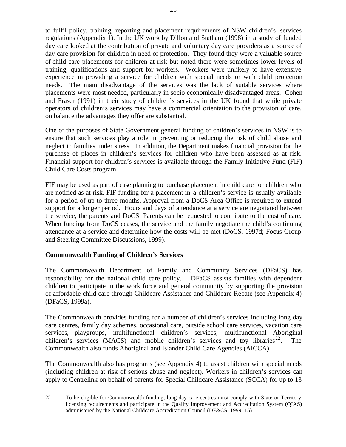to fulfil policy, training, reporting and placement requirements of NSW children's services regulations (Appendix 1). In the UK work by Dillon and Statham (1998) in a study of funded day care looked at the contribution of private and voluntary day care providers as a source of day care provision for children in need of protection. They found they were a valuable source of child care placements for children at risk but noted there were sometimes lower levels of training, qualifications and support for workers. Workers were unlikely to have extensive experience in providing a service for children with special needs or with child protection needs. The main disadvantage of the services was the lack of suitable services where placements were most needed, particularly in socio economically disadvantaged areas. Cohen and Fraser (1991) in their study of children's services in the UK found that while private operators of children's services may have a commercial orientation to the provision of care, on balance the advantages they offer are substantial.

One of the purposes of State Government general funding of children's services in NSW is to ensure that such services play a role in preventing or reducing the risk of child abuse and neglect in families under stress. In addition, the Department makes financial provision for the purchase of places in children's services for children who have been assessed as at risk. Financial support for children's services is available through the Family Initiative Fund (FIF) Child Care Costs program.

FIF may be used as part of case planning to purchase placement in child care for children who are notified as at risk. FIF funding for a placement in a children's service is usually available for a period of up to three months. Approval from a DoCS Area Office is required to extend support for a longer period. Hours and days of attendance at a service are negotiated between the service, the parents and DoCS. Parents can be requested to contribute to the cost of care. When funding from DoCS ceases, the service and the family negotiate the child's continuing attendance at a service and determine how the costs will be met (DoCS, 1997d; Focus Group and Steering Committee Discussions, 1999).

#### **Commonwealth Funding of Children's Services**

 $\overline{a}$ 

The Commonwealth Department of Family and Community Services (DFaCS) has responsibility for the national child care policy. DFaCS assists families with dependent children to participate in the work force and general community by supporting the provision of affordable child care through Childcare Assistance and Childcare Rebate (see Appendix 4) (DFaCS, 1999a).

The Commonwealth provides funding for a number of children's services including long day care centres, family day schemes, occasional care, outside school care services, vacation care services, playgroups, multifunctional children's services, multifunctional Aboriginal children's services (MACS) and mobile children's services and toy libraries<sup>22</sup>. The Commonwealth also funds Aboriginal and Islander Child Care Agencies (AICCA).

The Commonwealth also has programs (see Appendix 4) to assist children with special needs (including children at risk of serious abuse and neglect). Workers in children's services can apply to Centrelink on behalf of parents for Special Childcare Assistance (SCCA) for up to 13

<sup>22</sup> To be eligible for Commonwealth funding, long day care centres must comply with State or Territory licensing requirements and participate in the Quality Improvement and Accreditation System (QIAS) administered by the National Childcare Accreditation Council (DF&CS, 1999: 15).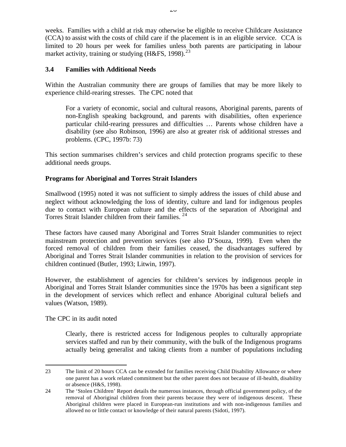weeks. Families with a child at risk may otherwise be eligible to receive Childcare Assistance (CCA) to assist with the costs of child care if the placement is in an eligible service. CCA is limited to 20 hours per week for families unless both parents are participating in labour market activity, training or studying (H&FS, 1998).<sup>23</sup>

### **3.4 Families with Additional Needs**

Within the Australian community there are groups of families that may be more likely to experience child-rearing stresses. The CPC noted that

For a variety of economic, social and cultural reasons, Aboriginal parents, parents of non-English speaking background, and parents with disabilities, often experience particular child-rearing pressures and difficulties … Parents whose children have a disability (see also Robinson, 1996) are also at greater risk of additional stresses and problems. (CPC, 1997b: 73)

This section summarises children's services and child protection programs specific to these additional needs groups.

## **Programs for Aboriginal and Torres Strait Islanders**

Smallwood (1995) noted it was not sufficient to simply address the issues of child abuse and neglect without acknowledging the loss of identity, culture and land for indigenous peoples due to contact with European culture and the effects of the separation of Aboriginal and Torres Strait Islander children from their families.<sup>24</sup>

These factors have caused many Aboriginal and Torres Strait Islander communities to reject mainstream protection and prevention services (see also D'Souza, 1999). Even when the forced removal of children from their families ceased, the disadvantages suffered by Aboriginal and Torres Strait Islander communities in relation to the provision of services for children continued (Butler, 1993; Litwin, 1997).

However, the establishment of agencies for children's services by indigenous people in Aboriginal and Torres Strait Islander communities since the 1970s has been a significant step in the development of services which reflect and enhance Aboriginal cultural beliefs and values (Watson, 1989).

The CPC in its audit noted

 $\overline{a}$ 

Clearly, there is restricted access for Indigenous peoples to culturally appropriate services staffed and run by their community, with the bulk of the Indigenous programs actually being generalist and taking clients from a number of populations including

<sup>23</sup> The limit of 20 hours CCA can be extended for families receiving Child Disability Allowance or where one parent has a work related commitment but the other parent does not because of ill-health, disability or absence (H&S, 1998).

<sup>24</sup> The 'Stolen Children' Report details the numerous instances, through official government policy, of the removal of Aboriginal children from their parents because they were of indigenous descent. These Aboriginal children were placed in European-run institutions and with non-indigenous families and allowed no or little contact or knowledge of their natural parents (Sidoti, 1997).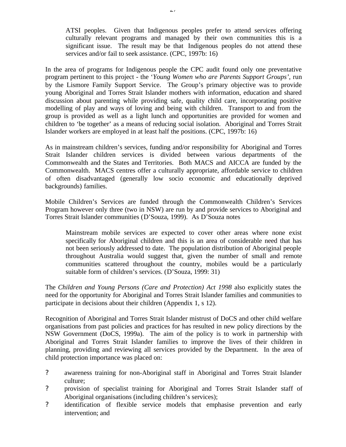ATSI peoples. Given that Indigenous peoples prefer to attend services offering culturally relevant programs and managed by their own communities this is a significant issue. The result may be that Indigenous peoples do not attend these services and/or fail to seek assistance. (CPC, 1997b: 16)

In the area of programs for Indigenous people the CPC audit found only one preventative program pertinent to this project - the '*Young Women who are Parents Support Groups'*, run by the Lismore Family Support Service. The Group's primary objective was to provide young Aboriginal and Torres Strait Islander mothers with information, education and shared discussion about parenting while providing safe, quality child care, incorporating positive modelling of play and ways of loving and being with children. Transport to and from the group is provided as well as a light lunch and opportunities are provided for women and children to 'be together' as a means of reducing social isolation. Aboriginal and Torres Strait Islander workers are employed in at least half the positions. (CPC, 1997b: 16)

As in mainstream children's services, funding and/or responsibility for Aboriginal and Torres Strait Islander children services is divided between various departments of the Commonwealth and the States and Territories. Both MACS and AICCA are funded by the Commonwealth. MACS centres offer a culturally appropriate, affordable service to children of often disadvantaged (generally low socio economic and educationally deprived backgrounds) families.

Mobile Children's Services are funded through the Commonwealth Children's Services Program however only three (two in NSW) are run by and provide services to Aboriginal and Torres Strait Islander communities (D'Souza, 1999). As D'Souza notes

Mainstream mobile services are expected to cover other areas where none exist specifically for Aboriginal children and this is an area of considerable need that has not been seriously addressed to date. The population distribution of Aboriginal people throughout Australia would suggest that, given the number of small and remote communities scattered throughout the country, mobiles would be a particularly suitable form of children's services. (D'Souza, 1999: 31)

The *Children and Young Persons (Care and Protection) Act 1998* also explicitly states the need for the opportunity for Aboriginal and Torres Strait Islander families and communities to participate in decisions about their children (Appendix 1, s 12).

Recognition of Aboriginal and Torres Strait Islander mistrust of DoCS and other child welfare organisations from past policies and practices for has resulted in new policy directions by the NSW Government (DoCS, 1999a). The aim of the policy is to work in partnership with Aboriginal and Torres Strait Islander families to improve the lives of their children in planning, providing and reviewing all services provided by the Department. In the area of child protection importance was placed on:

- ? awareness training for non-Aboriginal staff in Aboriginal and Torres Strait Islander culture;
- ? provision of specialist training for Aboriginal and Torres Strait Islander staff of Aboriginal organisations (including children's services);
- ? identification of flexible service models that emphasise prevention and early intervention; and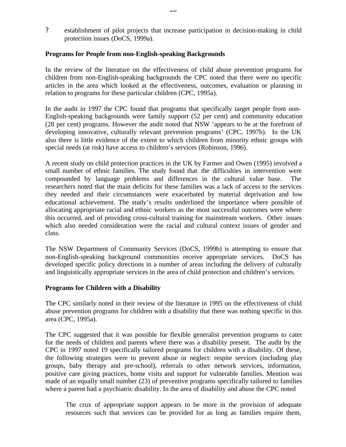? establishment of pilot projects that increase participation in decision-making in child protection issues (DoCS, 1999a).

### **Programs for People from non-English-speaking Backgrounds**

In the review of the literature on the effectiveness of child abuse prevention programs for children from non-English-speaking backgrounds the CPC noted that there were no specific articles in the area which looked at the effectiveness, outcomes, evaluation or planning in relation to programs for these particular children (CPC, 1995a).

In the audit in 1997 the CPC found that programs that specifically target people from non-English-speaking backgrounds were family support (52 per cent) and community education (28 per cent) programs. However the audit noted that NSW 'appears to be at the forefront of developing innovative, culturally relevant prevention programs' (CPC, 1997b). In the UK also there is little evidence of the extent to which children from minority ethnic groups with special needs (at risk) have access to children's services (Robinson, 1996).

A recent study on child protection practices in the UK by Farmer and Owen (1995) involved a small number of ethnic families. The study found that the difficulties in intervention were compounded by language problems and differences in the cultural value base. The researchers noted that the main deficits for these families was a lack of access to the services they needed and their circumstances were exacerbated by material deprivation and low educational achievement. The study's results underlined the importance where possible of allocating appropriate racial and ethnic workers as the most successful outcomes were where this occurred, and of providing cross-cultural training for mainstream workers. Other issues which also needed consideration were the racial and cultural context issues of gender and class.

The NSW Department of Community Services (DoCS, 1999b) is attempting to ensure that non-English-speaking background communities receive appropriate services. DoCS has developed specific policy directions in a number of areas including the delivery of culturally and linguistically appropriate services in the area of child protection and children's services.

#### **Programs for Children with a Disability**

The CPC similarly noted in their review of the literature in 1995 on the effectiveness of child abuse prevention programs for children with a disability that there was nothing specific in this area (CPC, 1995a).

The CPC suggested that it was possible for flexible generalist prevention programs to cater for the needs of children and parents where there was a disability present. The audit by the CPC in 1997 noted 19 specifically tailored programs for children with a disability. Of these, the following strategies were to prevent abuse or neglect: respite services (including play groups, baby therapy and pre-school), referrals to other network services, information, positive care giving practices, home visits and support for vulnerable families. Mention was made of an equally small number (23) of preventive programs specifically tailored to families where a parent had a psychiatric disability. In the area of disability and abuse the CPC noted

The crux of appropriate support appears to be more in the provision of adequate resources such that services can be provided for as long as families require them,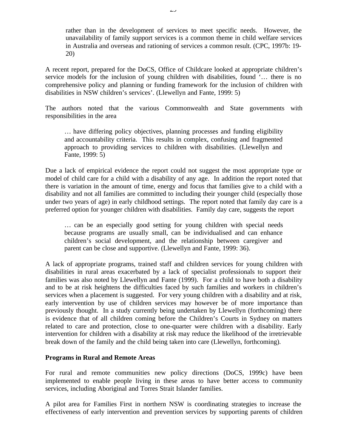rather than in the development of services to meet specific needs. However, the unavailability of family support services is a common theme in child welfare services in Australia and overseas and rationing of services a common result. (CPC, 1997b: 19- 20)

A recent report, prepared for the DoCS, Office of Childcare looked at appropriate children's service models for the inclusion of young children with disabilities, found '… there is no comprehensive policy and planning or funding framework for the inclusion of children with disabilities in NSW children's services'. (Llewellyn and Fante, 1999: 5)

The authors noted that the various Commonwealth and State governments with responsibilities in the area

… have differing policy objectives, planning processes and funding eligibility and accountability criteria. This results in complex, confusing and fragmented approach to providing services to children with disabilities. (Llewellyn and Fante, 1999: 5)

Due a lack of empirical evidence the report could not suggest the most appropriate type or model of child care for a child with a disability of any age. In addition the report noted that there is variation in the amount of time, energy and focus that families give to a child with a disability and not all families are committed to including their younger child (especially those under two years of age) in early childhood settings. The report noted that family day care is a preferred option for younger children with disabilities. Family day care, suggests the report

… can be an especially good setting for young children with special needs because programs are usually small, can be individualised and can enhance children's social development, and the relationship between caregiver and parent can be close and supportive. (Llewellyn and Fante, 1999: 36).

A lack of appropriate programs, trained staff and children services for young children with disabilities in rural areas exacerbated by a lack of specialist professionals to support their families was also noted by Llewellyn and Fante (1999). For a child to have both a disability and to be at risk heightens the difficulties faced by such families and workers in children's services when a placement is suggested. For very young children with a disability and at risk, early intervention by use of children services may however be of more importance than previously thought. In a study currently being undertaken by Llewellyn (forthcoming) there is evidence that of all children coming before the Children's Courts in Sydney on matters related to care and protection, close to one-quarter were children with a disability. Early intervention for children with a disability at risk may reduce the likelihood of the irretrievable break down of the family and the child being taken into care (Llewellyn, forthcoming).

#### **Programs in Rural and Remote Areas**

For rural and remote communities new policy directions (DoCS, 1999c) have been implemented to enable people living in these areas to have better access to community services, including Aboriginal and Torres Strait Islander families.

A pilot area for Families First in northern NSW is coordinating strategies to increase the effectiveness of early intervention and prevention services by supporting parents of children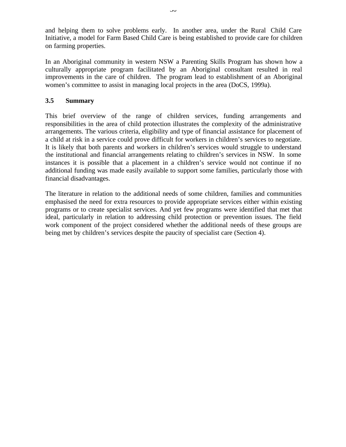and helping them to solve problems early. In another area, under the Rural Child Care Initiative, a model for Farm Based Child Care is being established to provide care for children on farming properties.

In an Aboriginal community in western NSW a Parenting Skills Program has shown how a culturally appropriate program facilitated by an Aboriginal consultant resulted in real improvements in the care of children. The program lead to establishment of an Aboriginal women's committee to assist in managing local projects in the area (DoCS, 1999a).

### **3.5 Summary**

This brief overview of the range of children services, funding arrangements and responsibilities in the area of child protection illustrates the complexity of the administrative arrangements. The various criteria, eligibility and type of financial assistance for placement of a child at risk in a service could prove difficult for workers in children's services to negotiate. It is likely that both parents and workers in children's services would struggle to understand the institutional and financial arrangements relating to children's services in NSW. In some instances it is possible that a placement in a children's service would not continue if no additional funding was made easily available to support some families, particularly those with financial disadvantages.

The literature in relation to the additional needs of some children, families and communities emphasised the need for extra resources to provide appropriate services either within existing programs or to create specialist services. And yet few programs were identified that met that ideal, particularly in relation to addressing child protection or prevention issues. The field work component of the project considered whether the additional needs of these groups are being met by children's services despite the paucity of specialist care (Section 4).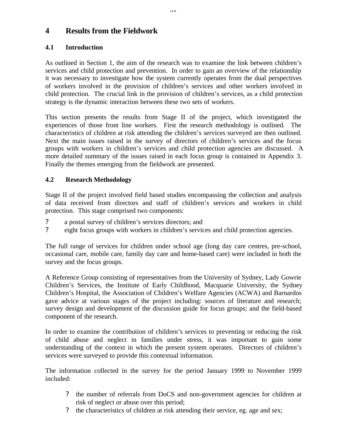# **4 Results from the Fieldwork**

## **4.1 Introduction**

As outlined in Section 1, the aim of the research was to examine the link between children's services and child protection and prevention. In order to gain an overview of the relationship it was necessary to investigate how the system currently operates from the dual perspectives of workers involved in the provision of children's services and other workers involved in child protection. The crucial link in the provision of children's services, as a child protection strategy is the dynamic interaction between these two sets of workers.

This section presents the results from Stage II of the project, which investigated the experiences of those front line workers. First the research methodology is outlined. The characteristics of children at risk attending the children's services surveyed are then outlined. Next the main issues raised in the survey of directors of children's services and the focus groups with workers in children's services and child protection agencies are discussed. A more detailed summary of the issues raised in each focus group is contained in Appendix 3. Finally the themes emerging from the fieldwork are presented.

## **4.2 Research Methodology**

Stage II of the project involved field based studies encompassing the collection and analysis of data received from directors and staff of children's services and workers in child protection. This stage comprised two components:

- ? a postal survey of children's services directors; and
- ? eight focus groups with workers in children's services and child protection agencies.

The full range of services for children under school age (long day care centres, pre-school, occasional care, mobile care, family day care and home-based care) were included in both the survey and the focus groups.

A Reference Group consisting of representatives from the University of Sydney, Lady Gowrie Children's Services, the Institute of Early Childhood, Macquarie University, the Sydney Children's Hospital, the Association of Children's Welfare Agencies (ACWA) and Barnardos gave advice at various stages of the project including: sources of literature and research; survey design and development of the discussion guide for focus groups; and the field-based component of the research.

In order to examine the contribution of children's services to preventing or reducing the risk of child abuse and neglect in families under stress, it was important to gain some understanding of the context in which the present system operates. Directors of children's services were surveyed to provide this contextual information.

The information collected in the survey for the period January 1999 to November 1999 included:

- ? the number of referrals from DoCS and non-government agencies for children at risk of neglect or abuse over this period;
- ? the characteristics of children at risk attending their service, eg. age and sex;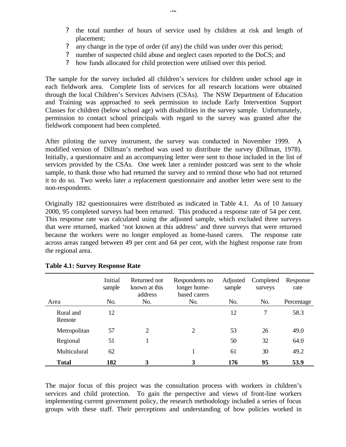- ? the total number of hours of service used by children at risk and length of placement;
- ? any change in the type of order (if any) the child was under over this period;
- number of suspected child abuse and neglect cases reported to the DoCS; and
- ? how funds allocated for child protection were utilised over this period.

The sample for the survey included all children's services for children under school age in each fieldwork area. Complete lists of services for all research locations were obtained through the local Children's Services Advisers (CSAs). The NSW Department of Education and Training was approached to seek permission to include Early Intervention Support Classes for children (below school age) with disabilities in the survey sample. Unfortunately, permission to contact school principals with regard to the survey was granted after the fieldwork component had been completed.

After piloting the survey instrument, the survey was conducted in November 1999. A modified version of Dillman's method was used to distribute the survey (Dillman, 1978). Initially, a questionnaire and an accompanying letter were sent to those included in the list of services provided by the CSAs. One week later a reminder postcard was sent to the whole sample, to thank those who had returned the survey and to remind those who had not returned it to do so. Two weeks later a replacement questionnaire and another letter were sent to the non-respondents.

Originally 182 questionnaires were distributed as indicated in Table 4.1. As of 10 January 2000, 95 completed surveys had been returned. This produced a response rate of 54 per cent. This response rate was calculated using the adjusted sample, which excluded three surveys that were returned, marked 'not known at this address' and three surveys that were returned because the workers were no longer employed as home-based carers. The response rate across areas ranged between 49 per cent and 64 per cent, with the highest response rate from the regional area.

|                     | Initial<br>sample | Returned not<br>known at this<br>address | Respondents no<br>longer home-<br>based carers | Adjusted<br>sample | Completed<br>surveys | Response<br>rate |
|---------------------|-------------------|------------------------------------------|------------------------------------------------|--------------------|----------------------|------------------|
| Area                | No.               | No.                                      | No.                                            | No.                | No.                  | Percentage       |
| Rural and<br>Remote | 12                |                                          |                                                | 12                 | 7                    | 58.3             |
| Metropolitan        | 57                | $\overline{2}$                           | $\overline{2}$                                 | 53                 | 26                   | 49.0             |
| Regional            | 51                |                                          |                                                | 50                 | 32                   | 64.0             |
| Multiculural        | 62                |                                          | 1                                              | 61                 | 30                   | 49.2             |
| Total               | 182               | 3                                        | 3                                              | 176                | 95                   | 53.9             |

#### **Table 4.1: Survey Response Rate**

The major focus of this project was the consultation process with workers in children's services and child protection. To gain the perspective and views of front-line workers implementing current government policy, the research methodology included a series of focus groups with these staff. Their perceptions and understanding of how policies worked in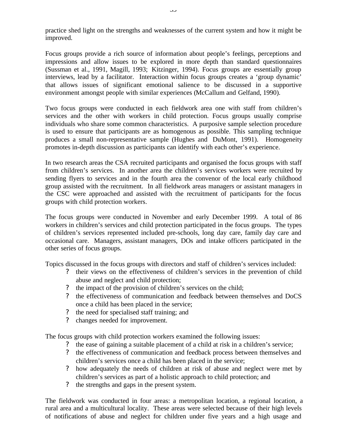practice shed light on the strengths and weaknesses of the current system and how it might be improved.

Focus groups provide a rich source of information about people's feelings, perceptions and impressions and allow issues to be explored in more depth than standard questionnaires (Sussman et al., 1991, Magill, 1993; Kitzinger, 1994). Focus groups are essentially group interviews, lead by a facilitator. Interaction within focus groups creates a 'group dynamic' that allows issues of significant emotional salience to be discussed in a supportive environment amongst people with similar experiences (McCallum and Gelfand, 1990).

Two focus groups were conducted in each fieldwork area one with staff from children's services and the other with workers in child protection. Focus groups usually comprise individuals who share some common characteristics. A purposive sample selection procedure is used to ensure that participants are as homogenous as possible. This sampling technique produces a small non-representative sample (Hughes and DuMont, 1991). Homogeneity promotes in-depth discussion as participants can identify with each other's experience.

In two research areas the CSA recruited participants and organised the focus groups with staff from children's services. In another area the children's services workers were recruited by sending flyers to services and in the fourth area the convenor of the local early childhood group assisted with the recruitment. In all fieldwork areas managers or assistant managers in the CSC were approached and assisted with the recruitment of participants for the focus groups with child protection workers.

The focus groups were conducted in November and early December 1999. A total of 86 workers in children's services and child protection participated in the focus groups. The types of children's services represented included pre-schools, long day care, family day care and occasional care. Managers, assistant managers, DOs and intake officers participated in the other series of focus groups.

Topics discussed in the focus groups with directors and staff of children's services included:

- ? their views on the effectiveness of children's services in the prevention of child abuse and neglect and child protection;
- ? the impact of the provision of children's services on the child;
- ? the effectiveness of communication and feedback between themselves and DoCS once a child has been placed in the service;
- ? the need for specialised staff training; and
- ? changes needed for improvement.

The focus groups with child protection workers examined the following issues:

- ? the ease of gaining a suitable placement of a child at risk in a children's service;
- ? the effectiveness of communication and feedback process between themselves and children's services once a child has been placed in the service;
- ? how adequately the needs of children at risk of abuse and neglect were met by children's services as part of a holistic approach to child protection; and
- ? the strengths and gaps in the present system.

The fieldwork was conducted in four areas: a metropolitan location, a regional location, a rural area and a multicultural locality. These areas were selected because of their high levels of notifications of abuse and neglect for children under five years and a high usage and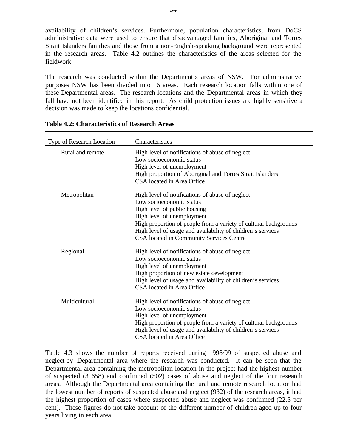availability of children's services. Furthermore, population characteristics, from DoCS administrative data were used to ensure that disadvantaged families, Aboriginal and Torres Strait Islanders families and those from a non-English-speaking background were represented in the research areas. Table 4.2 outlines the characteristics of the areas selected for the fieldwork.

The research was conducted within the Department's areas of NSW. For administrative purposes NSW has been divided into 16 areas. Each research location falls within one of these Departmental areas. The research locations and the Departmental areas in which they fall have not been identified in this report. As child protection issues are highly sensitive a decision was made to keep the locations confidential.

| Type of Research Location | Characteristics                                                             |
|---------------------------|-----------------------------------------------------------------------------|
| Rural and remote          | High level of notifications of abuse of neglect<br>Low socioeconomic status |
|                           | High level of unemployment                                                  |
|                           | High proportion of Aboriginal and Torres Strait Islanders                   |
|                           | CSA located in Area Office                                                  |
| Metropolitan              | High level of notifications of abuse of neglect                             |
|                           | Low socioeconomic status                                                    |
|                           | High level of public housing                                                |
|                           | High level of unemployment                                                  |
|                           | High proportion of people from a variety of cultural backgrounds            |
|                           | High level of usage and availability of children's services                 |
|                           | CSA located in Community Services Centre                                    |
| Regional                  | High level of notifications of abuse of neglect                             |
|                           | Low socioeconomic status                                                    |
|                           | High level of unemployment                                                  |
|                           | High proportion of new estate development                                   |
|                           | High level of usage and availability of children's services                 |
|                           | CSA located in Area Office                                                  |
| Multicultural             | High level of notifications of abuse of neglect                             |
|                           | Low socioeconomic status                                                    |
|                           | High level of unemployment                                                  |
|                           | High proportion of people from a variety of cultural backgrounds            |
|                           | High level of usage and availability of children's services                 |
|                           | CSA located in Area Office                                                  |

|  |  | <b>Table 4.2: Characteristics of Research Areas</b> |  |  |  |
|--|--|-----------------------------------------------------|--|--|--|
|--|--|-----------------------------------------------------|--|--|--|

Table 4.3 shows the number of reports received during 1998/99 of suspected abuse and neglect by Departmental area where the research was conducted. It can be seen that the Departmental area containing the metropolitan location in the project had the highest number of suspected (3 658) and confirmed (502) cases of abuse and neglect of the four research areas. Although the Departmental area containing the rural and remote research location had the lowest number of reports of suspected abuse and neglect (932) of the research areas, it had the highest proportion of cases where suspected abuse and neglect was confirmed (22.5 per cent). These figures do not take account of the different number of children aged up to four years living in each area.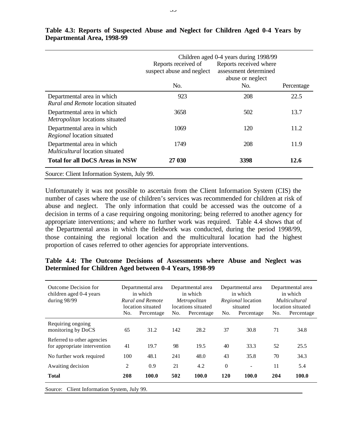|                                                                         | Reports received of<br>suspect abuse and neglect | Children aged 0-4 years during 1998/99<br>Reports received where<br>assessment determined<br>abuse or neglect |            |
|-------------------------------------------------------------------------|--------------------------------------------------|---------------------------------------------------------------------------------------------------------------|------------|
|                                                                         | No.                                              | No.                                                                                                           | Percentage |
| Departmental area in which<br><i>Rural and Remote</i> location situated | 923                                              | 208                                                                                                           | 22.5       |
| Departmental area in which<br>Metropolitan locations situated           | 3658                                             | 502                                                                                                           | 13.7       |
| Departmental area in which<br>Regional location situated                | 1069                                             | 120                                                                                                           | 11.2       |
| Departmental area in which<br><i>Multicultural</i> location situated    | 1749                                             | 208                                                                                                           | 11.9       |
| <b>Total for all DoCS Areas in NSW</b>                                  | 27 030                                           | 3398                                                                                                          | 12.6       |
| Source: Client Information System, July 99.                             |                                                  |                                                                                                               |            |

### **Table 4.3: Reports of Suspected Abuse and Neglect for Children Aged 0-4 Years by Departmental Area, 1998-99**

Unfortunately it was not possible to ascertain from the Client Information System (CIS) the number of cases where the use of children's services was recommended for children at risk of abuse and neglect. The only information that could be accessed was the outcome of a decision in terms of a case requiring ongoing monitoring; being referred to another agency for appropriate interventions; and where no further work was required. Table 4.4 shows that of the Departmental areas in which the fieldwork was conducted, during the period 1998/99, those containing the regional location and the multicultural location had the highest proportion of cases referred to other agencies for appropriate interventions.

#### **Table 4.4: The Outcome Decisions of Assessments where Abuse and Neglect was Determined for Children Aged between 0-4 Years, 1998-99**

| <b>Outcome Decision for</b><br>children aged 0-4 years<br>during 98/99 | No.            | Departmental area<br>Departmental area<br>in which<br>in which<br><b>Rural and Remote</b><br><i>Metropolitan</i><br>locations situated<br>location situated<br>No.<br>Percentage<br>Percentage |     | Departmental area<br>in which<br><i>Regional</i> location<br>situated<br>Percentage<br>No. |                | Departmental area<br>in which<br><i>Multicultural</i><br>location situated<br>No.<br>Percentage |     |       |
|------------------------------------------------------------------------|----------------|------------------------------------------------------------------------------------------------------------------------------------------------------------------------------------------------|-----|--------------------------------------------------------------------------------------------|----------------|-------------------------------------------------------------------------------------------------|-----|-------|
| Requiring ongoing<br>monitoring by DoCS                                | 65             | 31.2                                                                                                                                                                                           | 142 | 28.2                                                                                       | 37             | 30.8                                                                                            | 71  | 34.8  |
| Referred to other agencies<br>for appropriate intervention             | 41             | 19.7                                                                                                                                                                                           | 98  | 19.5                                                                                       | 40             | 33.3                                                                                            | 52  | 25.5  |
| No further work required                                               | 100            | 48.1                                                                                                                                                                                           | 241 | 48.0                                                                                       | 43             | 35.8                                                                                            | 70  | 34.3  |
| Awaiting decision                                                      | $\overline{c}$ | 0.9                                                                                                                                                                                            | 21  | 4.2                                                                                        | $\overline{0}$ | $\overline{\phantom{a}}$                                                                        | 11  | 5.4   |
| <b>Total</b>                                                           | 208            | 100.0                                                                                                                                                                                          | 502 | 100.0                                                                                      | 120            | 100.0                                                                                           | 204 | 100.0 |
| Source: Client Information System, July 99.                            |                |                                                                                                                                                                                                |     |                                                                                            |                |                                                                                                 |     |       |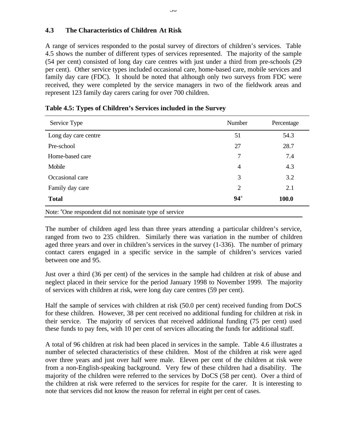#### **4.3 The Characteristics of Children At Risk**

A range of services responded to the postal survey of directors of children's services. Table 4.5 shows the number of different types of services represented. The majority of the sample (54 per cent) consisted of long day care centres with just under a third from pre-schools (29 per cent). Other service types included occasional care, home-based care, mobile services and family day care (FDC). It should be noted that although only two surveys from FDC were received, they were completed by the service managers in two of the fieldwork areas and represent 123 family day carers caring for over 700 children.

| Service Type                                                       | Number         | Percentage |
|--------------------------------------------------------------------|----------------|------------|
| Long day care centre                                               | 51             | 54.3       |
| Pre-school                                                         | 27             | 28.7       |
| Home-based care                                                    | 7              | 7.4        |
| Mobile                                                             | $\overline{4}$ | 4.3        |
| Occasional care                                                    | 3              | 3.2        |
| Family day care                                                    | 2              | 2.1        |
| <b>Total</b>                                                       | $94^{\circ}$   | 100.0      |
| Note: <sup>a</sup> One respondent did not nominate type of service |                |            |

|  | Table 4.5: Types of Children's Services included in the Survey |
|--|----------------------------------------------------------------|
|--|----------------------------------------------------------------|

The number of children aged less than three years attending a particular children's service, ranged from two to 235 children. Similarly there was variation in the number of children aged three years and over in children's services in the survey (1-336). The number of primary contact carers engaged in a specific service in the sample of children's services varied between one and 95.

Just over a third (36 per cent) of the services in the sample had children at risk of abuse and neglect placed in their service for the period January 1998 to November 1999. The majority of services with children at risk, were long day care centres (59 per cent).

Half the sample of services with children at risk (50.0 per cent) received funding from DoCS for these children. However, 38 per cent received no additional funding for children at risk in their service. The majority of services that received additional funding (75 per cent) used these funds to pay fees, with 10 per cent of services allocating the funds for additional staff.

A total of 96 children at risk had been placed in services in the sample. Table 4.6 illustrates a number of selected characteristics of these children. Most of the children at risk were aged over three years and just over half were male. Eleven per cent of the children at risk were from a non-English-speaking background. Very few of these children had a disability. The majority of the children were referred to the services by DoCS (58 per cent). Over a third of the children at risk were referred to the services for respite for the carer. It is interesting to note that services did not know the reason for referral in eight per cent of cases.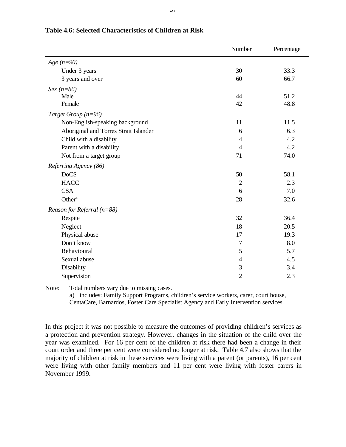|                                       | Number         | Percentage |
|---------------------------------------|----------------|------------|
| Age $(n=90)$                          |                |            |
| Under 3 years                         | 30             | 33.3       |
| 3 years and over                      | 60             | 66.7       |
| $Sex (n=86)$                          |                |            |
| Male                                  | 44             | 51.2       |
| Female                                | 42             | 48.8       |
| Target Group $(n=96)$                 |                |            |
| Non-English-speaking background       | 11             | 11.5       |
| Aboriginal and Torres Strait Islander | 6              | 6.3        |
| Child with a disability               | 4              | 4.2        |
| Parent with a disability              | 4              | 4.2        |
| Not from a target group               | 71             | 74.0       |
| Referring Agency (86)                 |                |            |
| <b>DoCS</b>                           | 50             | 58.1       |
| <b>HACC</b>                           | $\overline{2}$ | 2.3        |
| <b>CSA</b>                            | 6              | 7.0        |
| Other <sup>a</sup>                    | 28             | 32.6       |
| Reason for Referral $(n=88)$          |                |            |
| Respite                               | 32             | 36.4       |
| Neglect                               | 18             | 20.5       |
| Physical abuse                        | 17             | 19.3       |
| Don't know                            | 7              | 8.0        |
| Behavioural                           | 5              | 5.7        |
| Sexual abuse                          | $\overline{4}$ | 4.5        |
| Disability                            | 3              | 3.4        |
| Supervision                           | $\overline{2}$ | 2.3        |

#### **Table 4.6: Selected Characteristics of Children at Risk**

Note: Total numbers vary due to missing cases. a) includes: Family Support Programs, children's service workers, carer, court house, CentaCare, Barnardos, Foster Care Specialist Agency and Early Intervention services.

In this project it was not possible to measure the outcomes of providing children's services as a protection and prevention strategy. However, changes in the situation of the child over the year was examined. For 16 per cent of the children at risk there had been a change in their court order and three per cent were considered no longer at risk. Table 4.7 also shows that the majority of children at risk in these services were living with a parent (or parents), 16 per cent were living with other family members and 11 per cent were living with foster carers in November 1999.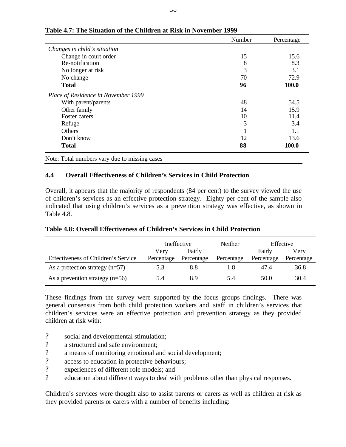|                                     | Number | Percentage |
|-------------------------------------|--------|------------|
| Changes in child's situation        |        |            |
| Change in court order               | 15     | 15.6       |
| Re-notification                     | 8      | 8.3        |
| No longer at risk                   | 3      | 3.1        |
| No change                           | 70     | 72.9       |
| <b>Total</b>                        | 96     | 100.0      |
| Place of Residence in November 1999 |        |            |
| With parent/parents                 | 48     | 54.5       |
| Other family                        | 14     | 15.9       |
| Foster carers                       | 10     | 11.4       |
| Refuge                              | 3      | 3.4        |
| Others                              |        | 1.1        |
| Don't know                          | 12     | 13.6       |
| <b>Total</b>                        | 88     | 100.0      |

### **Table 4.7: The Situation of the Children at Risk in November 1999**

Note: Total numbers vary due to missing cases

### **4.4 Overall Effectiveness of Children's Services in Child Protection**

Overall, it appears that the majority of respondents (84 per cent) to the survey viewed the use of children's services as an effective protection strategy. Eighty per cent of the sample also indicated that using children's services as a prevention strategy was effective, as shown in Table 4.8.

|                                     | Ineffective    |            |            |            | Neither    |  | Effective |
|-------------------------------------|----------------|------------|------------|------------|------------|--|-----------|
|                                     | Fairly<br>Very |            |            | Fairly     | Very       |  |           |
| Effectiveness of Children's Service | Percentage     | Percentage | Percentage | Percentage | Percentage |  |           |
| As a protection strategy $(n=57)$   | 5.3            | 8.8        | l.8        | 47.4       | 36.8       |  |           |
| As a prevention strategy $(n=56)$   | 5.4            | 8.9        | 5.4        | 50.0       | 30.4       |  |           |

#### **Table 4.8: Overall Effectiveness of Children's Services in Child Protection**

These findings from the survey were supported by the focus groups findings. There was general consensus from both child protection workers and staff in children's services that children's services were an effective protection and prevention strategy as they provided children at risk with:

- ? social and developmental stimulation;
- ? a structured and safe environment;
- ? a means of monitoring emotional and social development;
- ? access to education in protective behaviours;
- ? experiences of different role models; and
- ? education about different ways to deal with problems other than physical responses.

Children's services were thought also to assist parents or carers as well as children at risk as they provided parents or carers with a number of benefits including: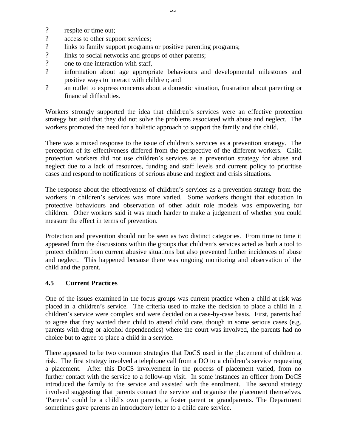- ? respite or time out;
- ? access to other support services;
- ? links to family support programs or positive parenting programs;
- ? links to social networks and groups of other parents;
- ? one to one interaction with staff,
- ? information about age appropriate behaviours and developmental milestones and positive ways to interact with children; and
- ? an outlet to express concerns about a domestic situation, frustration about parenting or financial difficulties.

Workers strongly supported the idea that children's services were an effective protection strategy but said that they did not solve the problems associated with abuse and neglect. The workers promoted the need for a holistic approach to support the family and the child.

There was a mixed response to the issue of children's services as a prevention strategy. The perception of its effectiveness differed from the perspective of the different workers. Child protection workers did not use children's services as a prevention strategy for abuse and neglect due to a lack of resources, funding and staff levels and current policy to prioritise cases and respond to notifications of serious abuse and neglect and crisis situations.

The response about the effectiveness of children's services as a prevention strategy from the workers in children's services was more varied. Some workers thought that education in protective behaviours and observation of other adult role models was empowering for children. Other workers said it was much harder to make a judgement of whether you could measure the effect in terms of prevention.

Protection and prevention should not be seen as two distinct categories. From time to time it appeared from the discussions within the groups that children's services acted as both a tool to protect children from current abusive situations but also prevented further incidences of abuse and neglect. This happened because there was ongoing monitoring and observation of the child and the parent.

### **4.5 Current Practices**

One of the issues examined in the focus groups was current practice when a child at risk was placed in a children's service. The criteria used to make the decision to place a child in a children's service were complex and were decided on a case-by-case basis. First, parents had to agree that they wanted their child to attend child care, though in some serious cases (e.g. parents with drug or alcohol dependencies) where the court was involved, the parents had no choice but to agree to place a child in a service.

There appeared to be two common strategies that DoCS used in the placement of children at risk. The first strategy involved a telephone call from a DO to a children's service requesting a placement. After this DoCS involvement in the process of placement varied, from no further contact with the service to a follow-up visit. In some instances an officer from DoCS introduced the family to the service and assisted with the enrolment. The second strategy involved suggesting that parents contact the service and organise the placement themselves. 'Parents' could be a child's own parents, a foster parent or grandparents. The Department sometimes gave parents an introductory letter to a child care service.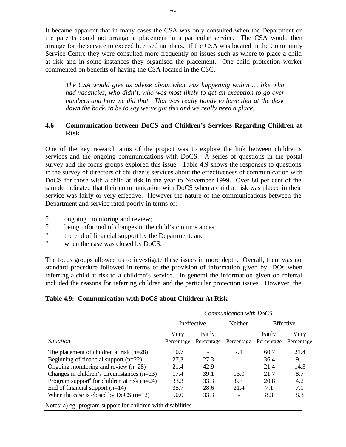It became apparent that in many cases the CSA was only consulted when the Department or the parents could not arrange a placement in a particular service. The CSA would then arrange for the service to exceed licensed numbers. If the CSA was located in the Community Service Centre they were consulted more frequently on issues such as where to place a child at risk and in some instances they organised the placement. One child protection worker commented on benefits of having the CSA located in the CSC.

*The CSA would give us advise about what was happening within … like who had vacancies, who didn't, who was most likely to get an exception to go over numbers and how we did that. That was really handy to have that at the desk down the back, to be to say we've got this and we really need a place.*

### **4.6 Communication between DoCS and Children's Services Regarding Children at Risk**

One of the key research aims of the project was to explore the link between children's services and the ongoing communications with DoCS. A series of questions in the postal survey and the focus groups explored this issue. Table 4.9 shows the responses to questions in the survey of directors of children's services about the effectiveness of communication with DoCS for those with a child at risk in the year to November 1999. Over 80 per cent of the sample indicated that their communication with DoCS when a child at risk was placed in their service was fairly or very effective. However the nature of the communications between the Department and service rated poorly in terms of:

- ? ongoing monitoring and review;
- ? being informed of changes in the child's circumstances;
- ? the end of financial support by the Department; and
- ? when the case was closed by DoCS.

The focus groups allowed us to investigate these issues in more depth. Overall, there was no standard procedure followed in terms of the provision of information given by DOs when referring a child at risk to a children's service. In general the information given on referral included the reasons for referring children and the particular protection issues. However, the

#### **Table 4.9: Communication with DoCS about Children At Risk**

|                                                            | Communication with DoCS |                      |            |                      |                    |           |  |
|------------------------------------------------------------|-------------------------|----------------------|------------|----------------------|--------------------|-----------|--|
|                                                            | Ineffective             |                      |            |                      | Neither            | Effective |  |
| <i>Situation</i>                                           | Very<br>Percentage      | Fairly<br>Percentage | Percentage | Fairly<br>Percentage | Very<br>Percentage |           |  |
| The placement of children at risk $(n=28)$                 | 10.7                    |                      | 7.1        | 60.7                 | 21.4               |           |  |
| Beginning of financial support $(n=22)$                    | 27.3                    | 27.3                 |            | 36.4                 | 9.1                |           |  |
| Ongoing monitoring and review $(n=28)$                     | 21.4                    | 42.9                 |            | 21.4                 | 14.3               |           |  |
| Changes in children's circumstances $(n=23)$               | 17.4                    | 39.1                 | 13.0       | 21.7                 | 8.7                |           |  |
| Program support <sup>a</sup> for children at risk $(n=24)$ | 33.3                    | 33.3                 | 8.3        | 20.8                 | 4.2                |           |  |
| End of financial support $(n=14)$                          | 35.7                    | 28.6                 | 21.4       | 7.1                  | 7.1                |           |  |
| When the case is closed by DoCS $(n=12)$                   | 50.0                    | 33.3                 |            | 8.3                  | 8.3                |           |  |
| $\sim$ $\sim$ $\sim$ $\sim$ $\sim$ $\sim$                  |                         |                      |            |                      |                    |           |  |

Notes: a) eg. program support for children with disabilities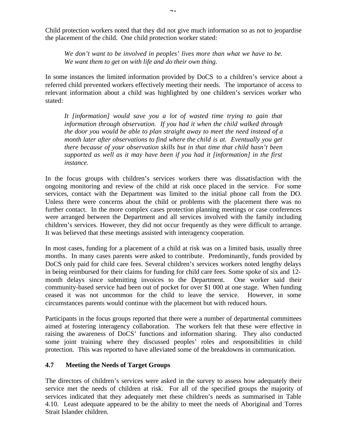Child protection workers noted that they did not give much information so as not to jeopardise the placement of the child. One child protection worker stated:

*We don't want to be involved in peoples' lives more than what we have to be. We want them to get on with life and do their own thing.*

In some instances the limited information provided by DoCS to a children's service about a referred child prevented workers effectively meeting their needs. The importance of access to relevant information about a child was highlighted by one children's services worker who stated:

*It [information] would save you a lot of wasted time trying to gain that information through observation. If you had it when the child walked through the door you would be able to plan straight away to meet the need instead of a month later after observations to find where the child is at. Eventually you get there because of your observation skills but in that time that child hasn't been supported as well as it may have been if you had it [information] in the first instance.*

In the focus groups with children's services workers there was dissatisfaction with the ongoing monitoring and review of the child at risk once placed in the service. For some services, contact with the Department was limited to the initial phone call from the DO. Unless there were concerns about the child or problems with the placement there was no further contact. In the more complex cases protection planning meetings or case conferences were arranged between the Department and all services involved with the family including children's services. However, they did not occur frequently as they were difficult to arrange. It was believed that these meetings assisted with interagency cooperation.

In most cases, funding for a placement of a child at risk was on a limited basis, usually three months. In many cases parents were asked to contribute. Predominantly, funds provided by DoCS only paid for child care fees. Several children's services workers noted lengthy delays in being reimbursed for their claims for funding for child care fees. Some spoke of six and 12 month delays since submitting invoices to the Department. One worker said their community-based service had been out of pocket for over \$1 000 at one stage. When funding ceased it was not uncommon for the child to leave the service. However, in some circumstances parents would continue with the placement but with reduced hours.

Participants in the focus groups reported that there were a number of departmental committees aimed at fostering interagency collaboration. The workers felt that these were effective in raising the awareness of DoCS' functions and information sharing. They also conducted some joint training where they discussed peoples' roles and responsibilities in child protection. This was reported to have alleviated some of the breakdowns in communication.

### **4.7 Meeting the Needs of Target Groups**

The directors of children's services were asked in the survey to assess how adequately their service met the needs of children at risk. For all of the specified groups the majority of services indicated that they adequately met these children's needs as summarised in Table 4.10. Least adequate appeared to be the ability to meet the needs of Aboriginal and Torres Strait Islander children.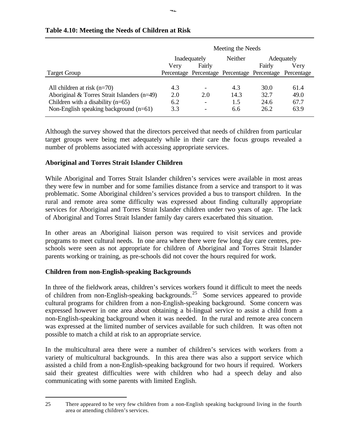|                                               | Meeting the Needs |                          |         |                                                        |            |  |  |
|-----------------------------------------------|-------------------|--------------------------|---------|--------------------------------------------------------|------------|--|--|
|                                               | Inadequately      |                          | Neither |                                                        | Adequately |  |  |
|                                               | Verv              | Fairly                   |         | Fairly                                                 | Verv       |  |  |
| <b>Target Group</b>                           |                   |                          |         | Percentage Percentage Percentage Percentage Percentage |            |  |  |
|                                               |                   |                          |         |                                                        |            |  |  |
| All children at risk $(n=70)$                 | 4.3               | $\overline{\phantom{a}}$ | 4.3     | 30.0                                                   | 61.4       |  |  |
| Aboriginal & Torres Strait Islanders $(n=49)$ | 2.0               | 2.0                      | 14.3    | 32.7                                                   | 49.0       |  |  |
| Children with a disability $(n=65)$           | 6.2               | $\overline{\phantom{a}}$ | 1.5     | 24.6                                                   | 67.7       |  |  |
| Non-English speaking background $(n=61)$      | 3.3               | $\overline{\phantom{a}}$ | 6.6     | 26.2                                                   | 63.9       |  |  |
|                                               |                   |                          |         |                                                        |            |  |  |

### **Table 4.10: Meeting the Needs of Children at Risk**

Although the survey showed that the directors perceived that needs of children from particular target groups were being met adequately while in their care the focus groups revealed a number of problems associated with accessing appropriate services.

### **Aboriginal and Torres Strait Islander Children**

While Aboriginal and Torres Strait Islander children's services were available in most areas they were few in number and for some families distance from a service and transport to it was problematic. Some Aboriginal children's services provided a bus to transport children. In the rural and remote area some difficulty was expressed about finding culturally appropriate services for Aboriginal and Torres Strait Islander children under two years of age. The lack of Aboriginal and Torres Strait Islander family day carers exacerbated this situation.

In other areas an Aboriginal liaison person was required to visit services and provide programs to meet cultural needs. In one area where there were few long day care centres, preschools were seen as not appropriate for children of Aboriginal and Torres Strait Islander parents working or training, as pre-schools did not cover the hours required for work.

### **Children from non-English-speaking Backgrounds**

 $\overline{a}$ 

In three of the fieldwork areas, children's services workers found it difficult to meet the needs of children from non-English-speaking backgrounds.<sup>25</sup> Some services appeared to provide cultural programs for children from a non-English-speaking background. Some concern was expressed however in one area about obtaining a bi-lingual service to assist a child from a non-English-speaking background when it was needed. In the rural and remote area concern was expressed at the limited number of services available for such children. It was often not possible to match a child at risk to an appropriate service.

In the multicultural area there were a number of children's services with workers from a variety of multicultural backgrounds. In this area there was also a support service which assisted a child from a non-English-speaking background for two hours if required. Workers said their greatest difficulties were with children who had a speech delay and also communicating with some parents with limited English.

<sup>25</sup> There appeared to be very few children from a non-English speaking background living in the fourth area or attending children's services.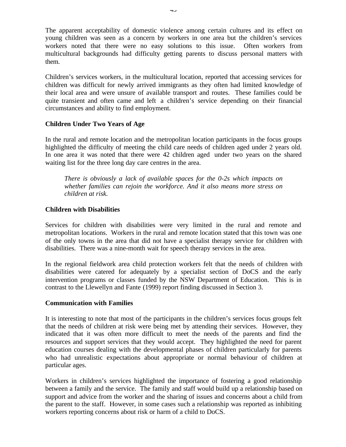The apparent acceptability of domestic violence among certain cultures and its effect on young children was seen as a concern by workers in one area but the children's services workers noted that there were no easy solutions to this issue. Often workers from multicultural backgrounds had difficulty getting parents to discuss personal matters with them.

Children's services workers, in the multicultural location, reported that accessing services for children was difficult for newly arrived immigrants as they often had limited knowledge of their local area and were unsure of available transport and routes. These families could be quite transient and often came and left a children's service depending on their financial circumstances and ability to find employment.

#### **Children Under Two Years of Age**

In the rural and remote location and the metropolitan location participants in the focus groups highlighted the difficulty of meeting the child care needs of children aged under 2 years old. In one area it was noted that there were 42 children aged under two years on the shared waiting list for the three long day care centres in the area.

*There is obviously a lack of available spaces for the 0-2s which impacts on whether families can rejoin the workforce. And it also means more stress on children at risk.*

### **Children with Disabilities**

Services for children with disabilities were very limited in the rural and remote and metropolitan locations. Workers in the rural and remote location stated that this town was one of the only towns in the area that did not have a specialist therapy service for children with disabilities. There was a nine-month wait for speech therapy services in the area.

In the regional fieldwork area child protection workers felt that the needs of children with disabilities were catered for adequately by a specialist section of DoCS and the early intervention programs or classes funded by the NSW Department of Education. This is in contrast to the Llewellyn and Fante (1999) report finding discussed in Section 3.

#### **Communication with Families**

It is interesting to note that most of the participants in the children's services focus groups felt that the needs of children at risk were being met by attending their services. However, they indicated that it was often more difficult to meet the needs of the parents and find the resources and support services that they would accept. They highlighted the need for parent education courses dealing with the developmental phases of children particularly for parents who had unrealistic expectations about appropriate or normal behaviour of children at particular ages.

Workers in children's services highlighted the importance of fostering a good relationship between a family and the service. The family and staff would build up a relationship based on support and advice from the worker and the sharing of issues and concerns about a child from the parent to the staff. However, in some cases such a relationship was reported as inhibiting workers reporting concerns about risk or harm of a child to DoCS.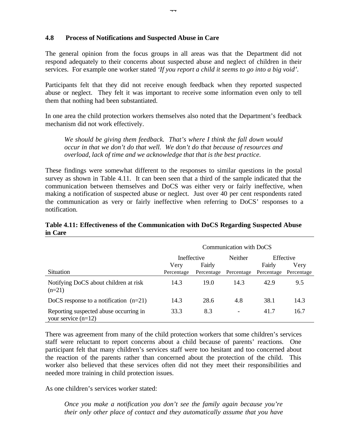#### **4.8 Process of Notifications and Suspected Abuse in Care**

The general opinion from the focus groups in all areas was that the Department did not respond adequately to their concerns about suspected abuse and neglect of children in their services. For example one worker stated *'If you report a child it seems to go into a big void'*.

Participants felt that they did not receive enough feedback when they reported suspected abuse or neglect. They felt it was important to receive some information even only to tell them that nothing had been substantiated.

In one area the child protection workers themselves also noted that the Department's feedback mechanism did not work effectively.

*We should be giving them feedback. That's where I think the fall down would occur in that we don't do that well. We don't do that because of resources and overload, lack of time and we acknowledge that that is the best practice.*

These findings were somewhat different to the responses to similar questions in the postal survey as shown in Table 4.11. It can been seen that a third of the sample indicated that the communication between themselves and DoCS was either very or fairly ineffective, when making a notification of suspected abuse or neglect. Just over 40 per cent respondents rated the communication as very or fairly ineffective when referring to DoCS' responses to a notification.

|                                                                 | Communication with DoCS           |                      |                          |                      |                                 |
|-----------------------------------------------------------------|-----------------------------------|----------------------|--------------------------|----------------------|---------------------------------|
| <b>Situation</b>                                                | Ineffective<br>Very<br>Percentage | Fairly<br>Percentage | Neither<br>Percentage    | Fairly<br>Percentage | Effective<br>Very<br>Percentage |
| Notifying DoCS about children at risk<br>$(n=21)$               | 14.3                              | 19.0                 | 14.3                     | 42.9                 | 9.5                             |
| DoCS response to a notification $(n=21)$                        | 14.3                              | 28.6                 | 4.8                      | 38.1                 | 14.3                            |
| Reporting suspected abuse occurring in<br>your service $(n=12)$ | 33.3                              | 8.3                  | $\overline{\phantom{a}}$ | 41.7                 | 16.7                            |

#### **Table 4.11: Effectiveness of the Communication with DoCS Regarding Suspected Abuse in Care**

There was agreement from many of the child protection workers that some children's services staff were reluctant to report concerns about a child because of parents' reactions. One participant felt that many children's services staff were too hesitant and too concerned about the reaction of the parents rather than concerned about the protection of the child. This worker also believed that these services often did not they meet their responsibilities and needed more training in child protection issues.

As one children's services worker stated:

*Once you make a notification you don't see the family again because you're their only other place of contact and they automatically assume that you have*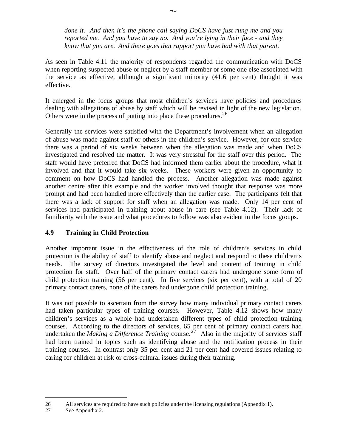*done it. And then it's the phone call saying DoCS have just rung me and you reported me. And you have to say no. And you're lying in their face - and they know that you are. And there goes that rapport you have had with that parent.*

As seen in Table 4.11 the majority of respondents regarded the communication with DoCS when reporting suspected abuse or neglect by a staff member or some one else associated with the service as effective, although a significant minority (41.6 per cent) thought it was effective.

It emerged in the focus groups that most children's services have policies and procedures dealing with allegations of abuse by staff which will be revised in light of the new legislation. Others were in the process of putting into place these procedures.<sup>26</sup>

Generally the services were satisfied with the Department's involvement when an allegation of abuse was made against staff or others in the children's service. However, for one service there was a period of six weeks between when the allegation was made and when DoCS investigated and resolved the matter. It was very stressful for the staff over this period. The staff would have preferred that DoCS had informed them earlier about the procedure, what it involved and that it would take six weeks. These workers were given an opportunity to comment on how DoCS had handled the process. Another allegation was made against another centre after this example and the worker involved thought that response was more prompt and had been handled more effectively than the earlier case. The participants felt that there was a lack of support for staff when an allegation was made. Only 14 per cent of services had participated in training about abuse in care (see Table 4.12). Their lack of familiarity with the issue and what procedures to follow was also evident in the focus groups.

### **4.9 Training in Child Protection**

Another important issue in the effectiveness of the role of children's services in child protection is the ability of staff to identify abuse and neglect and respond to these children's needs. The survey of directors investigated the level and content of training in child protection for staff. Over half of the primary contact carers had undergone some form of child protection training (56 per cent). In five services (six per cent), with a total of 20 primary contact carers, none of the carers had undergone child protection training.

It was not possible to ascertain from the survey how many individual primary contact carers had taken particular types of training courses. However, Table 4.12 shows how many children's services as a whole had undertaken different types of child protection training courses. According to the directors of services, 65 per cent of primary contact carers had undertaken the *Making a Difference Training* course.<sup>27</sup> Also in the majority of services staff had been trained in topics such as identifying abuse and the notification process in their training courses. In contrast only 35 per cent and 21 per cent had covered issues relating to caring for children at risk or cross-cultural issues during their training.

 $\overline{a}$ 

<sup>26</sup> All services are required to have such policies under the licensing regulations (Appendix 1).

<sup>27</sup> See Appendix 2.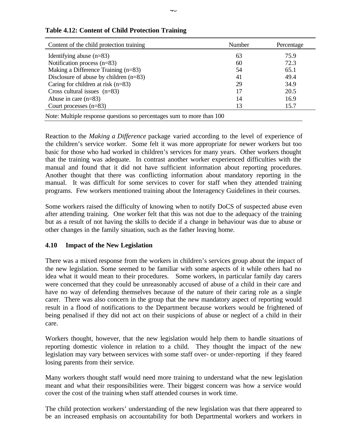| Content of the child protection training                              | Number | Percentage |  |  |
|-----------------------------------------------------------------------|--------|------------|--|--|
| Identifying abuse $(n=83)$                                            | 63     | 75.9       |  |  |
| Notification process $(n=83)$                                         | 60     | 72.3       |  |  |
| Making a Difference Training $(n=83)$                                 | 54     | 65.1       |  |  |
| Disclosure of abuse by children $(n=83)$                              | 41     | 49.4       |  |  |
| Caring for children at risk $(n=83)$                                  | 29     | 34.9       |  |  |
| Cross cultural issues $(n=83)$                                        | 17     | 20.5       |  |  |
| Abuse in care $(n=83)$                                                | 14     | 16.9       |  |  |
| Court processes $(n=83)$                                              | 13     | 15.7       |  |  |
| Note: Multiple response questions so percentages sum to more than 100 |        |            |  |  |

### **Table 4.12: Content of Child Protection Training**

Reaction to the *Making a Difference* package varied according to the level of experience of the children's service worker. Some felt it was more appropriate for newer workers but too basic for those who had worked in children's services for many years. Other workers thought that the training was adequate. In contrast another worker experienced difficulties with the manual and found that it did not have sufficient information about reporting procedures. Another thought that there was conflicting information about mandatory reporting in the manual. It was difficult for some services to cover for staff when they attended training programs. Few workers mentioned training about the Interagency Guidelines in their courses.

Some workers raised the difficulty of knowing when to notify DoCS of suspected abuse even after attending training. One worker felt that this was not due to the adequacy of the training but as a result of not having the skills to decide if a change in behaviour was due to abuse or other changes in the family situation, such as the father leaving home.

### **4.10 Impact of the New Legislation**

There was a mixed response from the workers in children's services group about the impact of the new legislation. Some seemed to be familiar with some aspects of it while others had no idea what it would mean to their procedures. Some workers, in particular family day carers were concerned that they could be unreasonably accused of abuse of a child in their care and have no way of defending themselves because of the nature of their caring role as a single carer. There was also concern in the group that the new mandatory aspect of reporting would result in a flood of notifications to the Department because workers would be frightened of being penalised if they did not act on their suspicions of abuse or neglect of a child in their care.

Workers thought, however, that the new legislation would help them to handle situations of reporting domestic violence in relation to a child. They thought the impact of the new legislation may vary between services with some staff over- or under-reporting if they feared losing parents from their service.

Many workers thought staff would need more training to understand what the new legislation meant and what their responsibilities were. Their biggest concern was how a service would cover the cost of the training when staff attended courses in work time.

The child protection workers' understanding of the new legislation was that there appeared to be an increased emphasis on accountability for both Departmental workers and workers in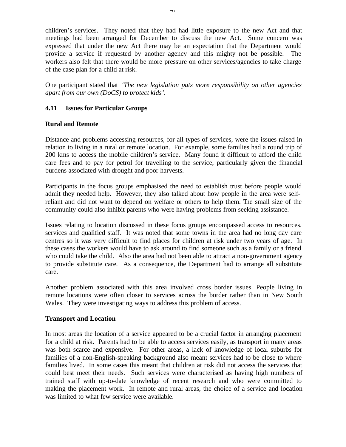children's services. They noted that they had had little exposure to the new Act and that meetings had been arranged for December to discuss the new Act. Some concern was expressed that under the new Act there may be an expectation that the Department would provide a service if requested by another agency and this mighty not be possible. The workers also felt that there would be more pressure on other services/agencies to take charge of the case plan for a child at risk.

One participant stated that *'The new legislation puts more responsibility on other agencies apart from our own (DoCS) to protect kids'*.

### **4.11 Issues for Particular Groups**

#### **Rural and Remote**

Distance and problems accessing resources, for all types of services, were the issues raised in relation to living in a rural or remote location. For example, some families had a round trip of 200 kms to access the mobile children's service. Many found it difficult to afford the child care fees and to pay for petrol for travelling to the service, particularly given the financial burdens associated with drought and poor harvests.

Participants in the focus groups emphasised the need to establish trust before people would admit they needed help. However, they also talked about how people in the area were selfreliant and did not want to depend on welfare or others to help them. The small size of the community could also inhibit parents who were having problems from seeking assistance.

Issues relating to location discussed in these focus groups encompassed access to resources, services and qualified staff. It was noted that some towns in the area had no long day care centres so it was very difficult to find places for children at risk under two years of age. In these cases the workers would have to ask around to find someone such as a family or a friend who could take the child. Also the area had not been able to attract a non-government agency to provide substitute care. As a consequence, the Department had to arrange all substitute care.

Another problem associated with this area involved cross border issues. People living in remote locations were often closer to services across the border rather than in New South Wales. They were investigating ways to address this problem of access.

#### **Transport and Location**

In most areas the location of a service appeared to be a crucial factor in arranging placement for a child at risk. Parents had to be able to access services easily, as transport in many areas was both scarce and expensive. For other areas, a lack of knowledge of local suburbs for families of a non-English-speaking background also meant services had to be close to where families lived. In some cases this meant that children at risk did not access the services that could best meet their needs. Such services were characterised as having high numbers of trained staff with up-to-date knowledge of recent research and who were committed to making the placement work. In remote and rural areas, the choice of a service and location was limited to what few service were available.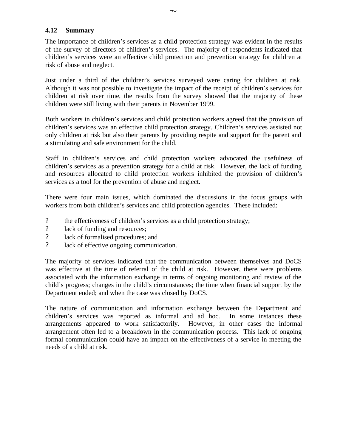### **4.12 Summary**

The importance of children's services as a child protection strategy was evident in the results of the survey of directors of children's services. The majority of respondents indicated that children's services were an effective child protection and prevention strategy for children at risk of abuse and neglect.

Just under a third of the children's services surveyed were caring for children at risk. Although it was not possible to investigate the impact of the receipt of children's services for children at risk over time, the results from the survey showed that the majority of these children were still living with their parents in November 1999.

Both workers in children's services and child protection workers agreed that the provision of children's services was an effective child protection strategy. Children's services assisted not only children at risk but also their parents by providing respite and support for the parent and a stimulating and safe environment for the child.

Staff in children's services and child protection workers advocated the usefulness of children's services as a prevention strategy for a child at risk. However, the lack of funding and resources allocated to child protection workers inhibited the provision of children's services as a tool for the prevention of abuse and neglect.

There were four main issues, which dominated the discussions in the focus groups with workers from both children's services and child protection agencies. These included:

- ? the effectiveness of children's services as a child protection strategy;
- ? lack of funding and resources;
- ? lack of formalised procedures; and
- ? lack of effective ongoing communication.

The majority of services indicated that the communication between themselves and DoCS was effective at the time of referral of the child at risk. However, there were problems associated with the information exchange in terms of ongoing monitoring and review of the child's progress; changes in the child's circumstances; the time when financial support by the Department ended; and when the case was closed by DoCS.

The nature of communication and information exchange between the Department and children's services was reported as informal and ad hoc. In some instances these arrangements appeared to work satisfactorily. However, in other cases the informal arrangement often led to a breakdown in the communication process. This lack of ongoing formal communication could have an impact on the effectiveness of a service in meeting the needs of a child at risk.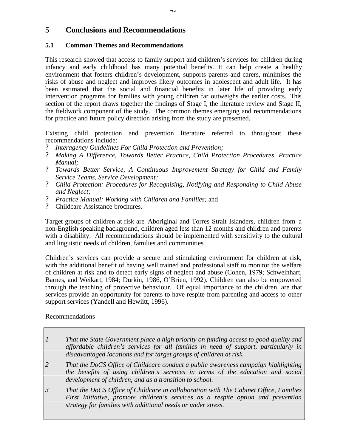# **5 Conclusions and Recommendations**

### **5.1 Common Themes and Recommendations**

This research showed that access to family support and children's services for children during infancy and early childhood has many potential benefits. It can help create a healthy environment that fosters children's development, supports parents and carers, minimises the risks of abuse and neglect and improves likely outcomes in adolescent and adult life. It has been estimated that the social and financial benefits in later life of providing early intervention programs for families with young children far outweighs the earlier costs. This section of the report draws together the findings of Stage I, the literature review and Stage II, the fieldwork component of the study. The common themes emerging and recommendations for practice and future policy direction arising from the study are presented.

Existing child protection and prevention literature referred to throughout these recommendations include:

- ? *Interagency Guidelines For Child Protection and Prevention;*
- ? *Making A Difference, Towards Better Practice, Child Protection Procedures, Practice Manual;*
- ? *Towards Better Service, A Continuous Improvement Strategy for Child and Family Service Teams, Service Development;*
- ? *Child Protection: Procedures for Recognising, Notifying and Responding to Child Abuse and Neglect;*
- ? *Practice Manual: Working with Children and Families;* and
- ? Childcare Assistance brochures.

Target groups of children at risk are Aboriginal and Torres Strait Islanders, children from a non-English speaking background, children aged less than 12 months and children and parents with a disability. All recommendations should be implemented with sensitivity to the cultural and linguistic needs of children, families and communities.

Children's services can provide a secure and stimulating environment for children at risk, with the additional benefit of having well trained and professional staff to monitor the welfare of children at risk and to detect early signs of neglect and abuse (Cohen, 1979; Schweinhart, Barnes, and Weikart, 1984; Durkin, 1986, O'Brien, 1992). Children can also be empowered through the teaching of protective behaviour. Of equal importance to the children, are that services provide an opportunity for parents to have respite from parenting and access to other support services (Yandell and Hewiitt, 1996).

Recommendations

- *1 That the State Government place a high priority on funding access to good quality and affordable children's services for all families in need of support, particularly in disadvantaged locations and for target groups of children at risk.*
- *2 That the DoCS Office of Childcare conduct a public awareness campaign highlighting the benefits of using children's services in terms of the education and social development of children, and as a transition to school.*
- *3 That the DoCS Office of Childcare in collaboration with The Cabinet Office, Families First Initiative, promote children's services as a respite option and prevention strategy for families with additional needs or under stress.*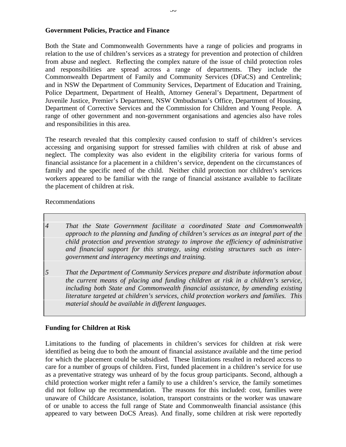#### **Government Policies, Practice and Finance**

Both the State and Commonwealth Governments have a range of policies and programs in relation to the use of children's services as a strategy for prevention and protection of children from abuse and neglect. Reflecting the complex nature of the issue of child protection roles and responsibilities are spread across a range of departments. They include the Commonwealth Department of Family and Community Services (DFaCS) and Centrelink; and in NSW the Department of Community Services, Department of Education and Training, Police Department, Department of Health, Attorney General's Department, Department of Juvenile Justice, Premier's Department, NSW Ombudsman's Office, Department of Housing, Department of Corrective Services and the Commission for Children and Young People. A range of other government and non-government organisations and agencies also have roles and responsibilities in this area.

The research revealed that this complexity caused confusion to staff of children's services accessing and organising support for stressed families with children at risk of abuse and neglect. The complexity was also evident in the eligibility criteria for various forms of financial assistance for a placement in a children's service, dependent on the circumstances of family and the specific need of the child. Neither child protection nor children's services workers appeared to be familiar with the range of financial assistance available to facilitate the placement of children at risk.

Recommendations

- *4 That the State Government facilitate a coordinated State and Commonwealth approach to the planning and funding of children's services as an integral part of the child protection and prevention strategy to improve the efficiency of administrative and financial support for this strategy, using existing structures such as intergovernment and interagency meetings and training.*
- *5 That the Department of Community Services prepare and distribute information about the current means of placing and funding children at risk in a children's service, including both State and Commonwealth financial assistance, by amending existing literature targeted at children's services, child protection workers and families. This material should be available in different languages.*

#### **Funding for Children at Risk**

Limitations to the funding of placements in children's services for children at risk were identified as being due to both the amount of financial assistance available and the time period for which the placement could be subsidised. These limitations resulted in reduced access to care for a number of groups of children. First, funded placement in a children's service for use as a preventative strategy was unheard of by the focus group participants. Second, although a child protection worker might refer a family to use a children's service, the family sometimes did not follow up the recommendation. The reasons for this included: cost, families were unaware of Childcare Assistance, isolation, transport constraints or the worker was unaware of or unable to access the full range of State and Commonwealth financial assistance (this appeared to vary between DoCS Areas). And finally, some children at risk were reportedly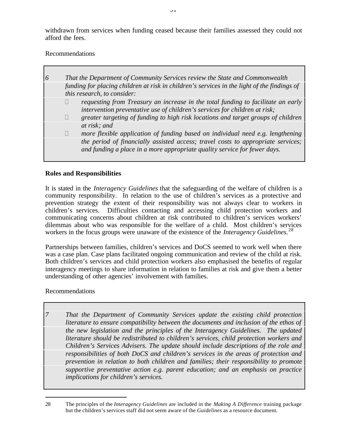withdrawn from services when funding ceased because their families assessed they could not afford the fees.

Recommendations

| $\overline{6}$ |                | That the Department of Community Services review the State and Commonwealth                                                                                    |
|----------------|----------------|----------------------------------------------------------------------------------------------------------------------------------------------------------------|
|                |                | funding for placing children at risk in children's services in the light of the findings of<br>this research, to consider:                                     |
|                | ?              | requesting from Treasury an increase in the total funding to facilitate an early<br>intervention preventative use of children's services for children at risk; |
|                | $\overline{?}$ | greater targeting of funding to high risk locations and target groups of children                                                                              |
|                |                | at risk; and                                                                                                                                                   |
|                | ?              | more flexible application of funding based on individual need e.g. lengthening                                                                                 |
|                |                | the period of financially assisted access; travel costs to appropriate services;<br>and funding a place in a more appropriate quality service for fewer days.  |

### **Roles and Responsibilities**

It is stated in the *Interagency Guidelines* that the safeguarding of the welfare of children is a community responsibility. In relation to the use of children's services as a protective and prevention strategy the extent of their responsibility was not always clear to workers in children's services. Difficulties contacting and accessing child protection workers and communicating concerns about children at risk contributed to children's services workers' dilemmas about who was responsible for the welfare of a child. Most children's services workers in the focus groups were unaware of the existence of the *Interagency Guidelines*. 28

Partnerships between families, children's services and DoCS seemed to work well when there was a case plan. Case plans facilitated ongoing communication and review of the child at risk. Both children's services and child protection workers also emphasised the benefits of regular interagency meetings to share information in relation to families at risk and give them a better understanding of other agencies' involvement with families.

### Recommendations

 $\overline{a}$ 

*7 That the Department of Community Services update the existing child protection literature to ensure compatibility between the documents and inclusion of the ethos of the new legislation and the principles of the Interagency Guidelines. The updated literature should be redistributed to children's services, child protection workers and Children's Services Advisers. The update should include descriptions of the role and responsibilities of both DoCS and children's services in the areas of protection and prevention in relation to both children and families; their responsibility to promote supportive preventative action e.g. parent education; and an emphasis on practice implications for children's services.*

<sup>28</sup> The principles of the *Interagency Guidelines* are included in the *Making A Difference* training package but the children's services staff did not seem aware of the *Guidelines* as a resource document*.*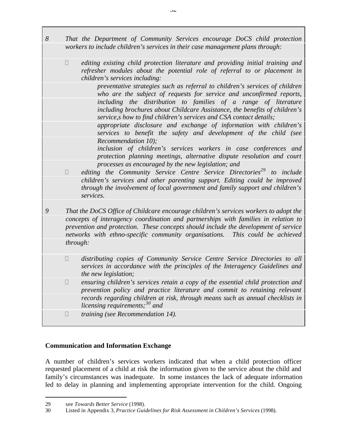- *8 That the Department of Community Services encourage DoCS child protection workers to include children's services in their case management plans through:*
	- ? *editing existing child protection literature and providing initial training and refresher modules about the potential role of referral to or placement in children's services including:*

*preventative strategies such as referral to children's services of children who are the subject of requests for service and unconfirmed reports, including the distribution to families of a range of literature including brochures about Childcare Assistance, the benefits of children's service,s how to find children's services and CSA contact details;*

*appropriate disclosure and exchange of information with children's services to benefit the safety and development of the child (see Recommendation 10);*

*inclusion of children's services workers in case conferences and protection planning meetings, alternative dispute resolution and court processes as encouraged by the new legislation; and*

- ? *editing the Community Service Centre Service Directories<sup>29</sup> to include children's services and other parenting support. Editing could be improved through the involvement of local government and family support and children's services.*
- *9 That the DoCS Office of Childcare encourage children's services workers to adopt the concepts of interagency coordination and partnerships with families in relation to prevention and protection. These concepts should include the development of service networks with ethno-specific community organisations. This could be achieved through:*
	- ? *distributing copies of Community Service Centre Service Directories to all services in accordance with the principles of the Interagency Guidelines and the new legislation;*
	- ? *ensuring children's services retain a copy of the essential child protection and prevention policy and practice literature and commit to retaining relevant records regarding children at risk, through means such as annual checklists in licensing requirements;<sup>30</sup> and*
	- ? *training (see Recommendation 14).*

### **Communication and Information Exchange**

A number of children's services workers indicated that when a child protection officer requested placement of a child at risk the information given to the service about the child and family's circumstances was inadequate. In some instances the lack of adequate information led to delay in planning and implementing appropriate intervention for the child. Ongoing

 $\overline{a}$ 

<sup>29</sup> see *Towards Better Service* (1998).

<sup>30</sup> Listed in Appendix 3, *Practice Guidelines for Risk Assessment in Children's Services* (1998).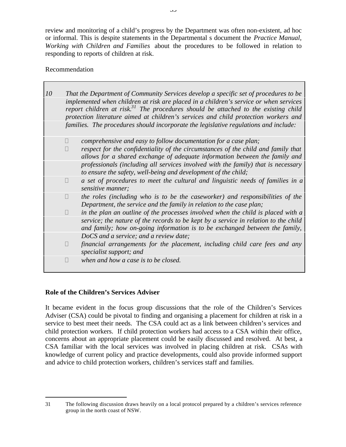review and monitoring of a child's progress by the Department was often non-existent, ad hoc or informal. This is despite statements in the Departmental s document the *Practice Manual, Working with Children and Families* about the procedures to be followed in relation to responding to reports of children at risk.

### Recommendation

| 10 |                                                                                                                                                                                                                                                                        | That the Department of Community Services develop a specific set of procedures to be                                                                               |  |  |  |  |
|----|------------------------------------------------------------------------------------------------------------------------------------------------------------------------------------------------------------------------------------------------------------------------|--------------------------------------------------------------------------------------------------------------------------------------------------------------------|--|--|--|--|
|    | implemented when children at risk are placed in a children's service or when services<br>report children at risk. $3^1$ The procedures should be attached to the existing child<br>protection literature aimed at children's services and child protection workers and |                                                                                                                                                                    |  |  |  |  |
|    |                                                                                                                                                                                                                                                                        | families. The procedures should incorporate the legislative regulations and include:                                                                               |  |  |  |  |
|    | $\ddot{?}$                                                                                                                                                                                                                                                             | comprehensive and easy to follow documentation for a case plan;                                                                                                    |  |  |  |  |
|    | ?                                                                                                                                                                                                                                                                      | respect for the confidentiality of the circumstances of the child and family that<br>allows for a shared exchange of adequate information between the family and   |  |  |  |  |
|    |                                                                                                                                                                                                                                                                        | professionals (including all services involved with the family) that is necessary<br>to ensure the safety, well-being and development of the child;                |  |  |  |  |
|    | ?                                                                                                                                                                                                                                                                      | a set of procedures to meet the cultural and linguistic needs of families in a<br>sensitive manner;                                                                |  |  |  |  |
|    | ?                                                                                                                                                                                                                                                                      | the roles (including who is to be the caseworker) and responsibilities of the<br>Department, the service and the family in relation to the case plan;              |  |  |  |  |
|    | $\overline{?}$                                                                                                                                                                                                                                                         | in the plan an outline of the processes involved when the child is placed with a                                                                                   |  |  |  |  |
|    |                                                                                                                                                                                                                                                                        | service; the nature of the records to be kept by a service in relation to the child<br>and family; how on-going information is to be exchanged between the family, |  |  |  |  |
|    |                                                                                                                                                                                                                                                                        | DoCS and a service; and a review date;                                                                                                                             |  |  |  |  |
|    | $\overline{?}$                                                                                                                                                                                                                                                         | financial arrangements for the placement, including child care fees and any<br>specialist support; and                                                             |  |  |  |  |
|    | ?                                                                                                                                                                                                                                                                      | when and how a case is to be closed.                                                                                                                               |  |  |  |  |

### **Role of the Children's Services Adviser**

 $\overline{a}$ 

It became evident in the focus group discussions that the role of the Children's Services Adviser (CSA) could be pivotal to finding and organising a placement for children at risk in a service to best meet their needs. The CSA could act as a link between children's services and child protection workers. If child protection workers had access to a CSA within their office, concerns about an appropriate placement could be easily discussed and resolved. At best, a CSA familiar with the local services was involved in placing children at risk. CSAs with knowledge of current policy and practice developments, could also provide informed support and advice to child protection workers, children's services staff and families.

<sup>31</sup> The following discussion draws heavily on a local protocol prepared by a children's services reference group in the north coast of NSW.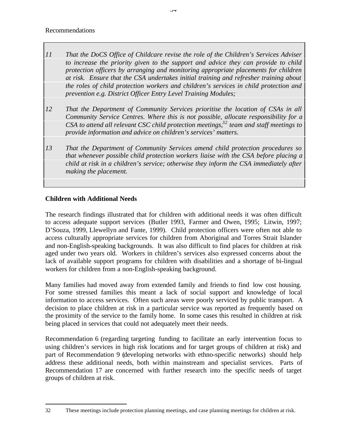Recommendations

- *11 That the DoCS Office of Childcare revise the role of the Children's Services Adviser to increase the priority given to the support and advice they can provide to child protection officers by arranging and monitoring appropriate placements for children at risk. Ensure that the CSA undertakes initial training and refresher training about the roles of child protection workers and children's services in child protection and prevention e.g. District Officer Entry Level Training Modules;*
- *12 That the Department of Community Services prioritise the location of CSAs in all Community Service Centres. Where this is not possible, allocate responsibility for a CSA to attend all relevant CSC child protection meetings,<sup>32</sup> team and staff meetings to provide information and advice on children's services' matters.*
- *13 That the Department of Community Services amend child protection procedures so that whenever possible child protection workers liaise with the CSA before placing a child at risk in a children's service; otherwise they inform the CSA immediately after making the placement.*

## **Children with Additional Needs**

The research findings illustrated that for children with additional needs it was often difficult to access adequate support services (Butler 1993, Farmer and Owen, 1995; Litwin, 1997; D'Souza, 1999, Llewellyn and Fante, 1999). Child protection officers were often not able to access culturally appropriate services for children from Aboriginal and Torres Strait Islander and non-English-speaking backgrounds. It was also difficult to find places for children at risk aged under two years old. Workers in children's services also expressed concerns about the lack of available support programs for children with disabilities and a shortage of bi-lingual workers for children from a non-English-speaking background.

Many families had moved away from extended family and friends to find low cost housing. For some stressed families this meant a lack of social support and knowledge of local information to access services. Often such areas were poorly serviced by public transport. A decision to place children at risk in a particular service was reported as frequently based on the proximity of the service to the family home. In some cases this resulted in children at risk being placed in services that could not adequately meet their needs.

Recommendation 6 (regarding targeting funding to facilitate an early intervention focus to using children's services in high risk locations and for target groups of children at risk) and part of Recommendation 9 (developing networks with ethno-specific networks) should help address these additional needs, both within mainstream and specialist services. Parts of Recommendation 17 are concerned with further research into the specific needs of target groups of children at risk.

 $\overline{a}$ 32 These meetings include protection planning meetings, and case planning meetings for children at risk.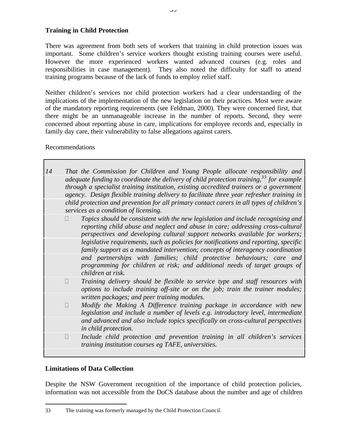### **Training in Child Protection**

There was agreement from both sets of workers that training in child protection issues was important. Some children's service workers thought existing training courses were useful. However the more experienced workers wanted advanced courses (e.g. roles and responsibilities in case management). They also noted the difficulty for staff to attend training programs because of the lack of funds to employ relief staff.

Neither children's services nor child protection workers had a clear understanding of the implications of the implementation of the new legislation on their practices. Most were aware of the mandatory reporting requirements (see Feldman, 2000). They were concerned first, that there might be an unmanageable increase in the number of reports. Second, they were concerned about reporting abuse in care, implications for employee records and, especially in family day care, their vulnerability to false allegations against carers.

### Recommendations

| 14 |                | That the Commission for Children and Young People allocate responsibility and                                                                                                                                                                                                     |
|----|----------------|-----------------------------------------------------------------------------------------------------------------------------------------------------------------------------------------------------------------------------------------------------------------------------------|
|    |                | adequate funding to coordinate the delivery of child protection training, $33$ for example<br>through a specialist training institution, existing accredited trainers or a government<br>agency. Design flexible training delivery to facilitate three year refresher training in |
|    |                | child protection and prevention for all primary contact carers in all types of children's<br>services as a condition of licensing.                                                                                                                                                |
|    | ?              | Topics should be consistent with the new legislation and include recognising and<br>reporting child abuse and neglect and abuse in care; addressing cross-cultural<br>perspectives and developing cultural support networks available for workers;                                |
|    |                | legislative requirements, such as policies for notifications and reporting, specific<br>family support as a mandated intervention; concepts of interagency coordination                                                                                                           |
|    |                | and partnerships with families; child protective behaviours; care and<br>programming for children at risk; and additional needs of target groups of<br>children at risk.                                                                                                          |
|    | $\overline{?}$ | Training delivery should be flexible to service type and staff resources with<br>options to include training off-site or on the job; train the trainer modules;                                                                                                                   |
|    |                | written packages; and peer training modules.                                                                                                                                                                                                                                      |
|    | $\overline{?}$ | Modify the Making A Difference training package in accordance with new<br>legislation and include a number of levels e.g. introductory level, intermediate                                                                                                                        |
|    |                | and advanced and also include topics specifically on cross-cultural perspectives<br>in child protection.                                                                                                                                                                          |
|    | $\overline{?}$ | Include child protection and prevention training in all children's services<br>training institution courses eg TAFE, universities.                                                                                                                                                |
|    |                |                                                                                                                                                                                                                                                                                   |

# **Limitations of Data Collection**

 $\overline{a}$ 

Despite the NSW Government recognition of the importance of child protection policies, information was not accessible from the DoCS database about the number and age of children

<sup>33</sup> The training was formerly managed by the Child Protection Council.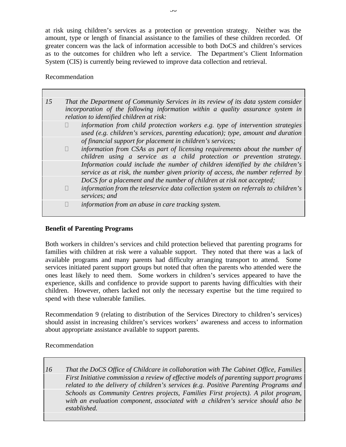at risk using children's services as a protection or prevention strategy. Neither was the amount, type or length of financial assistance to the families of these children recorded. Of greater concern was the lack of information accessible to both DoCS and children's services as to the outcomes for children who left a service. The Department's Client Information System (CIS) is currently being reviewed to improve data collection and retrieval.

#### Recommendation

| 15 | That the Department of Community Services in its review of its data system consider<br>incorporation of the following information within a quality assurance system in<br>relation to identified children at risk: |                                                                                                                                                                   |
|----|--------------------------------------------------------------------------------------------------------------------------------------------------------------------------------------------------------------------|-------------------------------------------------------------------------------------------------------------------------------------------------------------------|
|    | ?                                                                                                                                                                                                                  | information from child protection workers e.g. type of intervention strategies<br>used (e.g. children's services, parenting education); type, amount and duration |
|    |                                                                                                                                                                                                                    | of financial support for placement in children's services;                                                                                                        |
|    | $\overline{?}$                                                                                                                                                                                                     | information from CSAs as part of licensing requirements about the number of<br>children using a service as a child protection or prevention strategy.             |
|    |                                                                                                                                                                                                                    | Information could include the number of children identified by the children's<br>service as at risk, the number given priority of access, the number referred by  |
|    |                                                                                                                                                                                                                    | DoCS for a placement and the number of children at risk not accepted;                                                                                             |
|    | $\overline{?}$                                                                                                                                                                                                     | information from the teleservice data collection system on referrals to children's<br>services; and                                                               |
|    |                                                                                                                                                                                                                    | information from an abuse in care tracking system.                                                                                                                |

### **Benefit of Parenting Programs**

Both workers in children's services and child protection believed that parenting programs for families with children at risk were a valuable support. They noted that there was a lack of available programs and many parents had difficulty arranging transport to attend. Some services initiated parent support groups but noted that often the parents who attended were the ones least likely to need them. Some workers in children's services appeared to have the experience, skills and confidence to provide support to parents having difficulties with their children. However, others lacked not only the necessary expertise but the time required to spend with these vulnerable families.

Recommendation 9 (relating to distribution of the Services Directory to children's services) should assist in increasing children's services workers' awareness and access to information about appropriate assistance available to support parents.

Recommendation

*16 That the DoCS Office of Childcare in collaboration with The Cabinet Office, Families First Initiative commission a review of effective models of parenting support programs related to the delivery of children's services (e.g. Positive Parenting Programs and Schools as Community Centres projects, Families First projects). A pilot program, with an evaluation component, associated with a children's service should also be established.*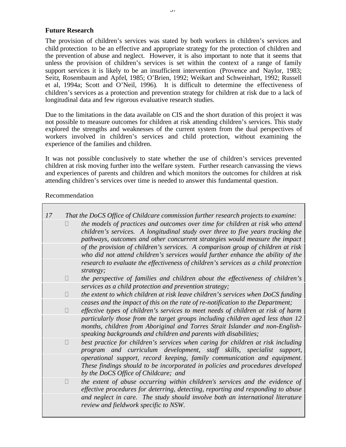### **Future Research**

The provision of children's services was stated by both workers in children's services and child protection to be an effective and appropriate strategy for the protection of children and the prevention of abuse and neglect. However, it is also important to note that it seems that unless the provision of children's services is set within the context of a range of family support services it is likely to be an insufficient intervention (Provence and Naylor, 1983; Seitz, Rosembaum and Apfel, 1985; O'Brien, 1992; Weikart and Schweinhart, 1992; Russell et al, 1994a; Scott and O'Neil, 1996). It is difficult to determine the effectiveness of children's services as a protection and prevention strategy for children at risk due to a lack of longitudinal data and few rigorous evaluative research studies.

Due to the limitations in the data available on CIS and the short duration of this project it was not possible to measure outcomes for children at risk attending children's services. This study explored the strengths and weaknesses of the current system from the dual perspectives of workers involved in children's services and child protection, without examining the experience of the families and children.

It was not possible conclusively to state whether the use of children's services prevented children at risk moving further into the welfare system. Further research canvassing the views and experiences of parents and children and which monitors the outcomes for children at risk attending children's services over time is needed to answer this fundamental question.

### Recommendation

| 17 | That the DoCS Office of Childcare commission further research projects to examine: |                                                                                                                                                                                                                                                  |
|----|------------------------------------------------------------------------------------|--------------------------------------------------------------------------------------------------------------------------------------------------------------------------------------------------------------------------------------------------|
|    | ?                                                                                  | the models of practices and outcomes over time for children at risk who attend<br>children's services. A longitudinal study over three to five years tracking the<br>pathways, outcomes and other concurrent strategies would measure the impact |
|    |                                                                                    | of the provision of children's services. A comparison group of children at risk<br>who did not attend children's services would further enhance the ability of the                                                                               |
|    |                                                                                    | research to evaluate the effectiveness of children's services as a child protection<br>strategy;                                                                                                                                                 |
|    | $\overline{?}$                                                                     | the perspective of families and children about the effectiveness of children's                                                                                                                                                                   |
|    |                                                                                    | services as a child protection and prevention strategy;                                                                                                                                                                                          |
|    | $\overline{?}$                                                                     | the extent to which children at risk leave children's services when DoCS funding                                                                                                                                                                 |
|    | $\overline{?}$                                                                     | ceases and the impact of this on the rate of re-notification to the Department;<br>effective types of children's services to meet needs of children at risk of harm                                                                              |
|    |                                                                                    | particularly those from the target groups including children aged less than 12<br>months, children from Aboriginal and Torres Strait Islander and non-English-<br>speaking backgrounds and children and parents with disabilities;               |
|    | $\overline{?}$                                                                     | best practice for children's services when caring for children at risk including<br>program and curriculum development, staff skills, specialist support,                                                                                        |
|    |                                                                                    | operational support, record keeping, family communication and equipment.<br>These findings should to be incorporated in policies and procedures developed<br>by the DoCS Office of Childcare; and                                                |
|    | $\tilde{?}$                                                                        | the extent of abuse occurring within children's services and the evidence of<br>effective procedures for deterring, detecting, reporting and responding to abuse                                                                                 |
|    |                                                                                    | and neglect in care. The study should involve both an international literature<br>review and fieldwork specific to NSW.                                                                                                                          |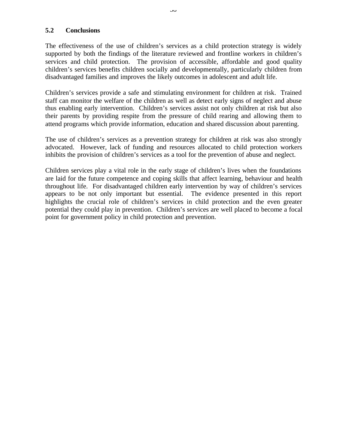### **5.2 Conclusions**

The effectiveness of the use of children's services as a child protection strategy is widely supported by both the findings of the literature reviewed and frontline workers in children's services and child protection. The provision of accessible, affordable and good quality children's services benefits children socially and developmentally, particularly children from disadvantaged families and improves the likely outcomes in adolescent and adult life.

Children's services provide a safe and stimulating environment for children at risk. Trained staff can monitor the welfare of the children as well as detect early signs of neglect and abuse thus enabling early intervention. Children's services assist not only children at risk but also their parents by providing respite from the pressure of child rearing and allowing them to attend programs which provide information, education and shared discussion about parenting.

The use of children's services as a prevention strategy for children at risk was also strongly advocated. However, lack of funding and resources allocated to child protection workers inhibits the provision of children's services as a tool for the prevention of abuse and neglect.

Children services play a vital role in the early stage of children's lives when the foundations are laid for the future competence and coping skills that affect learning, behaviour and health throughout life. For disadvantaged children early intervention by way of children's services appears to be not only important but essential. The evidence presented in this report highlights the crucial role of children's services in child protection and the even greater potential they could play in prevention. Children's services are well placed to become a focal point for government policy in child protection and prevention.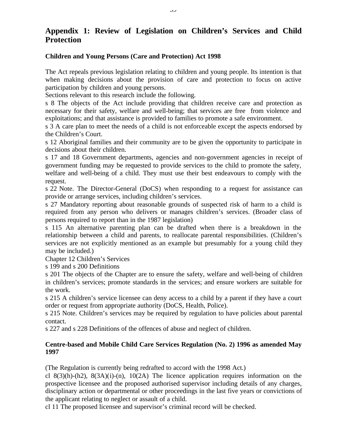# **Appendix 1: Review of Legislation on Children's Services and Child Protection**

### **Children and Young Persons (Care and Protection) Act 1998**

The Act repeals previous legislation relating to children and young people. Its intention is that when making decisions about the provision of care and protection to focus on active participation by children and young persons.

Sections relevant to this research include the following.

s 8 The objects of the Act include providing that children receive care and protection as necessary for their safety, welfare and well-being; that services are free from violence and exploitations; and that assistance is provided to families to promote a safe environment.

s 3 A care plan to meet the needs of a child is not enforceable except the aspects endorsed by the Children's Court.

s 12 Aboriginal families and their community are to be given the opportunity to participate in decisions about their children.

s 17 and 18 Government departments, agencies and non-government agencies in receipt of government funding may be requested to provide services to the child to promote the safety, welfare and well-being of a child. They must use their best endeavours to comply with the request.

s 22 Note. The Director-General (DoCS) when responding to a request for assistance can provide or arrange services, including children's services.

s 27 Mandatory reporting about reasonable grounds of suspected risk of harm to a child is required from any person who delivers or manages children's services. (Broader class of persons required to report than in the 1987 legislation)

s 115 An alternative parenting plan can be drafted when there is a breakdown in the relationship between a child and parents, to reallocate parental responsibilities. (Children's services are not explicitly mentioned as an example but presumably for a young child they may be included.)

Chapter 12 Children's Services

s 199 and s 200 Definitions

s 201 The objects of the Chapter are to ensure the safety, welfare and well-being of children in children's services; promote standards in the services; and ensure workers are suitable for the work.

s 215 A children's service licensee can deny access to a child by a parent if they have a court order or request from appropriate authority (DoCS, Health, Police).

s 215 Note. Children's services may be required by regulation to have policies about parental contact.

s 227 and s 228 Definitions of the offences of abuse and neglect of children.

### **Centre-based and Mobile Child Care Services Regulation (No. 2) 1996 as amended May 1997**

(The Regulation is currently being redrafted to accord with the 1998 Act.)

cl 8(3)(h)-(h2), 8(3A)(i)-(n), 10(2A) The licence application requires information on the prospective licensee and the proposed authorised supervisor including details of any charges, disciplinary action or departmental or other proceedings in the last five years or convictions of the applicant relating to neglect or assault of a child.

cl 11 The proposed licensee and supervisor's criminal record will be checked.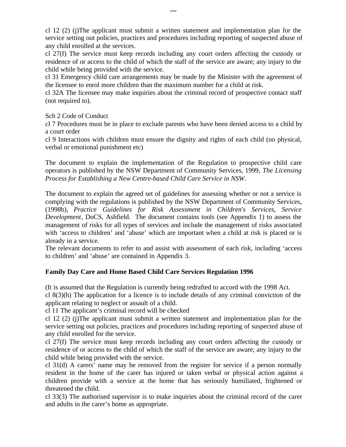cl 12 (2) (j)The applicant must submit a written statement and implementation plan for the service setting out policies, practices and procedures including reporting of suspected abuse of any child enrolled at the services.

cl 27(f) The service must keep records including any court orders affecting the custody or residence of or access to the child of which the staff of the service are aware; any injury to the child while being provided with the service.

cl 31 Emergency child care arrangements may be made by the Minister with the agreement of the licensee to enrol more children than the maximum number for a child at risk.

cl 32A The licensee may make inquiries about the criminal record of prospective contact staff (not required to).

Sch 2 Code of Conduct

cl 7 Procedures must be in place to exclude parents who have been denied access to a child by a court order

cl 9 Interactions with children must ensure the dignity and rights of each child (no physical, verbal or emotional punishment etc)

The document to explain the implementation of the Regulation to prospective child care operators is published by the NSW Department of Community Services, 1999, *The Licensing Process for Establishing a New Centre-based Child Care Service in NSW.*

The document to explain the agreed set of guidelines for assessing whether or not a service is complying with the regulations is published by the NSW Department of Community Services, (1998b), *Practice Guidelines for Risk Assessment in Children's Services, Service Development*, DoCS, Ashfield. The document contains tools (see Appendix 1) to assess the management of risks for all types of services and include the management of risks associated with 'access to children' and 'abuse' which are important when a child at risk is placed or is already in a service.

The relevant documents to refer to and assist with assessment of each risk, including 'access to children' and 'abuse' are contained in Appendix 3.

# **Family Day Care and Home Based Child Care Services Regulation 1996**

(It is assumed that the Regulation is currently being redrafted to accord with the 1998 Act. cl 8(3)(h) The application for a licence is to include details of any criminal conviction of the applicant relating to neglect or assault of a child.

cl 11 The applicant's criminal record will be checked

cl 12 (2) (j)The applicant must submit a written statement and implementation plan for the service setting out policies, practices and procedures including reporting of suspected abuse of any child enrolled for the service.

cl 27(f) The service must keep records including any court orders affecting the custody or residence of or access to the child of which the staff of the service are aware; any injury to the child while being provided with the service.

cl 31(d) A carers' name may be removed from the register for service if a person normally resident in the home of the carer has injured or taken verbal or physical action against a children provide with a service at the home that has seriously humiliated, frightened or threatened the child.

cl 33(3) The authorised supervisor is to make inquiries about the criminal record of the carer and adults in the carer's home as appropriate.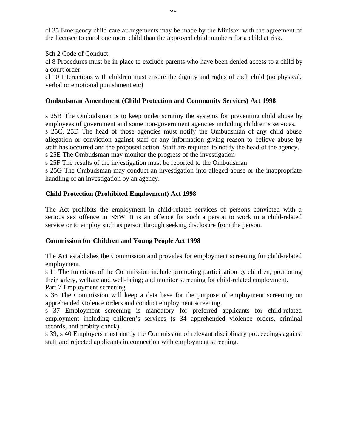cl 35 Emergency child care arrangements may be made by the Minister with the agreement of the licensee to enrol one more child than the approved child numbers for a child at risk.

Sch 2 Code of Conduct

cl 8 Procedures must be in place to exclude parents who have been denied access to a child by a court order

cl 10 Interactions with children must ensure the dignity and rights of each child (no physical, verbal or emotional punishment etc)

# **Ombudsman Amendment (Child Protection and Community Services) Act 1998**

s 25B The Ombudsman is to keep under scrutiny the systems for preventing child abuse by employees of government and some non-government agencies including children's services. s 25C, 25D The head of those agencies must notify the Ombudsman of any child abuse allegation or conviction against staff or any information giving reason to believe abuse by staff has occurred and the proposed action. Staff are required to notify the head of the agency. s 25E The Ombudsman may monitor the progress of the investigation

s 25F The results of the investigation must be reported to the Ombudsman

s 25G The Ombudsman may conduct an investigation into alleged abuse or the inappropriate handling of an investigation by an agency.

# **Child Protection (Prohibited Employment) Act 1998**

The Act prohibits the employment in child-related services of persons convicted with a serious sex offence in NSW. It is an offence for such a person to work in a child-related service or to employ such as person through seeking disclosure from the person.

# **Commission for Children and Young People Act 1998**

The Act establishes the Commission and provides for employment screening for child-related employment.

s 11 The functions of the Commission include promoting participation by children; promoting their safety, welfare and well-being; and monitor screening for child-related employment. Part 7 Employment screening

s 36 The Commission will keep a data base for the purpose of employment screening on apprehended violence orders and conduct employment screening.

s 37 Employment screening is mandatory for preferred applicants for child-related employment including children's services (s 34 apprehended violence orders, criminal records, and probity check).

s 39, s 40 Employers must notify the Commission of relevant disciplinary proceedings against staff and rejected applicants in connection with employment screening.

 $U_{\perp}$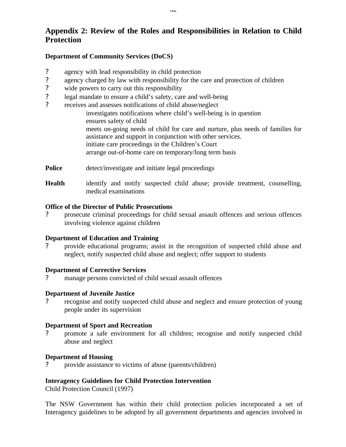# **Appendix 2: Review of the Roles and Responsibilities in Relation to Child Protection**

### **Department of Community Services (DoCS)**

- ? agency with lead responsibility in child protection
- ? agency charged by law with responsibility for the care and protection of children
- ? wide powers to carry out this responsibility
- ? legal mandate to ensure a child's safety, care and well-being
- ? receives and assesses notifications of child abuse/neglect investigates notifications where child's well-being is in question ensures safety of child meets on-going needs of child for care and nurture, plus needs of families for assistance and support in conjunction with other services. initiate care proceedings in the Children's Court arrange out-of-home care on temporary/long term basis
- **Police** detect/investigate and initiate legal proceedings
- **Health** identify and notify suspected child abuse; provide treatment, counselling, medical examinations

### **Office of the Director of Public Prosecutions**

? prosecute criminal proceedings for child sexual assault offences and serious offences involving violence against children

### **Department of Education and Training**

? provide educational programs; assist in the recognition of suspected child abuse and neglect, notify suspected child abuse and neglect; offer support to students

### **Department of Corrective Services**

? manage persons convicted of child sexual assault offences

# **Department of Juvenile Justice**

? recognise and notify suspected child abuse and neglect and ensure protection of young people under its supervision

### **Department of Sport and Recreation**

? promote a safe environment for all children; recognise and notify suspected child abuse and neglect

### **Department of Housing**

? provide assistance to victims of abuse (parents/children)

# **Interagency Guidelines for Child Protection Intervention**

Child Protection Council (1997)

The NSW Government has within their child protection policies incorporated a set of Interagency guidelines to be adopted by all government departments and agencies involved in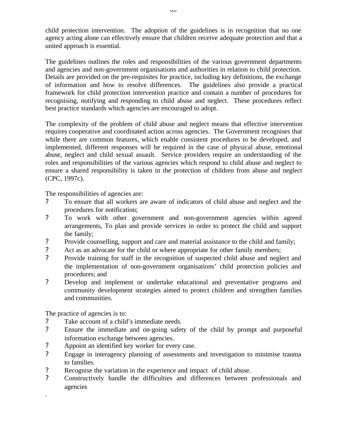child protection intervention. The adoption of the guidelines is in recognition that no one agency acting alone can effectively ensure that children receive adequate protection and that a united approach is essential.

The guidelines outlines the roles and responsibilities of the various government departments and agencies and non-government organisations and authorities in relation to child protection. Details are provided on the pre-requisites for practice, including key definitions, the exchange of information and how to resolve differences. The guidelines also provide a practical framework for child protection intervention practice and contain a number of procedures for recognising, notifying and responding to child abuse and neglect. These procedures reflect best practice standards which agencies are encouraged to adopt.

The complexity of the problem of child abuse and neglect means that effective intervention requires cooperative and coordinated action across agencies. The Government recognises that while there are common features, which enable consistent procedures to be developed, and implemented, different responses will be required in the case of physical abuse, emotional abuse, neglect and child sexual assault. Service providers require an understanding of the roles and responsibilities of the various agencies which respond to child abuse and neglect to ensure a shared responsibility is taken in the protection of children from abuse and neglect (CPC, 1997c).

The responsibilities of agencies are:

- ? To ensure that all workers are aware of indicators of child abuse and neglect and the procedures for notification;
- ? To work with other government and non-government agencies within agreed arrangements, To plan and provide services in order to protect the child and support the family;
- ? Provide counselling, support and care and material assistance to the child and family;
- ? Act as an advocate for the child or where appropriate for other family members;
- ? Provide training for staff in the recognition of suspected child abuse and neglect and the implementation of non-government organisations' child protection policies and procedures; and
- ? Develop and implement or undertake educational and preventative programs and community development strategies aimed to protect children and strengthen families and communities.

The practice of agencies is to:

.

- ? Take account of a child's immediate needs.
- ? Ensure the immediate and on-going safety of the child by prompt and purposeful information exchange between agencies.
- ? Appoint an identified key worker for every case.
- ? Engage in interagency planning of assessments and investigation to minimise trauma to families.
- ? Recognise the variation in the experience and impact of child abuse.
- ? Constructively handle the difficulties and differences between professionals and agencies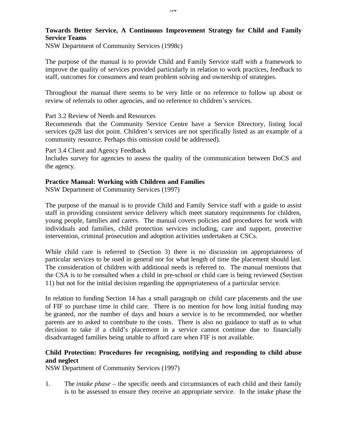### **Towards Better Service, A Continuous Improvement Strategy for Child and Family Service Teams**

NSW Department of Community Services (1998c)

The purpose of the manual is to provide Child and Family Service staff with a framework to improve the quality of services provided particularly in relation to work practices, feedback to staff, outcomes for consumers and team problem solving and ownership of strategies.

Throughout the manual there seems to be very little or no reference to follow up about or review of referrals to other agencies, and no reference to children's services.

#### Part 3.2 Review of Needs and Resources

Recommends that the Community Service Centre have a Service Directory, listing local services (p28 last dot point. Children's services are not specifically listed as an example of a community resource. Perhaps this omission could be addressed).

#### Part 3.4 Client and Agency Feedback

Includes survey for agencies to assess the quality of the communication between DoCS and the agency.

### **Practice Manual: Working with Children and Families**

NSW Department of Community Services (1997)

The purpose of the manual is to provide Child and Family Service staff with a guide to assist staff in providing consistent service delivery which meet statutory requirements for children, young people, families and carers. The manual covers policies and procedures for work with individuals and families, child protection services including, care and support, protective intervention, criminal prosecution and adoption activities undertaken at CSCs.

While child care is referred to (Section 3) there is no discussion on appropriateness of particular services to be used in general nor for what length of time the placement should last. The consideration of children with additional needs is referred to. The manual mentions that the CSA is to be consulted when a child in pre-school or child care is being reviewed (Section 11) but not for the initial decision regarding the appropriateness of a particular service.

In relation to funding Section 14 has a small paragraph on child care placements and the use of FIF to purchase time in child care. There is no mention for how long initial funding may be granted, nor the number of days and hours a service is to be recommended, nor whether parents are to asked to contribute to the costs. There is also no guidance to staff as to what decision to take if a child's placement in a service cannot continue due to financially disadvantaged families being unable to afford care when FIF is not available.

# **Child Protection: Procedures for recognising, notifying and responding to child abuse and neglect**

NSW Department of Community Services (1997)

1. The *intake phase* – the specific needs and circumstances of each child and their family is to be assessed to ensure they receive an appropriate service. In the intake phase the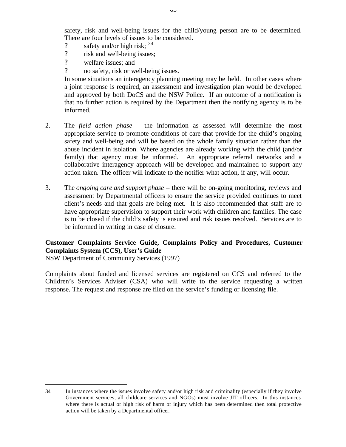safety, risk and well-being issues for the child/young person are to be determined. There are four levels of issues to be considered.

- ? safety and/or high risk;  $34$
- ? risk and well-being issues;
- ? welfare issues; and
- ? no safety, risk or well-being issues.

In some situations an interagency planning meeting may be held. In other cases where a joint response is required, an assessment and investigation plan would be developed and approved by both DoCS and the NSW Police. If an outcome of a notification is that no further action is required by the Department then the notifying agency is to be informed.

- 2. The *field action phase* the information as assessed will determine the most appropriate service to promote conditions of care that provide for the child's ongoing safety and well-being and will be based on the whole family situation rather than the abuse incident in isolation. Where agencies are already working with the child (and/or family) that agency must be informed. An appropriate referral networks and a collaborative interagency approach will be developed and maintained to support any action taken. The officer will indicate to the notifier what action, if any, will occur.
- 3. The *ongoing care and support phase* there will be on-going monitoring, reviews and assessment by Departmental officers to ensure the service provided continues to meet client's needs and that goals are being met. It is also recommended that staff are to have appropriate supervision to support their work with children and families. The case is to be closed if the child's safety is ensured and risk issues resolved. Services are to be informed in writing in case of closure.

# **Customer Complaints Service Guide, Complaints Policy and Procedures, Customer Complaints System (CCS), User's Guide**

NSW Department of Community Services (1997)

 $\overline{a}$ 

Complaints about funded and licensed services are registered on CCS and referred to the Children's Services Adviser (CSA) who will write to the service requesting a written response. The request and response are filed on the service's funding or licensing file.

<sup>34</sup> In instances where the issues involve safety and/or high risk and criminality (especially if they involve Government services, all childcare services and NGOs) must involve JIT officers. In this instances where there is actual or high risk of harm or injury which has been determined then total protective action will be taken by a Departmental officer.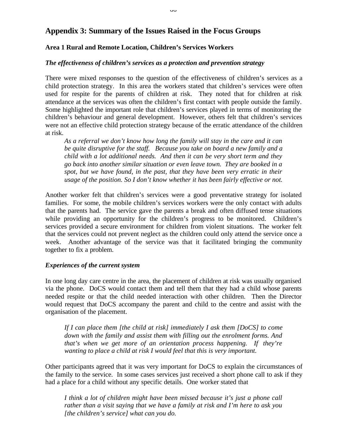# **Appendix 3: Summary of the Issues Raised in the Focus Groups**

# **Area 1 Rural and Remote Location, Children's Services Workers**

### *The effectiveness of children's services as a protection and prevention strategy*

There were mixed responses to the question of the effectiveness of children's services as a child protection strategy. In this area the workers stated that children's services were often used for respite for the parents of children at risk. They noted that for children at risk attendance at the services was often the children's first contact with people outside the family. Some highlighted the important role that children's services played in terms of monitoring the children's behaviour and general development. However, others felt that children's services were not an effective child protection strategy because of the erratic attendance of the children at risk.

*As a referral we don't know how long the family will stay in the care and it can be quite disruptive for the staff. Because you take on board a new family and a child with a lot additional needs. And then it can be very short term and they go back into another similar situation or even leave town. They are booked in a spot, but we have found, in the past, that they have been very erratic in their usage of the position. So I don't know whether it has been fairly effective or not.*

Another worker felt that children's services were a good preventative strategy for isolated families. For some, the mobile children's services workers were the only contact with adults that the parents had. The service gave the parents a break and often diffused tense situations while providing an opportunity for the children's progress to be monitored. Children's services provided a secure environment for children from violent situations. The worker felt that the services could not prevent neglect as the children could only attend the service once a week. Another advantage of the service was that it facilitated bringing the community together to fix a problem.

### *Experiences of the current system*

In one long day care centre in the area, the placement of children at risk was usually organised via the phone. DoCS would contact them and tell them that they had a child whose parents needed respite or that the child needed interaction with other children. Then the Director would request that DoCS accompany the parent and child to the centre and assist with the organisation of the placement.

*If I can place them [the child at risk] immediately I ask them [DoCS] to come down with the family and assist them with filling out the enrolment forms. And that's when we get more of an orientation process happening. If they're wanting to place a child at risk I would feel that this is very important.*

Other participants agreed that it was very important for DoCS to explain the circumstances of the family to the service. In some cases services just received a short phone call to ask if they had a place for a child without any specific details. One worker stated that

*I think a lot of children might have been missed because it's just a phone call rather than a visit saying that we have a family at risk and I'm here to ask you [the children's service] what can you do.*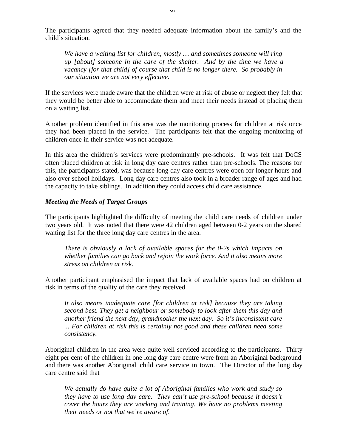The participants agreed that they needed adequate information about the family's and the child's situation.

*We have a waiting list for children, mostly … and sometimes someone will ring up [about] someone in the care of the shelter. And by the time we have a vacancy [for that child] of course that child is no longer there. So probably in our situation we are not very effective.*

If the services were made aware that the children were at risk of abuse or neglect they felt that they would be better able to accommodate them and meet their needs instead of placing them on a waiting list.

Another problem identified in this area was the monitoring process for children at risk once they had been placed in the service. The participants felt that the ongoing monitoring of children once in their service was not adequate.

In this area the children's services were predominantly pre-schools. It was felt that DoCS often placed children at risk in long day care centres rather than pre-schools. The reasons for this, the participants stated, was because long day care centres were open for longer hours and also over school holidays. Long day care centres also took in a broader range of ages and had the capacity to take siblings. In addition they could access child care assistance.

#### *Meeting the Needs of Target Groups*

The participants highlighted the difficulty of meeting the child care needs of children under two years old. It was noted that there were 42 children aged between 0-2 years on the shared waiting list for the three long day care centres in the area.

*There is obviously a lack of available spaces for the 0-2s which impacts on whether families can go back and rejoin the work force. And it also means more stress on children at risk.*

Another participant emphasised the impact that lack of available spaces had on children at risk in terms of the quality of the care they received.

*It also means inadequate care [for children at risk] because they are taking second best. They get a neighbour or somebody to look after them this day and another friend the next day, grandmother the next day. So it's inconsistent care ... For children at risk this is certainly not good and these children need some consistency.*

Aboriginal children in the area were quite well serviced according to the participants. Thirty eight per cent of the children in one long day care centre were from an Aboriginal background and there was another Aboriginal child care service in town. The Director of the long day care centre said that

*We actually do have quite a lot of Aboriginal families who work and study so they have to use long day care. They can't use pre-school because it doesn't cover the hours they are working and training. We have no problems meeting their needs or not that we're aware of.*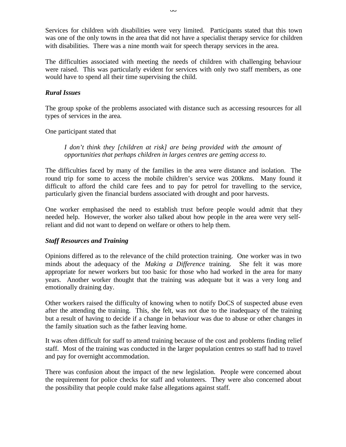Services for children with disabilities were very limited. Participants stated that this town was one of the only towns in the area that did not have a specialist therapy service for children with disabilities. There was a nine month wait for speech therapy services in the area.

The difficulties associated with meeting the needs of children with challenging behaviour were raised. This was particularly evident for services with only two staff members, as one would have to spend all their time supervising the child.

### *Rural Issues*

The group spoke of the problems associated with distance such as accessing resources for all types of services in the area.

One participant stated that

*I don't think they [children at risk] are being provided with the amount of opportunities that perhaps children in larges centres are getting access to.*

The difficulties faced by many of the families in the area were distance and isolation. The round trip for some to access the mobile children's service was 200kms. Many found it difficult to afford the child care fees and to pay for petrol for travelling to the service, particularly given the financial burdens associated with drought and poor harvests.

One worker emphasised the need to establish trust before people would admit that they needed help. However, the worker also talked about how people in the area were very selfreliant and did not want to depend on welfare or others to help them.

### *Staff Resources and Training*

Opinions differed as to the relevance of the child protection training. One worker was in two minds about the adequacy of the *Making a Difference* training. She felt it was more appropriate for newer workers but too basic for those who had worked in the area for many years. Another worker thought that the training was adequate but it was a very long and emotionally draining day.

Other workers raised the difficulty of knowing when to notify DoCS of suspected abuse even after the attending the training. This, she felt, was not due to the inadequacy of the training but a result of having to decide if a change in behaviour was due to abuse or other changes in the family situation such as the father leaving home.

It was often difficult for staff to attend training because of the cost and problems finding relief staff. Most of the training was conducted in the larger population centres so staff had to travel and pay for overnight accommodation.

There was confusion about the impact of the new legislation. People were concerned about the requirement for police checks for staff and volunteers. They were also concerned about the possibility that people could make false allegations against staff.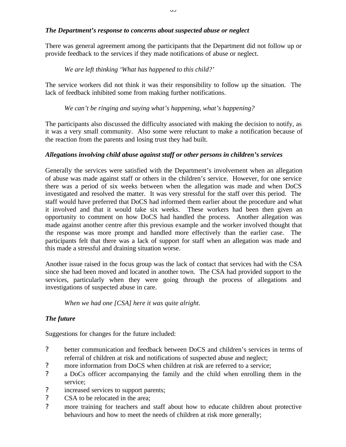# *The Department's response to concerns about suspected abuse or neglect*

There was general agreement among the participants that the Department did not follow up or provide feedback to the services if they made notifications of abuse or neglect.

# *We are left thinking 'What has happened to this child?'*

The service workers did not think it was their responsibility to follow up the situation. The lack of feedback inhibited some from making further notifications.

*We can't be ringing and saying what's happening, what's happening?*

The participants also discussed the difficulty associated with making the decision to notify, as it was a very small community. Also some were reluctant to make a notification because of the reaction from the parents and losing trust they had built.

# *Allegations involving child abuse against staff or other persons in children's services*

Generally the services were satisfied with the Department's involvement when an allegation of abuse was made against staff or others in the children's service. However, for one service there was a period of six weeks between when the allegation was made and when DoCS investigated and resolved the matter. It was very stressful for the staff over this period. The staff would have preferred that DoCS had informed them earlier about the procedure and what it involved and that it would take six weeks. These workers had been then given an opportunity to comment on how DoCS had handled the process. Another allegation was made against another centre after this previous example and the worker involved thought that the response was more prompt and handled more effectively than the earlier case. The participants felt that there was a lack of support for staff when an allegation was made and this made a stressful and draining situation worse.

Another issue raised in the focus group was the lack of contact that services had with the CSA since she had been moved and located in another town. The CSA had provided support to the services, particularly when they were going through the process of allegations and investigations of suspected abuse in care.

*When we had one [CSA] here it was quite alright.*

# *The future*

Suggestions for changes for the future included:

- ? better communication and feedback between DoCS and children's services in terms of referral of children at risk and notifications of suspected abuse and neglect;
- ? more information from DoCS when children at risk are referred to a service;
- ? a DoCs officer accompanying the family and the child when enrolling them in the service;
- ? increased services to support parents;
- ? CSA to be relocated in the area;
- ? more training for teachers and staff about how to educate children about protective behaviours and how to meet the needs of children at risk more generally;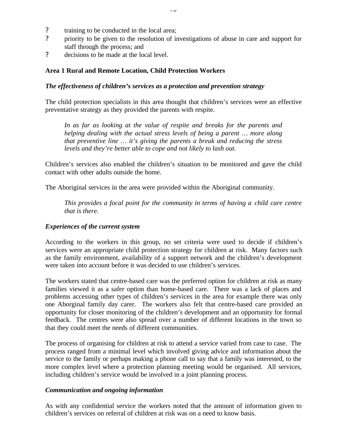- ? training to be conducted in the local area;
- ? priority to be given to the resolution of investigations of abuse in care and support for staff through the process; and
- ? decisions to be made at the local level.

### **Area 1 Rural and Remote Location, Child Protection Workers**

#### *The effectiveness of children's services as a protection and prevention strategy*

The child protection specialists in this area thought that children's services were an effective preventative strategy as they provided the parents with respite.

*In as far as looking at the value of respite and breaks for the parents and helping dealing with the actual stress levels of being a parent … more along that preventive line … it's giving the parents a break and reducing the stress levels and they're better able to cope and not likely to lash out.*

Children's services also enabled the children's situation to be monitored and gave the child contact with other adults outside the home.

The Aboriginal services in the area were provided within the Aboriginal community.

*This provides a focal point for the community in terms of having a child care centre that is there.*

### *Experiences of the current system*

According to the workers in this group, no set criteria were used to decide if children's services were an appropriate child protection strategy for children at risk. Many factors such as the family environment, availability of a support network and the children's development were taken into account before it was decided to use children's services.

The workers stated that centre-based care was the preferred option for children at risk as many families viewed it as a safer option than home-based care. There was a lack of places and problems accessing other types of children's services in the area for example there was only one Aborginal family day carer. The workers also felt that centre-based care provided an opportunity for closer monitoring of the children's development and an opportunity for formal feedback. The centres were also spread over a number of different locations in the town so that they could meet the needs of different communities.

The process of organising for children at risk to attend a service varied from case to case. The process ranged from a minimal level which involved giving advice and information about the service to the family or perhaps making a phone call to say that a family was interested, to the more complex level where a protection planning meeting would be organised. All services, including children's service would be involved in a joint planning process.

### *Communication and ongoing information*

As with any confidential service the workers noted that the amount of information given to children's services on referral of children at risk was on a need to know basis.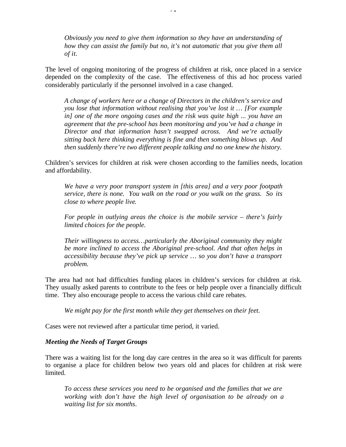*Obviously you need to give them information so they have an understanding of how they can assist the family but no, it's not automatic that you give them all of it.*

71

The level of ongoing monitoring of the progress of children at risk, once placed in a service depended on the complexity of the case. The effectiveness of this ad hoc process varied considerably particularly if the personnel involved in a case changed.

*A change of workers here or a change of Directors in the children's service and you lose that information without realising that you've lost it … [For example in] one of the more ongoing cases and the risk was quite high ... you have an agreement that the pre-school has been monitoring and you've had a change in Director and that information hasn't swapped across. And we're actually sitting back here thinking everything is fine and then something blows up. And then suddenly there're two different people talking and no one knew the history.*

Children's services for children at risk were chosen according to the families needs, location and affordability.

*We have a very poor transport system in [this area] and a very poor footpath service, there is none. You walk on the road or you walk on the grass. So its close to where people live*.

*For people in outlying areas the choice is the mobile service – there's fairly limited choices for the people.*

*Their willingness to access…particularly the Aboriginal community they might be more inclined to access the Aboriginal pre-school. And that often helps in accessibility because they've pick up service … so you don't have a transport problem.*

The area had not had difficulties funding places in children's services for children at risk. They usually asked parents to contribute to the fees or help people over a financially difficult time. They also encourage people to access the various child care rebates.

*We might pay for the first month while they get themselves on their feet.*

Cases were not reviewed after a particular time period, it varied.

### *Meeting the Needs of Target Groups*

There was a waiting list for the long day care centres in the area so it was difficult for parents to organise a place for children below two years old and places for children at risk were limited.

*To access these services you need to be organised and the families that we are working with don't have the high level of organisation to be already on a waiting list for six months*.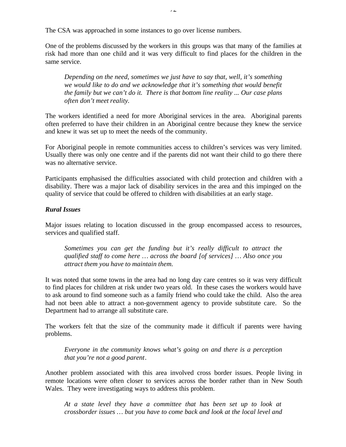The CSA was approached in some instances to go over license numbers.

One of the problems discussed by the workers in this groups was that many of the families at risk had more than one child and it was very difficult to find places for the children in the same service.

*Depending on the need, sometimes we just have to say that, well, it's something we would like to do and we acknowledge that it's something that would benefit the family but we can't do it. There is that bottom line reality ... Our case plans often don't meet reality.*

The workers identified a need for more Aboriginal services in the area. Aboriginal parents often preferred to have their children in an Aboriginal centre because they knew the service and knew it was set up to meet the needs of the community.

For Aboriginal people in remote communities access to children's services was very limited. Usually there was only one centre and if the parents did not want their child to go there there was no alternative service.

Participants emphasised the difficulties associated with child protection and children with a disability. There was a major lack of disability services in the area and this impinged on the quality of service that could be offered to children with disabilities at an early stage.

### *Rural Issues*

Major issues relating to location discussed in the group encompassed access to resources, services and qualified staff.

*Sometimes you can get the funding but it's really difficult to attract the qualified staff to come here … across the board [of services] … Also once you attract them you have to maintain them.*

It was noted that some towns in the area had no long day care centres so it was very difficult to find places for children at risk under two years old. In these cases the workers would have to ask around to find someone such as a family friend who could take the child. Also the area had not been able to attract a non-government agency to provide substitute care. So the Department had to arrange all substitute care.

The workers felt that the size of the community made it difficult if parents were having problems.

*Everyone in the community knows what's going on and there is a perception that you're not a good parent*.

Another problem associated with this area involved cross border issues. People living in remote locations were often closer to services across the border rather than in New South Wales. They were investigating ways to address this problem.

*At a state level they have a committee that has been set up to look at crossborder issues … but you have to come back and look at the local level and*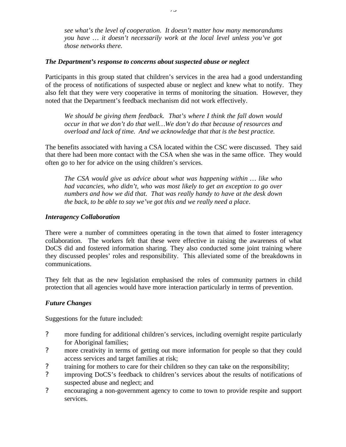*see what's the level of cooperation. It doesn't matter how many memorandums you have … it doesn't necessarily work at the local level unless you've got those networks there.*

### *The Department's response to concerns about suspected abuse or neglect*

Participants in this group stated that children's services in the area had a good understanding of the process of notifications of suspected abuse or neglect and knew what to notify. They also felt that they were very cooperative in terms of monitoring the situation. However, they noted that the Department's feedback mechanism did not work effectively.

*We should be giving them feedback. That's where I think the fall down would occur in that we don't do that well…We don't do that because of resources and overload and lack of time. And we acknowledge that that is the best practice.*

The benefits associated with having a CSA located within the CSC were discussed. They said that there had been more contact with the CSA when she was in the same office. They would often go to her for advice on the using children's services.

*The CSA would give us advice about what was happening within … like who had vacancies, who didn't, who was most likely to get an exception to go over numbers and how we did that. That was really handy to have at the desk down the back, to be able to say we've got this and we really need a place*.

### *Interagency Collaboration*

There were a number of committees operating in the town that aimed to foster interagency collaboration. The workers felt that these were effective in raising the awareness of what DoCS did and fostered information sharing. They also conducted some joint training where they discussed peoples' roles and responsibility. This alleviated some of the breakdowns in communications.

They felt that as the new legislation emphasised the roles of community partners in child protection that all agencies would have more interaction particularly in terms of prevention.

# *Future Changes*

Suggestions for the future included:

- ? more funding for additional children's services, including overnight respite particularly for Aboriginal families;
- ? more creativity in terms of getting out more information for people so that they could access services and target families at risk;
- ? training for mothers to care for their children so they can take on the responsibility;
- ? improving DoCS's feedback to children's services about the results of notifications of suspected abuse and neglect; and
- ? encouraging a non-government agency to come to town to provide respite and support services.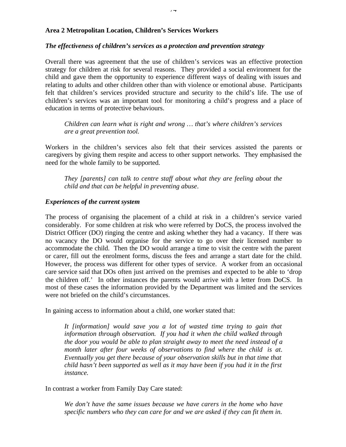### **Area 2 Metropolitan Location, Children's Services Workers**

#### *The effectiveness of children's services as a protection and prevention strategy*

Overall there was agreement that the use of children's services was an effective protection strategy for children at risk for several reasons. They provided a social environment for the child and gave them the opportunity to experience different ways of dealing with issues and relating to adults and other children other than with violence or emotional abuse. Participants felt that children's services provided structure and security to the child's life. The use of children's services was an important tool for monitoring a child's progress and a place of education in terms of protective behaviours.

*Children can learn what is right and wrong … that's where children's services are a great prevention tool.*

Workers in the children's services also felt that their services assisted the parents or caregivers by giving them respite and access to other support networks. They emphasised the need for the whole family to be supported.

*They [parents] can talk to centre staff about what they are feeling about the child and that can be helpful in preventing abuse*.

#### *Experiences of the current system*

The process of organising the placement of a child at risk in a children's service varied considerably. For some children at risk who were referred by DoCS, the process involved the District Officer (DO) ringing the centre and asking whether they had a vacancy. If there was no vacancy the DO would organise for the service to go over their licensed number to accommodate the child. Then the DO would arrange a time to visit the centre with the parent or carer, fill out the enrolment forms, discuss the fees and arrange a start date for the child. However, the process was different for other types of service. A worker from an occasional care service said that DOs often just arrived on the premises and expected to be able to 'drop the children off.' In other instances the parents would arrive with a letter from DoCS. In most of these cases the information provided by the Department was limited and the services were not briefed on the child's circumstances.

In gaining access to information about a child, one worker stated that:

*It [information] would save you a lot of wasted time trying to gain that information through observation. If you had it when the child walked through the door you would be able to plan straight away to meet the need instead of a month later after four weeks of observations to find where the child is at. Eventually you get there because of your observation skills but in that time that child hasn't been supported as well as it may have been if you had it in the first instance.*

In contrast a worker from Family Day Care stated:

*We don't have the same issues because we have carers in the home who have specific numbers who they can care for and we are asked if they can fit them in.*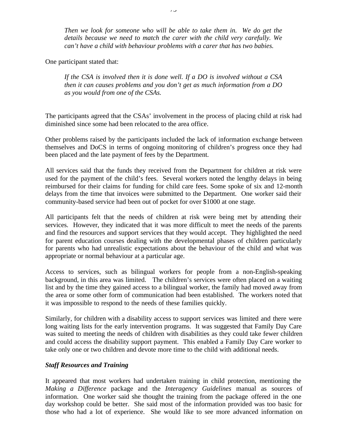*Then we look for someone who will be able to take them in. We do get the details because we need to match the carer with the child very carefully. We can't have a child with behaviour problems with a carer that has two babies.*

One participant stated that:

*If the CSA is involved then it is done well. If a DO is involved without a CSA then it can causes problems and you don't get as much information from a DO as you would from one of the CSAs.*

The participants agreed that the CSAs' involvement in the process of placing child at risk had diminished since some had been relocated to the area office.

Other problems raised by the participants included the lack of information exchange between themselves and DoCS in terms of ongoing monitoring of children's progress once they had been placed and the late payment of fees by the Department.

All services said that the funds they received from the Department for children at risk were used for the payment of the child's fees. Several workers noted the lengthy delays in being reimbursed for their claims for funding for child care fees. Some spoke of six and 12-month delays from the time that invoices were submitted to the Department. One worker said their community-based service had been out of pocket for over \$1000 at one stage.

All participants felt that the needs of children at risk were being met by attending their services. However, they indicated that it was more difficult to meet the needs of the parents and find the resources and support services that they would accept. They highlighted the need for parent education courses dealing with the developmental phases of children particularly for parents who had unrealistic expectations about the behaviour of the child and what was appropriate or normal behaviour at a particular age.

Access to services, such as bilingual workers for people from a non-English-speaking background, in this area was limited. The children's services were often placed on a waiting list and by the time they gained access to a bilingual worker, the family had moved away from the area or some other form of communication had been established. The workers noted that it was impossible to respond to the needs of these families quickly.

Similarly, for children with a disability access to support services was limited and there were long waiting lists for the early intervention programs. It was suggested that Family Day Care was suited to meeting the needs of children with disabilities as they could take fewer children and could access the disability support payment. This enabled a Family Day Care worker to take only one or two children and devote more time to the child with additional needs.

# *Staff Resources and Training*

It appeared that most workers had undertaken training in child protection, mentioning the *Making a Difference* package and the *Interagency Guidelines* manual as sources of information. One worker said she thought the training from the package offered in the one day workshop could be better. She said most of the information provided was too basic for those who had a lot of experience. She would like to see more advanced information on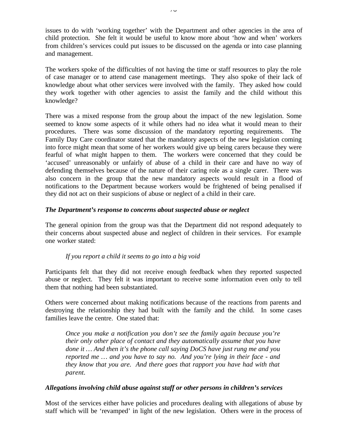issues to do with 'working together' with the Department and other agencies in the area of child protection. She felt it would be useful to know more about 'how and when' workers from children's services could put issues to be discussed on the agenda or into case planning and management.

The workers spoke of the difficulties of not having the time or staff resources to play the role of case manager or to attend case management meetings. They also spoke of their lack of knowledge about what other services were involved with the family. They asked how could they work together with other agencies to assist the family and the child without this knowledge?

There was a mixed response from the group about the impact of the new legislation. Some seemed to know some aspects of it while others had no idea what it would mean to their procedures. There was some discussion of the mandatory reporting requirements. The Family Day Care coordinator stated that the mandatory aspects of the new legislation coming into force might mean that some of her workers would give up being carers because they were fearful of what might happen to them. The workers were concerned that they could be 'accused' unreasonably or unfairly of abuse of a child in their care and have no way of defending themselves because of the nature of their caring role as a single carer. There was also concern in the group that the new mandatory aspects would result in a flood of notifications to the Department because workers would be frightened of being penalised if they did not act on their suspicions of abuse or neglect of a child in their care.

### *The Department's response to concerns about suspected abuse or neglect*

The general opinion from the group was that the Department did not respond adequately to their concerns about suspected abuse and neglect of children in their services. For example one worker stated:

### *If you report a child it seems to go into a big void*

Participants felt that they did not receive enough feedback when they reported suspected abuse or neglect. They felt it was important to receive some information even only to tell them that nothing had been substantiated.

Others were concerned about making notifications because of the reactions from parents and destroying the relationship they had built with the family and the child. In some cases families leave the centre. One stated that:

*Once you make a notification you don't see the family again because you're their only other place of contact and they automatically assume that you have done it … And then it's the phone call saying DoCS have just rung me and you reported me … and you have to say no. And you're lying in their face - and they know that you are. And there goes that rapport you have had with that parent.*

### *Allegations involving child abuse against staff or other persons in children's services*

Most of the services either have policies and procedures dealing with allegations of abuse by staff which will be 'revamped' in light of the new legislation. Others were in the process of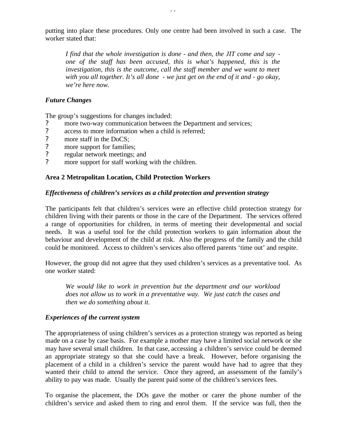putting into place these procedures. Only one centre had been involved in such a case. The worker stated that:

*I find that the whole investigation is done - and then, the JIT come and say one of the staff has been accused, this is what's happened, this is the investigation, this is the outcome, call the staff member and we want to meet with you all together. It's all done - we just get on the end of it and - go okay, we're here now.*

#### *Future Changes*

The group's suggestions for changes included:

- ? more two-way communication between the Department and services;<br>? access to more information when a child is referred:
- access to more information when a child is referred;
- 
- ? more staff in the DoCS;<br>? more support for familie more support for families;
- ? regular network meetings; and
- ? more support for staff working with the children.

#### **Area 2 Metropolitan Location, Child Protection Workers**

#### *Effectiveness of children's services as a child protection and prevention strategy*

The participants felt that children's services were an effective child protection strategy for children living with their parents or those in the care of the Department. The services offered a range of opportunities for children, in terms of meeting their developmental and social needs. It was a useful tool for the child protection workers to gain information about the behaviour and development of the child at risk. Also the progress of the family and the child could be monitored. Access to children's services also offered parents 'time out' and respite.

However, the group did not agree that they used children's services as a preventative tool. As one worker stated:

*We would like to work in prevention but the department and our workload does not allow us to work in a preventative way. We just catch the cases and then we do something about it.*

#### *Experiences of the current system*

The appropriateness of using children's services as a protection strategy was reported as being made on a case by case basis. For example a mother may have a limited social network or she may have several small children. In that case, accessing a children's service could be deemed an appropriate strategy so that she could have a break. However, before organising the placement of a child in a children's service the parent would have had to agree that they wanted their child to attend the service. Once they agreed, an assessment of the family's ability to pay was made. Usually the parent paid some of the children's services fees.

To organise the placement, the DOs gave the mother or carer the phone number of the children's service and asked them to ring and enrol them. If the service was full, then the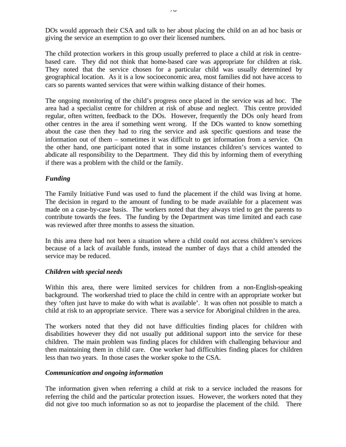DOs would approach their CSA and talk to her about placing the child on an ad hoc basis or giving the service an exemption to go over their licensed numbers.

The child protection workers in this group usually preferred to place a child at risk in centrebased care. They did not think that home-based care was appropriate for children at risk. They noted that the service chosen for a particular child was usually determined by geographical location. As it is a low socioeconomic area, most families did not have access to cars so parents wanted services that were within walking distance of their homes.

The ongoing monitoring of the child's progress once placed in the service was ad hoc. The area had a specialist centre for children at risk of abuse and neglect. This centre provided regular, often written, feedback to the DOs. However, frequently the DOs only heard from other centres in the area if something went wrong. If the DOs wanted to know something about the case then they had to ring the service and ask specific questions and tease the information out of them – sometimes it was difficult to get information from a service. On the other hand, one participant noted that in some instances children's services wanted to abdicate all responsibility to the Department. They did this by informing them of everything if there was a problem with the child or the family.

### *Funding*

The Family Initiative Fund was used to fund the placement if the child was living at home. The decision in regard to the amount of funding to be made available for a placement was made on a case-by-case basis. The workers noted that they always tried to get the parents to contribute towards the fees. The funding by the Department was time limited and each case was reviewed after three months to assess the situation.

In this area there had not been a situation where a child could not access children's services because of a lack of available funds, instead the number of days that a child attended the service may be reduced.

### *Children with special needs*

Within this area, there were limited services for children from a non-English-speaking background. The workershad tried to place the child in centre with an appropriate worker but they 'often just have to make do with what is available'. It was often not possible to match a child at risk to an appropriate service. There was a service for Aboriginal children in the area.

The workers noted that they did not have difficulties finding places for children with disabilities however they did not usually put additional support into the service for these children. The main problem was finding places for children with challenging behaviour and then maintaining them in child care. One worker had difficulties finding places for children less than two years. In those cases the worker spoke to the CSA.

### *Communication and ongoing information*

The information given when referring a child at risk to a service included the reasons for referring the child and the particular protection issues. However, the workers noted that they did not give too much information so as not to jeopardise the placement of the child. There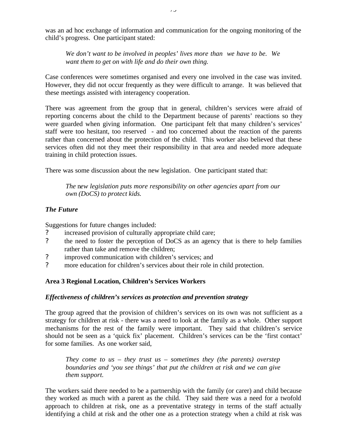was an ad hoc exchange of information and communication for the ongoing monitoring of the child's progress. One participant stated:

*We don't want to be involved in peoples' lives more than we have to be. We want them to get on with life and do their own thing.*

Case conferences were sometimes organised and every one involved in the case was invited. However, they did not occur frequently as they were difficult to arrange. It was believed that these meetings assisted with interagency cooperation.

There was agreement from the group that in general, children's services were afraid of reporting concerns about the child to the Department because of parents' reactions so they were guarded when giving information. One participant felt that many children's services' staff were too hesitant, too reserved - and too concerned about the reaction of the parents rather than concerned about the protection of the child. This worker also believed that these services often did not they meet their responsibility in that area and needed more adequate training in child protection issues.

There was some discussion about the new legislation. One participant stated that:

*The* n*ew legislation puts more responsibility on other agencies apart from our own (DoCS) to protect kids.*

# *The Future*

Suggestions for future changes included:

- increased provision of culturally appropriate child care;
- ? the need to foster the perception of DoCS as an agency that is there to help families rather than take and remove the children;
- ? improved communication with children's services; and
- ? more education for children's services about their role in child protection.

# **Area 3 Regional Location, Children's Services Workers**

### *Effectiveness of children's services as protection and prevention strategy*

The group agreed that the provision of children's services on its own was not sufficient as a strategy for children at risk - there was a need to look at the family as a whole. Other support mechanisms for the rest of the family were important. They said that children's service should not be seen as a 'quick fix' placement. Children's services can be the 'first contact' for some families. As one worker said,

*They come to us – they trust us – sometimes they (the parents) overstep boundaries and 'you see things' that put the children at risk and we can give them support.*

The workers said there needed to be a partnership with the family (or carer) and child because they worked as much with a parent as the child. They said there was a need for a twofold approach to children at risk, one as a preventative strategy in terms of the staff actually identifying a child at risk and the other one as a protection strategy when a child at risk was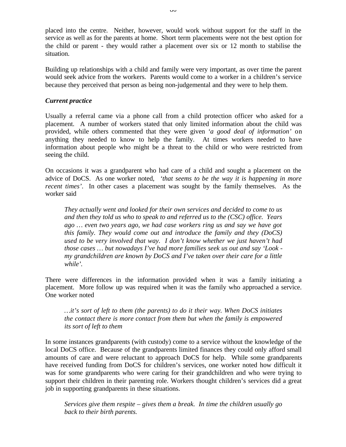placed into the centre. Neither, however, would work without support for the staff in the service as well as for the parents at home. Short term placements were not the best option for the child or parent - they would rather a placement over six or 12 month to stabilise the situation.

Building up relationships with a child and family were very important, as over time the parent would seek advice from the workers. Parents would come to a worker in a children's service because they perceived that person as being non-judgemental and they were to help them.

### *Current practice*

Usually a referral came via a phone call from a child protection officer who asked for a placement. A number of workers stated that only limited information about the child was provided, while others commented that they were given *'a good deal of information'* on anything they needed to know to help the family. At times workers needed to have information about people who might be a threat to the child or who were restricted from seeing the child.

On occasions it was a grandparent who had care of a child and sought a placement on the advice of DoCS. As one worker noted, *'that seems to be the way it is happening in more recent times'*. In other cases a placement was sought by the family themselves. As the worker said

*They actually went and looked for their own services and decided to come to us and then they told us who to speak to and referred us to the (CSC) office. Years ago … even two years ago, we had case workers ring us and say we have got this family. They would come out and introduce the family and they (DoCS) used to be very involved that way. I don't know whether we just haven't had those cases … but nowadays I've had more families seek us out and say 'Look my grandchildren are known by DoCS and I've taken over their care for a little while'.*

There were differences in the information provided when it was a family initiating a placement. More follow up was required when it was the family who approached a service. One worker noted

*…it's sort of left to them (the parents) to do it their way. When DoCS initiates the contact there is more contact from them but when the family is empowered its sort of left to them*

In some instances grandparents (with custody) come to a service without the knowledge of the local DoCS office. Because of the grandparents limited finances they could only afford small amounts of care and were reluctant to approach DoCS for help. While some grandparents have received funding from DoCS for children's services, one worker noted how difficult it was for some grandparents who were caring for their grandchildren and who were trying to support their children in their parenting role. Workers thought children's services did a great job in supporting grandparents in these situations.

*Services give them respite – gives them a break. In time the children usually go back to their birth parents.*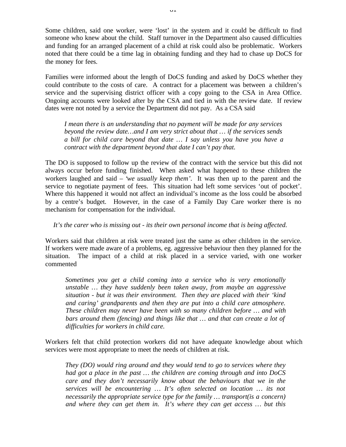Some children, said one worker, were 'lost' in the system and it could be difficult to find someone who knew about the child. Staff turnover in the Department also caused difficulties and funding for an arranged placement of a child at risk could also be problematic. Workers noted that there could be a time lag in obtaining funding and they had to chase up DoCS for the money for fees.

Families were informed about the length of DoCS funding and asked by DoCS whether they could contribute to the costs of care. A contract for a placement was between a children's service and the supervising district officer with a copy going to the CSA in Area Office. Ongoing accounts were looked after by the CSA and tied in with the review date. If review dates were not noted by a service the Department did not pay. As a CSA said

*I mean there is an understanding that no payment will be made for any services beyond the review date…and I am very strict about that … if the services sends a bill for child care beyond that date … I say unless you have you have a contract with the department beyond that date I can't pay that.*

The DO is supposed to follow up the review of the contract with the service but this did not always occur before funding finished. When asked what happened to these children the workers laughed and said – '*we usually keep them'.* It was then up to the parent and the service to negotiate payment of fees. This situation had left some services 'out of pocket'. Where this happened it would not affect an individual's income as the loss could be absorbed by a centre's budget. However, in the case of a Family Day Care worker there is no mechanism for compensation for the individual.

#### *It's the carer who is missing out - its their own personal income that is being affected.*

Workers said that children at risk were treated just the same as other children in the service. If workers were made aware of a problems, eg. aggressive behaviour then they planned for the situation. The impact of a child at risk placed in a service varied, with one worker commented

*Sometimes you get a child coming into a service who is very emotionally unstable … they have suddenly been taken away, from maybe an aggressive situation - but it was their environment. Then they are placed with their 'kind and caring' grandparents and then they are put into a child care atmosphere. These children may never have been with so many children before … and with bars around them (fencing) and things like that … and that can create a lot of difficulties for workers in child care.*

Workers felt that child protection workers did not have adequate knowledge about which services were most appropriate to meet the needs of children at risk.

*They (DO) would ring around and they would tend to go to services where they had got a place in the past … the children are coming through and into DoCS care and they don't necessarily know about the behaviours that we in the services will be encountering … It's often selected on location … its not necessarily the appropriate service type for the family … transport(is a concern) and where they can get them in. It's where they can get access … but this*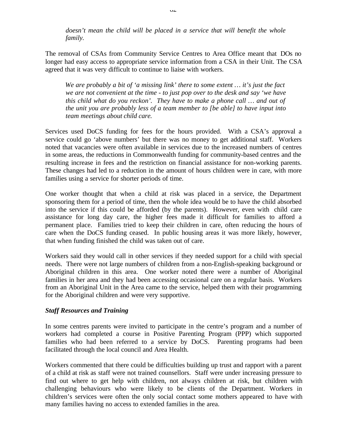*doesn't mean the child will be placed in a service that will benefit the whole family.*

The removal of CSAs from Community Service Centres to Area Office meant that DOs no longer had easy access to appropriate service information from a CSA in their Unit. The CSA agreed that it was very difficult to continue to liaise with workers.

*We are probably a bit of 'a missing link' there to some extent … it's just the fact we are not convenient at the time - to just pop over to the desk and say 'we have this child what do you reckon'. They have to make a phone call … and out of the unit you are probably less of a team member to [be able] to have input into team meetings about child care.*

Services used DoCS funding for fees for the hours provided. With a CSA's approval a service could go 'above numbers' but there was no money to get additional staff. Workers noted that vacancies were often available in services due to the increased numbers of centres in some areas, the reductions in Commonwealth funding for community-based centres and the resulting increase in fees and the restriction on financial assistance for non-working parents. These changes had led to a reduction in the amount of hours children were in care, with more families using a service for shorter periods of time.

One worker thought that when a child at risk was placed in a service, the Department sponsoring them for a period of time, then the whole idea would be to have the child absorbed into the service if this could be afforded (by the parents). However, even with child care assistance for long day care, the higher fees made it difficult for families to afford a permanent place. Families tried to keep their children in care, often reducing the hours of care when the DoCS funding ceased. In public housing areas it was more likely, however, that when funding finished the child was taken out of care.

Workers said they would call in other services if they needed support for a child with special needs. There were not large numbers of children from a non-English-speaking background or Aboriginal children in this area. One worker noted there were a number of Aboriginal families in her area and they had been accessing occasional care on a regular basis. Workers from an Aboriginal Unit in the Area came to the service, helped them with their programming for the Aboriginal children and were very supportive.

#### *Staff Resources and Training*

In some centres parents were invited to participate in the centre's program and a number of workers had completed a course in Positive Parenting Program (PPP) which supported families who had been referred to a service by DoCS. Parenting programs had been facilitated through the local council and Area Health.

Workers commented that there could be difficulties building up trust and rapport with a parent of a child at risk as staff were not trained counsellors. Staff were under increasing pressure to find out where to get help with children, not always children at risk, but children with challenging behaviours who were likely to be clients of the Department. Workers in children's services were often the only social contact some mothers appeared to have with many families having no access to extended families in the area.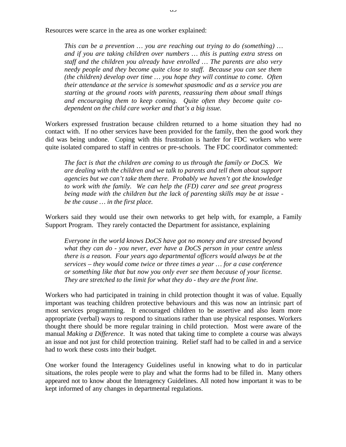Resources were scarce in the area as one worker explained:

*This can be a prevention … you are reaching out trying to do (something) … and if you are taking children over numbers … this is putting extra stress on staff and the children you already have enrolled … The parents are also very needy people and they become quite close to staff. Because you can see them (the children) develop over time … you hope they will continue to come. Often their attendance at the service is somewhat spasmodic and as a service you are starting at the ground roots with parents, reassuring them about small things and encouraging them to keep coming. Quite often they become quite codependent on the child care worker and that's a big issue.*

Workers expressed frustration because children returned to a home situation they had no contact with. If no other services have been provided for the family, then the good work they did was being undone. Coping with this frustration is harder for FDC workers who were quite isolated compared to staff in centres or pre-schools. The FDC coordinator commented:

*The fact is that the children are coming to us through the family or DoCS. We are dealing with the children and we talk to parents and tell them about support agencies but we can't take them there. Probably we haven't got the knowledge to work with the family. We can help the (FD) carer and see great progress being made with the children but the lack of parenting skills may be at issue be the cause … in the first place.*

Workers said they would use their own networks to get help with, for example, a Family Support Program. They rarely contacted the Department for assistance, explaining

*Everyone in the world knows DoCS have got no money and are stressed beyond what they can do - you never, ever have a DoCS person in your centre unless there is a reason. Four years ago departmental officers would always be at the services – they would come twice or three times a year … for a case conference or something like that but now you only ever see them because of your license. They are stretched to the limit for what they do - they are the front line.*

Workers who had participated in training in child protection thought it was of value. Equally important was teaching children protective behaviours and this was now an intrinsic part of most services programming. It encouraged children to be assertive and also learn more appropriate (verbal) ways to respond to situations rather than use physical responses. Workers thought there should be more regular training in child protection. Most were aware of the manual *Making a Difference*. It was noted that taking time to complete a course was always an issue and not just for child protection training. Relief staff had to be called in and a service had to work these costs into their budget.

One worker found the Interagency Guidelines useful in knowing what to do in particular situations, the roles people were to play and what the forms had to be filled in. Many others appeared not to know about the Interagency Guidelines. All noted how important it was to be kept informed of any changes in departmental regulations.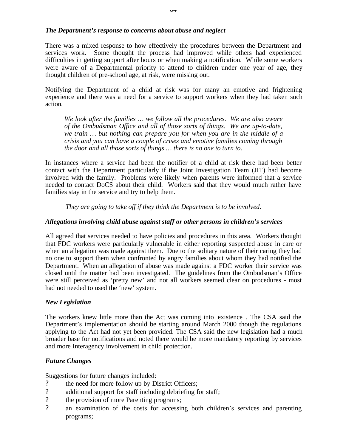### *The Department's response to concerns about abuse and neglect*

There was a mixed response to how effectively the procedures between the Department and services work. Some thought the process had improved while others had experienced difficulties in getting support after hours or when making a notification. While some workers were aware of a Departmental priority to attend to children under one year of age, they thought children of pre-school age, at risk, were missing out.

Notifying the Department of a child at risk was for many an emotive and frightening experience and there was a need for a service to support workers when they had taken such action.

*We look after the families … we follow all the procedures. We are also aware of the Ombudsman Office and all of those sorts of things. We are up-to-date, we train … but nothing can prepare you for when you are in the middle of a crisis and you can have a couple of crises and emotive families coming through the door and all those sorts of things … there is no one to turn to.*

In instances where a service had been the notifier of a child at risk there had been better contact with the Department particularly if the Joint Investigation Team (JIT) had become involved with the family. Problems were likely when parents were informed that a service needed to contact DoCS about their child. Workers said that they would much rather have families stay in the service and try to help them.

*They are going to take off if they think the Department is to be involved.*

### *Allegations involving child abuse against staff or other persons in children's services*

All agreed that services needed to have policies and procedures in this area. Workers thought that FDC workers were particularly vulnerable in either reporting suspected abuse in care or when an allegation was made against them. Due to the solitary nature of their caring they had no one to support them when confronted by angry families about whom they had notified the Department. When an allegation of abuse was made against a FDC worker their service was closed until the matter had been investigated. The guidelines from the Ombudsman's Office were still perceived as 'pretty new' and not all workers seemed clear on procedures - most had not needed to used the 'new' system.

### *New Legislation*

The workers knew little more than the Act was coming into existence . The CSA said the Department's implementation should be starting around March 2000 though the regulations applying to the Act had not yet been provided. The CSA said the new legislation had a much broader base for notifications and noted there would be more mandatory reporting by services and more Interagency involvement in child protection.

# *Future Changes*

Suggestions for future changes included:

- ? the need for more follow up by District Officers;
- ? additional support for staff including debriefing for staff;
- ? the provision of more Parenting programs;
- ? an examination of the costs for accessing both children's services and parenting programs;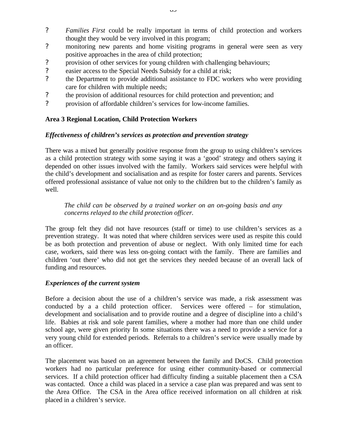- ? *Families First* could be really important in terms of child protection and workers thought they would be very involved in this program;
- ? monitoring new parents and home visiting programs in general were seen as very positive approaches in the area of child protection;
- ? provision of other services for young children with challenging behaviours;
- ? easier access to the Special Needs Subsidy for a child at risk;
- ? the Department to provide additional assistance to FDC workers who were providing care for children with multiple needs;
- ? the provision of additional resources for child protection and prevention; and
- ? provision of affordable children's services for low-income families.

### **Area 3 Regional Location, Child Protection Workers**

### *Effectiveness of children's services as protection and prevention strategy*

There was a mixed but generally positive response from the group to using children's services as a child protection strategy with some saying it was a 'good' strategy and others saying it depended on other issues involved with the family. Workers said services were helpful with the child's development and socialisation and as respite for foster carers and parents. Services offered professional assistance of value not only to the children but to the children's family as well.

### *The child can be observed by a trained worker on an on-going basis and any concerns relayed to the child protection officer.*

The group felt they did not have resources (staff or time) to use children's services as a prevention strategy. It was noted that where children services were used as respite this could be as both protection and prevention of abuse or neglect. With only limited time for each case, workers, said there was less on-going contact with the family. There are families and children 'out there' who did not get the services they needed because of an overall lack of funding and resources.

### *Experiences of the current system*

Before a decision about the use of a children's service was made, a risk assessment was conducted by a a child protection officer. Services were offered – for stimulation, development and socialisation and to provide routine and a degree of discipline into a child's life. Babies at risk and sole parent families, where a mother had more than one child under school age, were given priority In some situations there was a need to provide a service for a very young child for extended periods. Referrals to a children's service were usually made by an officer.

The placement was based on an agreement between the family and DoCS. Child protection workers had no particular preference for using either community-based or commercial services. If a child protection officer had difficulty finding a suitable placement then a CSA was contacted. Once a child was placed in a service a case plan was prepared and was sent to the Area Office. The CSA in the Area office received information on all children at risk placed in a children's service.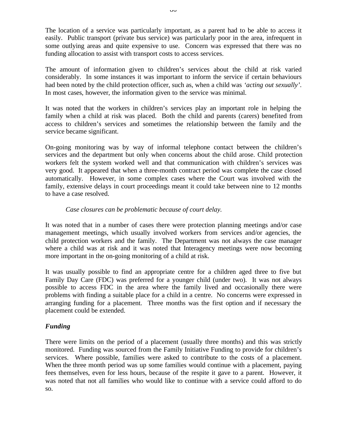The location of a service was particularly important, as a parent had to be able to access it easily. Public transport (private bus service) was particularly poor in the area, infrequent in some outlying areas and quite expensive to use. Concern was expressed that there was no funding allocation to assist with transport costs to access services.

The amount of information given to children's services about the child at risk varied considerably. In some instances it was important to inform the service if certain behaviours had been noted by the child protection officer, such as, when a child was *'acting out sexually'*. In most cases, however, the information given to the service was minimal.

It was noted that the workers in children's services play an important role in helping the family when a child at risk was placed. Both the child and parents (carers) benefited from access to children's services and sometimes the relationship between the family and the service became significant.

On-going monitoring was by way of informal telephone contact between the children's services and the department but only when concerns about the child arose. Child protection workers felt the system worked well and that communication with children's services was very good. It appeared that when a three-month contract period was complete the case closed automatically. However, in some complex cases where the Court was involved with the family, extensive delays in court proceedings meant it could take between nine to 12 months to have a case resolved.

### *Case closures can be problematic because of court delay.*

It was noted that in a number of cases there were protection planning meetings and/or case management meetings, which usually involved workers from services and/or agencies, the child protection workers and the family. The Department was not always the case manager where a child was at risk and it was noted that Interagency meetings were now becoming more important in the on-going monitoring of a child at risk.

It was usually possible to find an appropriate centre for a children aged three to five but Family Day Care (FDC) was preferred for a younger child (under two). It was not always possible to access FDC in the area where the family lived and occasionally there were problems with finding a suitable place for a child in a centre. No concerns were expressed in arranging funding for a placement. Three months was the first option and if necessary the placement could be extended.

# *Funding*

There were limits on the period of a placement (usually three months) and this was strictly monitored. Funding was sourced from the Family Initiative Funding to provide for children's services. Where possible, families were asked to contribute to the costs of a placement. When the three month period was up some families would continue with a placement, paying fees themselves, even for less hours, because of the respite it gave to a parent. However, it was noted that not all families who would like to continue with a service could afford to do so.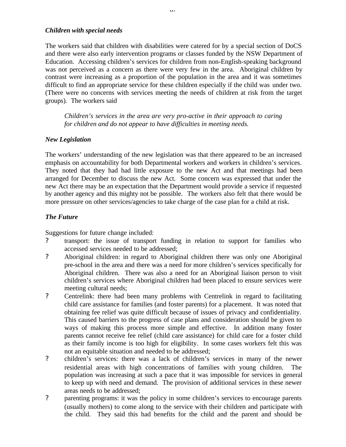#### *Children with special needs*

The workers said that children with disabilities were catered for by a special section of DoCS and there were also early intervention programs or classes funded by the NSW Department of Education. Accessing children's services for children from non-English-speaking background was not perceived as a concern as there were very few in the area. Aboriginal children by contrast were increasing as a proportion of the population in the area and it was sometimes difficult to find an appropriate service for these children especially if the child was under two. (There were no concerns with services meeting the needs of children at risk from the target groups). The workers said

*Children's services in the area are very pro-active in their approach to caring for children and do not appear to have difficulties in meeting needs.*

### *New Legislation*

The workers' understanding of the new legislation was that there appeared to be an increased emphasis on accountability for both Departmental workers and workers in children's services. They noted that they had had little exposure to the new Act and that meetings had been arranged for December to discuss the new Act. Some concern was expressed that under the new Act there may be an expectation that the Department would provide a service if requested by another agency and this mighty not be possible. The workers also felt that there would be more pressure on other services/agencies to take charge of the case plan for a child at risk.

### *The Future*

Suggestions for future change included:

- ? transport: the issue of transport funding in relation to support for families who accessed services needed to be addressed;
- ? Aboriginal children: in regard to Aboriginal children there was only one Aboriginal pre-school in the area and there was a need for more children's services specifically for Aboriginal children. There was also a need for an Aboriginal liaison person to visit children's services where Aboriginal children had been placed to ensure services were meeting cultural needs;
- ? Centrelink: there had been many problems with Centrelink in regard to facilitating child care assistance for families (and foster parents) for a placement. It was noted that obtaining fee relief was quite difficult because of issues of privacy and confidentiality. This caused barriers to the progress of case plans and consideration should be given to ways of making this process more simple and effective. In addition many foster parents cannot receive fee relief (child care assistance) for child care for a foster child as their family income is too high for eligibility. In some cases workers felt this was not an equitable situation and needed to be addressed;
- ? children's services: there was a lack of children's services in many of the newer residential areas with high concentrations of families with young children. The population was increasing at such a pace that it was impossible for services in general to keep up with need and demand. The provision of additional services in these newer areas needs to be addressed;
- ? parenting programs: it was the policy in some children's services to encourage parents (usually mothers) to come along to the service with their children and participate with the child. They said this had benefits for the child and the parent and should be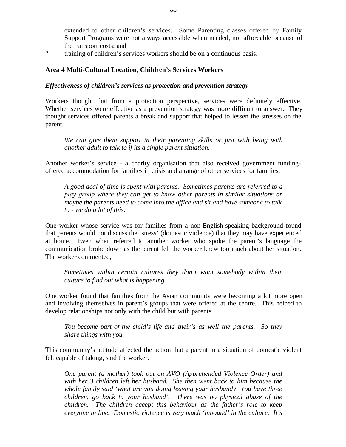extended to other children's services. Some Parenting classes offered by Family Support Programs were not always accessible when needed, nor affordable because of the transport costs; and

? training of children's services workers should be on a continuous basis.

### **Area 4 Multi-Cultural Location, Children's Services Workers**

#### *Effectiveness of children's services as protection and prevention strategy*

Workers thought that from a protection perspective, services were definitely effective. Whether services were effective as a prevention strategy was more difficult to answer. They thought services offered parents a break and support that helped to lessen the stresses on the parent.

*We can give them support in their parenting skills or just with being with another adult to talk to if its a single parent situation.*

Another worker's service - a charity organisation that also received government fundingoffered accommodation for families in crisis and a range of other services for families.

*A good deal of time is spent with parents. Sometimes parents are referred to a play group where they can get to know other parents in similar situations or maybe the parents need to come into the office and sit and have someone to talk to - we do a lot of this.*

One worker whose service was for families from a non-English-speaking background found that parents would not discuss the 'stress' (domestic violence) that they may have experienced at home. Even when referred to another worker who spoke the parent's language the communication broke down as the parent felt the worker knew too much about her situation. The worker commented,

*Sometimes within certain cultures they don't want somebody within their culture to find out what is happening.*

One worker found that families from the Asian community were becoming a lot more open and involving themselves in parent's groups that were offered at the centre. This helped to develop relationships not only with the child but with parents.

*You become part of the child's life and their's as well the parents. So they share things with you.*

This community's attitude affected the action that a parent in a situation of domestic violent felt capable of taking, said the worker.

*One parent (a mother) took out an AVO (Apprehended Violence Order) and with her 3 children left her husband. She then went back to him because the whole family said 'what are you doing leaving your husband? You have three children, go back to your husband'. There was no physical abuse of the children. The children accept this behaviour as the father's role to keep everyone in line. Domestic violence is very much 'inbound' in the culture. It's*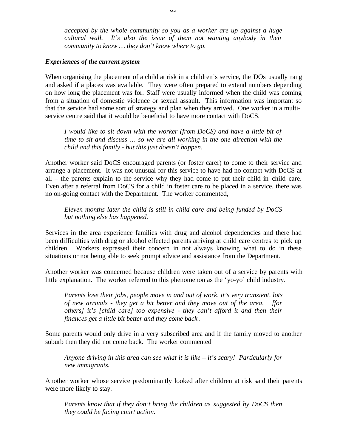*accepted by the whole community so you as a worker are up against a huge cultural wall. It's also the issue of them not wanting anybody in their community to know … they don't know where to go.*

### *Experiences of the current system*

When organising the placement of a child at risk in a children's service, the DOs usually rang and asked if a places was available. They were often prepared to extend numbers depending on how long the placement was for. Staff were usually informed when the child was coming from a situation of domestic violence or sexual assault. This information was important so that the service had some sort of strategy and plan when they arrived. One worker in a multiservice centre said that it would be beneficial to have more contact with DoCS.

*I would like to sit down with the worker (from DoCS) and have a little bit of time to sit and discuss … so we are all working in the one direction with the child and this family - but this just doesn't happen*.

Another worker said DoCS encouraged parents (or foster carer) to come to their service and arrange a placement. It was not unusual for this service to have had no contact with DoCS at all – the parents explain to the service why they had come to put their child in child care. Even after a referral from DoCS for a child in foster care to be placed in a service, there was no on-going contact with the Department. The worker commented,

*Eleven months later the child is still in child care and being funded by DoCS but nothing else has happened.*

Services in the area experience families with drug and alcohol dependencies and there had been difficulties with drug or alcohol effected parents arriving at child care centres to pick up children. Workers expressed their concern in not always knowing what to do in these situations or not being able to seek prompt advice and assistance from the Department.

Another worker was concerned because children were taken out of a service by parents with little explanation. The worker referred to this phenomenon as the 'yo-yo' child industry.

*Parents lose their jobs, people move in and out of work, it's very transient, lots of new arrivals - they get a bit better and they move out of the area. [for others] it's [child care] too expensive - they can't afford it and then their finances get a little bit better and they come back* .

Some parents would only drive in a very subscribed area and if the family moved to another suburb then they did not come back. The worker commented

*Anyone driving in this area can see what it is like – it's scary! Particularly for new immigrants.*

Another worker whose service predominantly looked after children at risk said their parents were more likely to stay.

*Parents know that if they don't bring the children as suggested by DoCS then they could be facing court action.*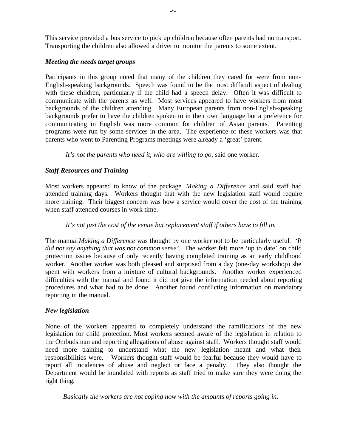This service provided a bus service to pick up children because often parents had no transport. Transporting the children also allowed a driver to monitor the parents to some extent.

### *Meeting the needs target groups*

Participants in this group noted that many of the children they cared for were from non-English-speaking backgrounds. Speech was found to be the most difficult aspect of dealing with these children, particularly if the child had a speech delay. Often it was difficult to communicate with the parents as well. Most services appeared to have workers from most backgrounds of the children attending. Many European parents from non-English-speaking backgrounds prefer to have the children spoken to in their own language but a preference for communicating in English was more common for children of Asian parents. Parenting programs were run by some services in the area. The experience of these workers was that parents who went to Parenting Programs meetings were already a 'great' parent.

*It's not the parents who need it, who are willing to go,* said one worker.

# *Staff Resources and Training*

Most workers appeared to know of the package *Making a Difference* and said staff had attended training days. Workers thought that with the new legislation staff would require more training. Their biggest concern was how a service would cover the cost of the training when staff attended courses in work time.

# *It's not just the cost of the venue but replacement staff if others have to fill in.*

The manual*Making a Difference* was thought by one worker not to be particularly useful*. 'It did not say anything that was not common sense'*. The worker felt more 'up to date' on child protection issues because of only recently having completed training as an early childhood worker. Another worker was both pleased and surprised from a day (one-day workshop) she spent with workers from a mixture of cultural backgrounds. Another worker experienced difficulties with the manual and found it did not give the information needed about reporting procedures and what had to be done. Another found conflicting information on mandatory reporting in the manual.

### *New legislation*

None of the workers appeared to completely understand the ramifications of the new legislation for child protection. Most workers seemed aware of the legislation in relation to the Ombudsman and reporting allegations of abuse against staff. Workers thought staff would need more training to understand what the new legislation meant and what their responsibilities were. Workers thought staff would be fearful because they would have to report all incidences of abuse and neglect or face a penalty. They also thought the Department would be inundated with reports as staff tried to make sure they were doing the right thing.

*Basically the workers are not coping now with the amounts of reports going in.*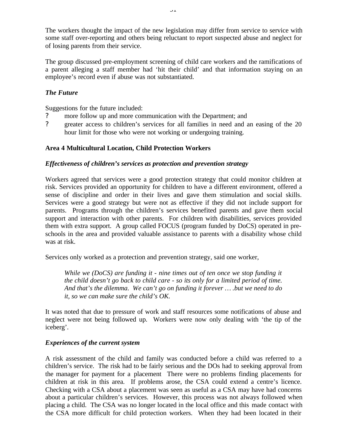The workers thought the impact of the new legislation may differ from service to service with some staff over-reporting and others being reluctant to report suspected abuse and neglect for of losing parents from their service.

The group discussed pre-employment screening of child care workers and the ramifications of a parent alleging a staff member had 'hit their child' and that information staying on an employee's record even if abuse was not substantiated.

## *The Future*

Suggestions for the future included:

- more follow up and more communication with the Department; and
- ? greater access to children's services for all families in need and an easing of the 20 hour limit for those who were not working or undergoing training.

#### **Area 4 Multicultural Location, Child Protection Workers**

#### *Effectiveness of children's services as protection and prevention strategy*

Workers agreed that services were a good protection strategy that could monitor children at risk. Services provided an opportunity for children to have a different environment, offered a sense of discipline and order in their lives and gave them stimulation and social skills. Services were a good strategy but were not as effective if they did not include support for parents. Programs through the children's services benefited parents and gave them social support and interaction with other parents. For children with disabilities, services provided them with extra support. A group called FOCUS (program funded by DoCS) operated in preschools in the area and provided valuable assistance to parents with a disability whose child was at risk.

Services only worked as a protection and prevention strategy, said one worker,

*While we (DoCS) are funding it - nine times out of ten once we stop funding it the child doesn't go back to child care - so its only for a limited period of time. And that's the dilemma. We can't go on funding it forever … .but we need to do it, so we can make sure the child's OK.*

It was noted that due to pressure of work and staff resources some notifications of abuse and neglect were not being followed up. Workers were now only dealing with 'the tip of the iceberg'.

#### *Experiences of the current system*

A risk assessment of the child and family was conducted before a child was referred to a children's service. The risk had to be fairly serious and the DOs had to seeking approval from the manager for payment for a placement There were no problems finding placements for children at risk in this area. If problems arose, the CSA could extend a centre's licence. Checking with a CSA about a placement was seen as useful as a CSA may have had concerns about a particular children's services. However, this process was not always followed when placing a child. The CSA was no longer located in the local office and this made contact with the CSA more difficult for child protection workers. When they had been located in their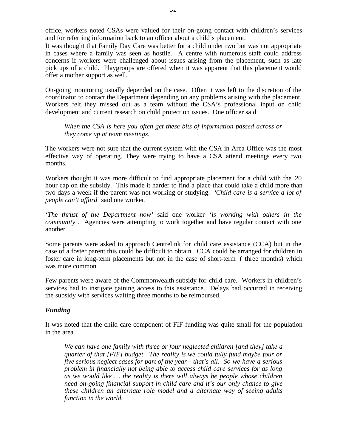office, workers noted CSAs were valued for their on-going contact with children's services and for referring information back to an officer about a child's placement.

It was thought that Family Day Care was better for a child under two but was not appropriate in cases where a family was seen as hostile. A centre with numerous staff could address concerns if workers were challenged about issues arising from the placement, such as late pick ups of a child. Playgroups are offered when it was apparent that this placement would offer a mother support as well.

On-going monitoring usually depended on the case. Often it was left to the discretion of the coordinator to contact the Department depending on any problems arising with the placement. Workers felt they missed out as a team without the CSA's professional input on child development and current research on child protection issues. One officer said

*When the CSA is here you often get these bits of information passed across or they come up at team meetings.*

The workers were not sure that the current system with the CSA in Area Office was the most effective way of operating. They were trying to have a CSA attend meetings every two months.

Workers thought it was more difficult to find appropriate placement for a child with the 20 hour cap on the subsidy. This made it harder to find a place that could take a child more than two days a week if the parent was not working or studying. '*Child care is a service a lot of people can't afford'* said one worker.

*'The thrust of the Department now'* said one worker *'is working with others in the community'*. Agencies were attempting to work together and have regular contact with one another.

Some parents were asked to approach Centrelink for child care assistance (CCA) but in the case of a foster parent this could be difficult to obtain. CCA could be arranged for children in foster care in long-term placements but not in the case of short-term ( three months) which was more common.

Few parents were aware of the Commonwealth subsidy for child care. Workers in children's services had to instigate gaining access to this assistance. Delays had occurred in receiving the subsidy with services waiting three months to be reimbursed.

#### *Funding*

It was noted that the child care component of FIF funding was quite small for the population in the area.

*We can have one family with three or four neglected children [and they] take a quarter of that [FIF] budget. The reality is we could fully fund maybe four or five serious neglect cases for part of the year - that's all. So we have a serious problem in financially not being able to access child care services for as long as we would like … the reality is there will always be people whose children need on-going financial support in child care and it's our only chance to give these children an alternate role model and a alternate way of seeing adults function in the world.*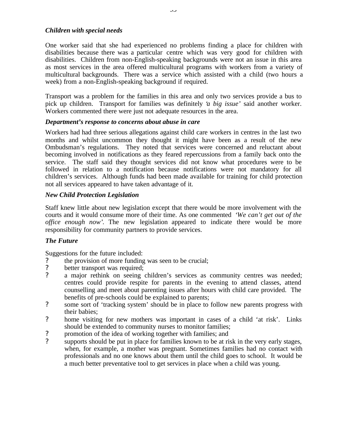#### *Children with special needs*

One worker said that she had experienced no problems finding a place for children with disabilities because there was a particular centre which was very good for children with disabilities. Children from non-English-speaking backgrounds were not an issue in this area as most services in the area offered multicultural programs with workers from a variety of multicultural backgrounds. There was a service which assisted with a child (two hours a week) from a non-English-speaking background if required.

Transport was a problem for the families in this area and only two services provide a bus to pick up children. Transport for families was definitely '*a big issue'* said another worker. Workers commented there were just not adequate resources in the area.

#### *Department's response to concerns about abuse in care*

Workers had had three serious allegations against child care workers in centres in the last two months and whilst uncommon they thought it might have been as a result of the new Ombudsman's regulations. They noted that services were concerned and reluctant about becoming involved in notifications as they feared repercussions from a family back onto the service. The staff said they thought services did not know what procedures were to be followed in relation to a notification because notifications were not mandatory for all children's services. Although funds had been made available for training for child protection not all services appeared to have taken advantage of it.

#### *New Child Protection Legislation*

Staff knew little about new legislation except that there would be more involvement with the courts and it would consume more of their time. As one commented '*We can't get out of the office enough now'*. The new legislation appeared to indicate there would be more responsibility for community partners to provide services.

#### *The Future*

Suggestions for the future included:

- ? the provision of more funding was seen to be crucial;<br>? better transport was required:
- better transport was required;
- ? a major rethink on seeing children's services as community centres was needed; centres could provide respite for parents in the evening to attend classes, attend counselling and meet about parenting issues after hours with child care provided. The benefits of pre-schools could be explained to parents;
- ? some sort of 'tracking system' should be in place to follow new parents progress with their babies;
- ? home visiting for new mothers was important in cases of a child 'at risk'. Links should be extended to community nurses to monitor families;
- ? promotion of the idea of working together with families; and
- ? supports should be put in place for families known to be at risk in the very early stages, when, for example, a mother was pregnant. Sometimes families had no contact with professionals and no one knows about them until the child goes to school. It would be a much better preventative tool to get services in place when a child was young.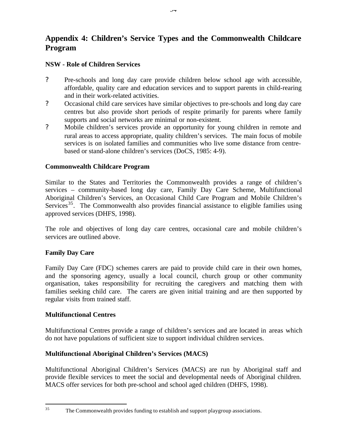# **Appendix 4: Children's Service Types and the Commonwealth Childcare Program**

# **NSW - Role of Children Services**

- ? Pre-schools and long day care provide children below school age with accessible, affordable, quality care and education services and to support parents in child-rearing and in their work-related activities.
- ? Occasional child care services have similar objectives to pre-schools and long day care centres but also provide short periods of respite primarily for parents where family supports and social networks are minimal or non-existent.
- ? Mobile children's services provide an opportunity for young children in remote and rural areas to access appropriate, quality children's services. The main focus of mobile services is on isolated families and communities who live some distance from centrebased or stand-alone children's services (DoCS, 1985: 4-9).

#### **Commonwealth Childcare Program**

Similar to the States and Territories the Commonwealth provides a range of children's services – community-based long day care, Family Day Care Scheme, Multifunctional Aboriginal Children's Services, an Occasional Child Care Program and Mobile Children's Services<sup>35</sup>. The Commonwealth also provides financial assistance to eligible families using approved services (DHFS, 1998).

The role and objectives of long day care centres, occasional care and mobile children's services are outlined above.

#### **Family Day Care**

Family Day Care (FDC) schemes carers are paid to provide child care in their own homes, and the sponsoring agency, usually a local council, church group or other community organisation, takes responsibility for recruiting the caregivers and matching them with families seeking child care. The carers are given initial training and are then supported by regular visits from trained staff.

#### **Multifunctional Centres**

Multifunctional Centres provide a range of children's services and are located in areas which do not have populations of sufficient size to support individual children services.

# **Multifunctional Aboriginal Children's Services (MACS)**

Multifunctional Aboriginal Children's Services (MACS) are run by Aboriginal staff and provide flexible services to meet the social and developmental needs of Aboriginal children. MACS offer services for both pre-school and school aged children (DHFS, 1998).

<sup>35</sup> The Commonwealth provides funding to establish and support playgroup associations.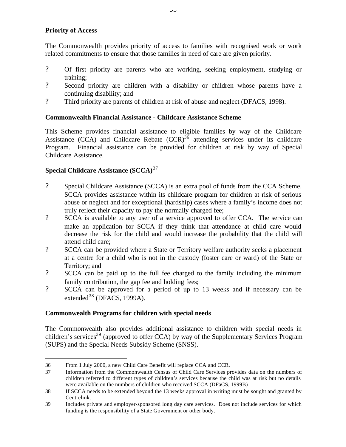# **Priority of Access**

 $\overline{a}$ 

The Commonwealth provides priority of access to families with recognised work or work related commitments to ensure that those families in need of care are given priority.

- ? Of first priority are parents who are working, seeking employment, studying or training;
- ? Second priority are children with a disability or children whose parents have a continuing disability; and
- ? Third priority are parents of children at risk of abuse and neglect (DFACS, 1998).

## **Commonwealth Financial Assistance - Childcare Assistance Scheme**

This Scheme provides financial assistance to eligible families by way of the Childcare Assistance (CCA) and Childcare Rebate  $(CCR)^{36}$  attending services under its childcare Program. Financial assistance can be provided for children at risk by way of Special Childcare Assistance.

# **Special Childcare Assistance (SCCA)**<sup>37</sup>

- ? Special Childcare Assistance (SCCA) is an extra pool of funds from the CCA Scheme. SCCA provides assistance within its childcare program for children at risk of serious abuse or neglect and for exceptional (hardship) cases where a family's income does not truly reflect their capacity to pay the normally charged fee;
- ? SCCA is available to any user of a service approved to offer CCA. The service can make an application for SCCA if they think that attendance at child care would decrease the risk for the child and would increase the probability that the child will attend child care;
- ? SCCA can be provided where a State or Territory welfare authority seeks a placement at a centre for a child who is not in the custody (foster care or ward) of the State or Territory; and
- ? SCCA can be paid up to the full fee charged to the family including the minimum family contribution, the gap fee and holding fees;
- ? SCCA can be approved for a period of up to 13 weeks and if necessary can be extended<sup>38</sup> (DFACS, 1999A).

#### **Commonwealth Programs for children with special needs**

The Commonwealth also provides additional assistance to children with special needs in children's services<sup>39</sup> (approved to offer CCA) by way of the Supplementary Services Program (SUPS) and the Special Needs Subsidy Scheme (SNSS).

<sup>36</sup> From 1 July 2000, a new Child Care Benefit will replace CCA and CCR.

<sup>37</sup> Information from the Commonwealth Census of Child Care Services provides data on the numbers of children referred to different types of children's services because the child was at risk but no details were available on the numbers of children who received SCCA (DFaCS, 1999B)

<sup>38</sup> If SCCA needs to be extended beyond the 13 weeks approval in writing must be sought and granted by Centrelink.

<sup>39</sup> Includes private and employer-sponsored long day care services. Does not include services for which funding is the responsibility of a State Government or other body.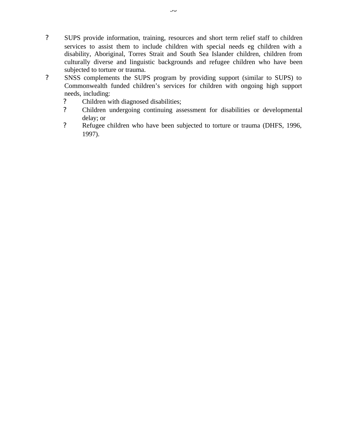- ? SUPS provide information, training, resources and short term relief staff to children services to assist them to include children with special needs eg children with a disability, Aboriginal, Torres Strait and South Sea Islander children, children from culturally diverse and linguistic backgrounds and refugee children who have been subjected to torture or trauma.
- ? SNSS complements the SUPS program by providing support (similar to SUPS) to Commonwealth funded children's services for children with ongoing high support needs, including:
	- ? Children with diagnosed disabilities;
	- ? Children undergoing continuing assessment for disabilities or developmental delay; or
	- ? Refugee children who have been subjected to torture or trauma (DHFS, 1996, 1997).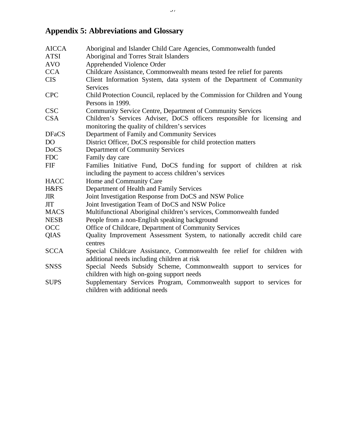# **Appendix 5: Abbreviations and Glossary**

| <b>AICCA</b> | Aboriginal and Islander Child Care Agencies, Commonwealth funded            |
|--------------|-----------------------------------------------------------------------------|
| <b>ATSI</b>  | Aboriginal and Torres Strait Islanders                                      |
| <b>AVO</b>   | Apprehended Violence Order                                                  |
| <b>CCA</b>   | Childcare Assistance, Commonwealth means tested fee relief for parents      |
| <b>CIS</b>   | Client Information System, data system of the Department of Community       |
|              | <b>Services</b>                                                             |
| <b>CPC</b>   | Child Protection Council, replaced by the Commission for Children and Young |
|              | Persons in 1999.                                                            |
| <b>CSC</b>   | Community Service Centre, Department of Community Services                  |
| <b>CSA</b>   | Children's Services Adviser, DoCS officers responsible for licensing and    |
|              | monitoring the quality of children's services                               |
| <b>DFaCS</b> | Department of Family and Community Services                                 |
| <b>DO</b>    | District Officer, DoCS responsible for child protection matters             |
| <b>DoCS</b>  | Department of Community Services                                            |
| <b>FDC</b>   | Family day care                                                             |
| <b>FIF</b>   | Families Initiative Fund, DoCS funding for support of children at risk      |
|              | including the payment to access children's services                         |
| <b>HACC</b>  | Home and Community Care                                                     |
| H&FS         | Department of Health and Family Services                                    |
| <b>JIR</b>   | Joint Investigation Response from DoCS and NSW Police                       |
| <b>JIT</b>   | Joint Investigation Team of DoCS and NSW Police                             |
| <b>MACS</b>  | Multifunctional Aboriginal children's services, Commonwealth funded         |
| <b>NESB</b>  | People from a non-English speaking background                               |
| OCC          | Office of Childcare, Department of Community Services                       |
| <b>QIAS</b>  | Quality Improvement Assessment System, to nationally accredit child care    |
|              | centres                                                                     |
| <b>SCCA</b>  | Special Childcare Assistance, Commonwealth fee relief for children with     |
|              | additional needs including children at risk                                 |
| <b>SNSS</b>  | Special Needs Subsidy Scheme, Commonwealth support to services for          |
|              | children with high on-going support needs                                   |
| <b>SUPS</b>  | Supplementary Services Program, Commonwealth support to services for        |
|              | children with additional needs                                              |
|              |                                                                             |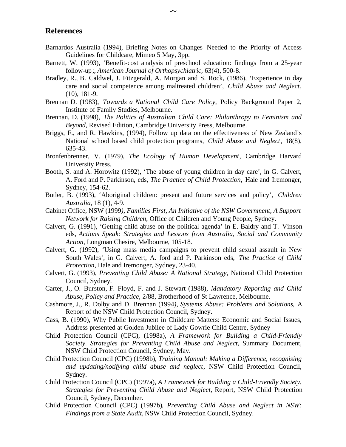#### **References**

- Barnardos Australia (1994), Briefing Notes on Changes Needed to the Priority of Access Guidelines for Childcare*,* Mimeo 5 May, 3pp.
- Barnett, W. (1993), 'Benefit-cost analysis of preschool education: findings from a 25-year follow-up;, *American Journal of Orthopsychiatric,* 63(4), 500-8.
- Bradley, R., B. Caldwel, J. Fitzgerald, A. Morgan and S. Rock, (1986), 'Experience in day care and social competence among maltreated children', *Child Abuse and Neglect*, (10), 181-9.
- Brennan D. (1983), *Towards a National Child Care Policy*, Policy Background Paper 2, Institute of Family Studies, Melbourne.
- Brennan, D. (1998), *The Politics of Australian Child Care: Philanthropy to Feminism and Beyond*, Revised Edition, Cambridge University Press, Melbourne.
- Briggs, F., and R. Hawkins, (1994), Follow up data on the effectiveness of New Zealand's National school based child protection programs, *Child Abuse and Neglect*, 18(8), 635-43.
- Bronfenbrenner, V. (1979), *The Ecology of Human Development*, Cambridge Harvard University Press.
- Booth, S. and A. Horowitz (1992), 'The abuse of young children in day care', in G. Calvert, A. Ford and P. Parkinson, eds, *The Practice of Child Protection,* Hale and Iremonger, Sydney, 154-62.
- Butler, B. (1993), 'Aboriginal children: present and future services and policy', *Children Australia*, 18 (1), 4-9.
- Cabinet Office, NSW (1999*), Families First, An Initiative of the NSW Government, A Support Network for Raising Children*, Office of Children and Young People, Sydney.
- Calvert, G. (1991), 'Getting child abuse on the political agenda' in E. Baldry and T. Vinson eds, *Actions Speak: Strategies and Lessons from Australia, Social and Community Action*, Longman Chesire, Melbourne, 105-18.
- Calvert, G. (1992), 'Using mass media campaigns to prevent child sexual assault in New South Wales', in G. Calvert, A. ford and P. Parkinson eds, *The Practice of Child Protection*, Hale and Iremonger, Sydney, 23-40.
- Calvert, G. (1993), *Preventing Child Abuse: A National Strategy,* National Child Protection Council, Sydney.
- Carter, J., O. Burston, F. Floyd, F. and J. Stewart (1988), *Mandatory Reporting and Child Abuse, Policy and Practice*, 2/88, Brotherhood of St Lawrence, Melbourne.
- Cashmore, J., R. Dolby and D. Brennan (1994*), Systems Abuse: Problems and Solutions*, A Report of the NSW Child Protection Council, Sydney.
- Cass, B. (1990), Why Public Investment in Childcare Matters: Economic and Social Issues*,* Address presented at Golden Jubilee of Lady Gowrie Child Centre, Sydney
- Child Protection Council (CPC), (1998a), *A Framework for Building a Child-Friendly Society. Strategies for Preventing Child Abuse and Neglect,* Summary Document, NSW Child Protection Council, Sydney, May.
- Child Protection Council (CPC) (1998b), *Training Manual: Making a Difference, recognising and updating/notifying child abuse and neglect*, NSW Child Protection Council, Sydney.
- Child Protection Council (CPC) (1997a), *A Framework for Building a Child-Friendly Society. Strategies for Preventing Child Abuse and Neglect,* Report, NSW Child Protection Council, Sydney, December.
- Child Protection Council (CPC) (1997b)*, Preventing Child Abuse and Neglect in NSW: Findings from a State Audit,* NSW Child Protection Council, Sydney.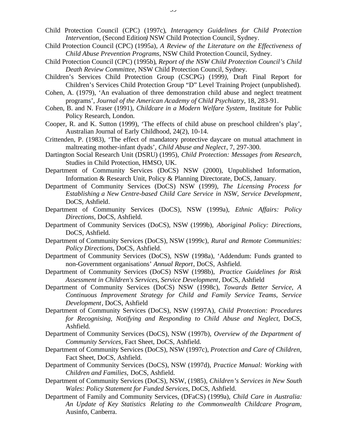- Child Protection Council (CPC) (1997c)*, Interagency Guidelines for Child Protection Intervention,* (Second Edition*)* NSW Child Protection Council, Sydney.
- Child Protection Council (CPC) (1995a), *A Review of the Literature on the Effectiveness of Child Abuse Prevention Programs,* NSW Child Protection Council, Sydney.
- Child Protection Council (CPC) (1995b)*, Report of the NSW Child Protection Council's Child Death Review Committee,* NSW Child Protection Council, Sydney.
- Children's Services Child Protection Group (CSCPG) (1999*),* Draft Final Report for Children's Services Child Protection Group "D" Level Training Project (unpublished).
- Cohen, A. (1979), 'An evaluation of three demonstration child abuse and neglect treatment programs', *Journal of the American Academy of Child Psychiatry*, 18, 283-91.
- Cohen, B. and N. Fraser (1991), *Childcare in a Modern Welfare System*, Institute for Public Policy Research, London.
- Cooper, R. and K. Sutton (1999), 'The effects of child abuse on preschool children's play', Australian Journal of Early Childhood, 24(2), 10-14.
- Crittenden, P. (1983), 'The effect of mandatory protective daycare on mutual attachment in maltreating mother-infant dyads', *Child Abuse and Neglect*, 7, 297-300.
- Dartington Social Research Unit (DSRU) (1995), *Child Protection: Messages from Research*, Studies in Child Protection, HMSO, UK.
- Department of Community Services (DoCS) NSW (2000), Unpublished Information, Information & Research Unit, Policy & Planning Directorate, DoCS, January.
- Department of Community Services (DoCS) NSW (1999), *The Licensing Process for Establishing a New Centre-based Child Care Service in NSW, Service Development*, DoCS, Ashfield*.*
- Department of Community Services (DoCS), NSW (1999a), *Ethnic Affairs: Policy Directions,* DoCS, Ashfield.
- Department of Community Services (DoCS), NSW (1999b), *Aboriginal Policy: Directions*, DoCS, Ashfield.
- Department of Community Services (DoCS), NSW (1999c)*, Rural and Remote Communities: Policy Directions*, DoCS, Ashfield.
- Department of Community Services (DoCS), NSW (1998a), 'Addendum: Funds granted to non-Government organisations' *Annual Report*, DoCS, Ashfield.
- Department of Community Services (DoCS) NSW (1998b), *Practice Guidelines for Risk Assessment in Children's Services, Service Development*, DoCS, Ashfield
- Department of Community Services (DoCS) NSW (1998c), *Towards Better Service, A Continuous Improvement Strategy for Child and Family Service Teams, Service Development*, DoCS, Ashfield
- Department of Community Services (DoCS), NSW (1997A)*, Child Protection: Procedures for Recognising, Notifying and Responding to Child Abuse and Neglect,* DoCS, Ashfield.
- Department of Community Services (DoCS), NSW (1997b), *Overview of the Department of Community Services,* Fact Sheet, DoCS, Ashfield.
- Department of Community Services (DoCS), NSW (1997c), *Protection and Care of Children,* Fact Sheet, DoCS, Ashfield.
- Department of Community Services (DoCS), NSW (1997d), *Practice Manual: Working with Children and Families,* DoCS, Ashfield.
- Department of Community Services (DoCS), NSW, (1985), *Children's Services in New South Wales: Policy Statement for Funded Services,* DoCS, Ashfield.
- Department of Family and Community Services, (DFaCS) (1999a), *Child Care in Australia: An Update of Key Statistics Relating to the Commonwealth Childcare Program,* Ausinfo, Canberra.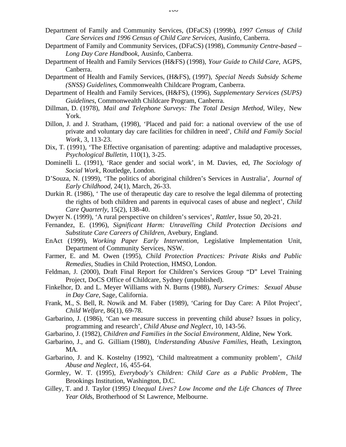- Department of Family and Community Services, (DFaCS) (1999b)*, 1997 Census of Child Care Services and 1996 Census of Child Care Services*, Ausinfo, Canberra.
- Department of Family and Community Services, (DFaCS) (1998), *Community Centre-based – Long Day Care Handbook,* Ausinfo, Canberra.
- Department of Health and Family Services (H&FS) (1998), *Your Guide to Child Care*, AGPS, Canberra.
- Department of Health and Family Services, (H&FS), (1997), *Special Needs Subsidy Scheme (SNSS) Guidelines*, Commonwealth Childcare Program, Canberra.
- Department of Health and Family Services, (H&FS), (1996), *Supplementary Services (SUPS) Guidelines*, Commonwealth Childcare Program, Canberra.
- Dillman, D. (1978), *Mail and Telephone Surveys: The Total Design Method,* Wiley, New York.
- Dillon, J. and J. Stratham, (1998), 'Placed and paid for: a national overview of the use of private and voluntary day care facilities for children in need', *Child and Family Social Work*, 3, 113-23.
- Dix, T. (1991), 'The Effective organisation of parenting: adaptive and maladaptive processes, *Psychological Bulletin*, 110(1), 3-25.
- Dominelli L. (1991), 'Race gender and social work', in M. Davies, ed, *The Sociology of Social Work*, Routledge, London.
- D'Souza, N. (1999), 'The politics of aboriginal children's Services in Australia', *Journal of Early Childhood*, 24(1), March, 26-33.
- Durkin R. (1986), ' The use of therapeutic day care to resolve the legal dilemma of protecting the rights of both children and parents in equivocal cases of abuse and neglect', *Child Care Quarterly*, 15(2), 138-40.
- Dwyer N. (1999), 'A rural perspective on children's services', *Rattler*, Issue 50, 20-21.
- Fernandez, E. (1996), *Significant Harm: Unravelling Child Protection Decisions and Substitute Care Careers of Children*, Avebury, England.
- EnAct (1999), *Working Paper Early Intervention*, Legislative Implementation Unit, Department of Community Services, NSW.
- Farmer, E. and M. Owen (1995), *Child Protection Practices: Private Risks and Public Remedies,* Studies in Child Protection, HMSO, London.
- Feldman, J. (2000), Draft Final Report for Children's Services Group "D" Level Training Project, DoCS Office of Childcare, Sydney (unpublished).
- Finkelhor, D. and L. Meyer Williams with N. Burns (1988), *Nursery Crimes: Sexual Abuse in Day Care,* Sage, California.
- Frank, M., S. Bell, R. Nowik and M. Faber (1989), 'Caring for Day Care: A Pilot Project', *Child Welfare,* 86(1), 69-78.
- Garbarino, J. (1986), 'Can we measure success in preventing child abuse? Issues in policy, programming and research', *Child Abuse and Neglect*, 10, 143-56.
- Garbarino, J. (1982), *Children and Families in the Social Environment,* Aldine, New York.
- Garbarino, J., and G. Gilliam (1980), *Understanding Abusive Families*, Heath, Lexington, MA.
- Garbarino, J. and K. Kostelny (1992), 'Child maltreatment a community problem', *Child Abuse and Neglect*, 16, 455-64.
- Gormley, W. T. (1995), *Everybody's Children: Child Care as a Public Problem*, The Brookings Institution, Washington, D.C.
- Gilley, T. and J. Taylor (1995*) Unequal Lives? Low Income and the Life Chances of Three Year Old*s, Brotherhood of St Lawrence, Melbourne.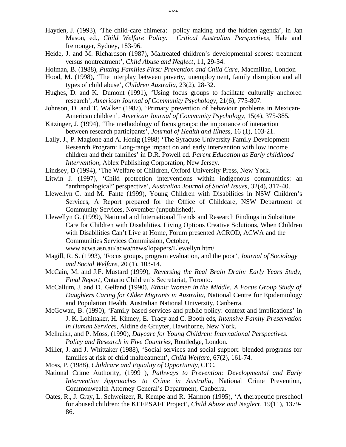- Hayden, J. (1993), 'The child-care chimera: policy making and the hidden agenda', in Jan Mason, ed., *Child Welfare Policy: Critical Australian Perspectives,* Hale and Iremonger, Sydney, 183-96.
- Heide, J. and M. Richardson (1987), Maltreated children's developmental scores: treatment versus nontreatment', *Child Abuse and Neglect*, 11, 29-34.
- Holman, B. (1988), *Putting Families First: Prevention and Child Care*, Macmillan, London
- Hood, M. (1998), 'The interplay between poverty, unemployment, family disruption and all types of child abuse', *Children Australia,* 23(2), 28-32.
- Hughes, D. and K. Dumont (1991), 'Using focus groups to facilitate culturally anchored research', *American Journal of Community Psychology*, 21(6), 775-807.
- Johnson, D. and T. Walker (1987), 'Primary prevention of behaviour problems in Mexican-American children'*, American Journal of Community Psychology*, 15(4), 375-385*.*
- Kitzinger, J. (1994), 'The methodology of focus groups: the importance of interaction between research participants', *Journal of Health and Illness*, 16 (1), 103-21.
- Lally, J., P. Magione and A. Honig (1988) 'The Syracuse University Family Development Research Program: Long-range impact on and early intervention with low income children and their families' in D.R. Powell ed. *Parent Education as Early childhood Intervention*, Ablex Publishing Corporation, New Jersey.
- Lindsey, D (1994), 'The Welfare of Children, Oxford University Press, New York.
- Litwin J. (1997), 'Child protection interventions within indigenous communities: an "anthropological" perspective', *Australian Journal of Social Issues,* 32(4), 317-40.
- Llewellyn G. and M. Fante (1999), Young Children with Disabilities in NSW Children's Services*,* A Report prepared for the Office of Childcare, NSW Department of Community Services, November (unpublished).
- Llewellyn G. (1999), National and International Trends and Research Findings in Substitute Care for Children with Disabilities, Living Options Creative Solutions, When Children with Disabilities Can't Live at Home, Forum presented ACROD, ACWA and the Communities Services Commission, October,

- Magill, R. S. (1993), 'Focus groups, program evaluation, and the poor', *Journal of Sociology and Social Welfare*, 20 (1), 103-14.
- McCain, M. and J.F. Mustard (1999), *Reversing the Real Brain Drain: Early Years Study, Final Report*, Ontario Children's Secretariat, Toronto.
- McCallum, J. and D. Gelfand (1990), *Ethnic Women in the Middle. A Focus Group Study of Daughters Caring for Older Migrants in Australia*, National Centre for Epidemiology and Population Health, Australian National University, Canberra.
- McGowan, B. (1990), 'Family based services and public policy: context and implications' in J. K. Lohittaker, H. Kinney, E. Tracy and C. Booth eds*, Intensive Family Preservation in Human Services*, Aldine de Gruyter, Hawthorne, New York.
- Melhuish, and P. Moss, (1990), *Daycare for Young Children: International Perspectives. Policy and Research in Five Countries*, Routledge, London.
- Miller, J. and J. Whittaker (1988), 'Social services and social support: blended programs for families at risk of child maltreatment', *Child Welfare*, 67(2), 161-74.
- Moss, P. (1988), *Childcare and Equality of Opportunity*, CEC.
- National Crime Authority, (1999 ), *Pathways to Prevention: Developmental and Early Intervention Approaches to Crime in Australia*, National Crime Prevention, Commonwealth Attorney General's Department, Canberra.
- Oates, R., J. Gray, L. Schweitzer, R. Kempe and R, Harmon (1995), 'A therapeutic preschool for abused children: the KEEPSAFE Project', *Child Abuse and Neglect*, 19(11), 1379- 86.

www.acwa.asn.au/ acwa/news/lopapers/Llewellyn.htm/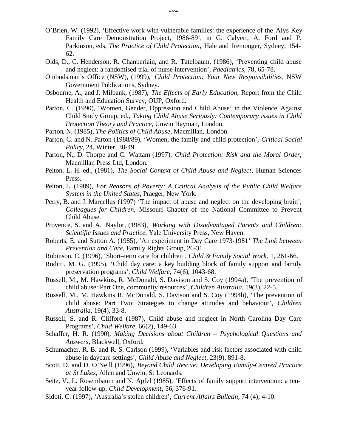- O'Brien, W. (1992), 'Effective work with vulnerable families: the experience of the Alys Key Family Care Demonstration Project, 1986-89', in G. Calvert, A. Ford and P. Parkinson, eds, *The Practice of Child Protection,* Hale and Iremonger, Sydney, 154- 62.
- Olds, D., C. Henderson, R. Chanberlain, and R. Tatelbaum, (1986), 'Preventing child abuse and neglect: a randomised trial of nurse intervention', *Paediatrics*, 78, 65-78.
- Ombudsman's Office (NSW), (1999), *Child Protection: Your New Responsibilities*, NSW Government Publications, Sydney.
- Osbourne, A., and J. Milbank, (1987), *The Effects of Early Education*, Report from the Child Health and Education Survey, OUP, Oxford.
- Parton, C. (1990), 'Women, Gender, Oppression and Child Abuse' in the Violence Against Child Study Group, ed., *Taking Child Abuse Seriously: Contemporary issues in Child Protection Theory and Practice*, Unwin Hayman, London.
- Parton, N. (1985), *The Politics of Child Abuse,* Macmillan, London.
- Parton, C. and N. Parton (1988/89), 'Women, the family and child protection', *Critical Social Policy,* 24, Winter, 38-49.
- Parton, N., D. Thorpe and C. Wattam (1997), *Child Protection: Risk and the Moral Order*, Macmillan Press Ltd, London.
- Pelton, L. H. ed., (1981), *The Social Context of Child Abuse and Neglect*, Human Sciences Press.
- Pelton, L. (1989), *For Reasons of Poverty: A Critical Analysis of the Public Child Welfare System in the United States*, Praeger, New York.
- Perry, B. and J. Marcellus (1997) 'The impact of abuse and neglect on the developing brain', *Colleagues for Children*, Missouri Chapter of the National Committee to Prevent Child Abuse.
- Provence, S. and A. Naylor, (1983), *Working with Disadvantaged Parents and Children: Scientific Issues and Practice*, Yale University Press, New Haven.
- Roberts, E. and Sutton A. (1985), 'An experiment in Day Care 1973-1981' *The Link between Prevention and Care,* Family Rights Group, 26-31
- Robinson, C. (1996), 'Short–term care for children', *Child & Family Social Work*, 1, 261-66.
- Roditti, M. G. (1995), 'Child day care: a key building block of family support and family preservation programs', *Child Welfare,* 74(6), 1043-68.
- Russell, M., M. Hawkins, R. McDonald, S. Davison and S. Coy (1994a), 'The prevention of child abuse: Part One, community resources', *Children Australia*, 19(3), 22-5.
- Russell, M., M. Hawkins R. McDonald, S. Davison and S. Coy (1994b), 'The prevention of child abuse: Part Two: Strategies to change attitudes and behaviour', *Children Australia*, 19(4), 33-8.
- Russell, S. and R. Clifford (1987), Child abuse and neglect in North Carolina Day Care Programs', *Child Welfare*, 66(2), 149-63.
- Schaffer, H. R. (1990), *Making Decisions about Children Psychological Questions and Answers,* Blackwell, Oxford.
- Schumacher, R. B. and R. S. Carlson (1999), 'Variables and risk factors associated with child abuse in daycare settings', *Child Abuse and Neglect,* 23(9), 891-8.
- Scott, D. and D. O'Neill (1996), *Beyond Child Rescue: Developing Family-Centred Practice at St Lukes*, Allen and Unwin, St Leonards.
- Seitz, V., L. Rosembaum and N. Apfel (1985), 'Effects of family support intervention: a tenyear follow-up, *Child Development*, 56, 376-91.
- Sidoti, C. (1997), 'Australia's stolen children', *Current Affairs Bulletin*, 74 (4), 4-10.